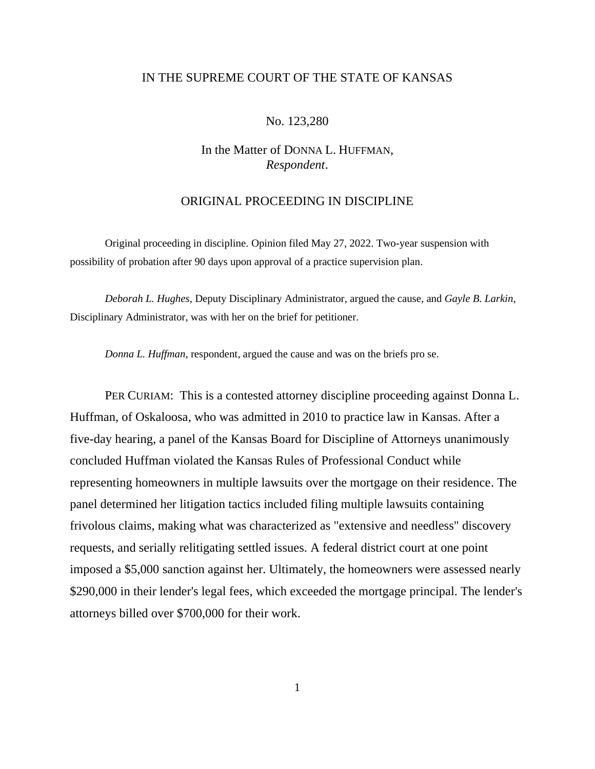## IN THE SUPREME COURT OF THE STATE OF KANSAS

### No. 123,280

# In the Matter of DONNA L. HUFFMAN, *Respondent*.

## ORIGINAL PROCEEDING IN DISCIPLINE

Original proceeding in discipline. Opinion filed May 27, 2022. Two-year suspension with possibility of probation after 90 days upon approval of a practice supervision plan.

*Deborah L. Hughes*, Deputy Disciplinary Administrator, argued the cause, and *Gayle B. Larkin*, Disciplinary Administrator, was with her on the brief for petitioner.

*Donna L. Huffman*, respondent, argued the cause and was on the briefs pro se.

PER CURIAM: This is a contested attorney discipline proceeding against Donna L. Huffman, of Oskaloosa, who was admitted in 2010 to practice law in Kansas. After a five-day hearing, a panel of the Kansas Board for Discipline of Attorneys unanimously concluded Huffman violated the Kansas Rules of Professional Conduct while representing homeowners in multiple lawsuits over the mortgage on their residence. The panel determined her litigation tactics included filing multiple lawsuits containing frivolous claims, making what was characterized as "extensive and needless" discovery requests, and serially relitigating settled issues. A federal district court at one point imposed a \$5,000 sanction against her. Ultimately, the homeowners were assessed nearly \$290,000 in their lender's legal fees, which exceeded the mortgage principal. The lender's attorneys billed over \$700,000 for their work.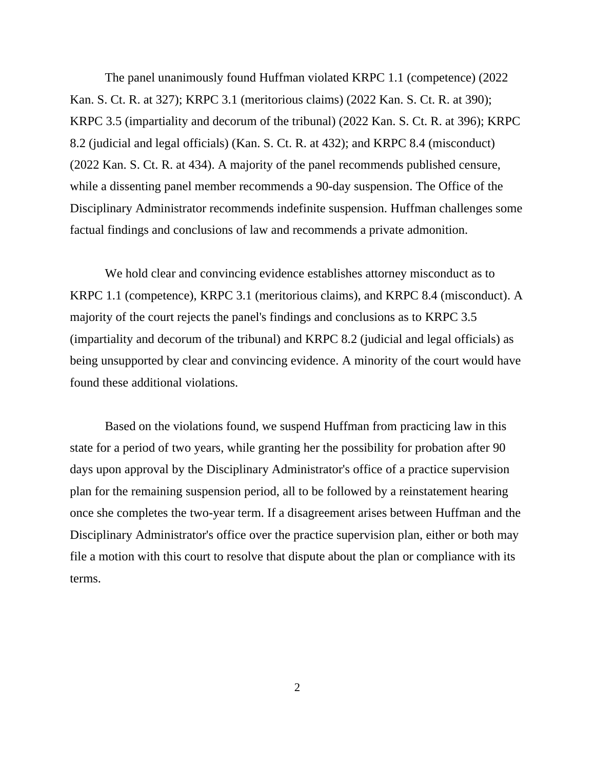The panel unanimously found Huffman violated KRPC 1.1 (competence) (2022 Kan. S. Ct. R. at 327); KRPC 3.1 (meritorious claims) (2022 Kan. S. Ct. R. at 390); KRPC 3.5 (impartiality and decorum of the tribunal) (2022 Kan. S. Ct. R. at 396); KRPC 8.2 (judicial and legal officials) (Kan. S. Ct. R. at 432); and KRPC 8.4 (misconduct) (2022 Kan. S. Ct. R. at 434). A majority of the panel recommends published censure, while a dissenting panel member recommends a 90-day suspension. The Office of the Disciplinary Administrator recommends indefinite suspension. Huffman challenges some factual findings and conclusions of law and recommends a private admonition.

We hold clear and convincing evidence establishes attorney misconduct as to KRPC 1.1 (competence), KRPC 3.1 (meritorious claims), and KRPC 8.4 (misconduct). A majority of the court rejects the panel's findings and conclusions as to KRPC 3.5 (impartiality and decorum of the tribunal) and KRPC 8.2 (judicial and legal officials) as being unsupported by clear and convincing evidence. A minority of the court would have found these additional violations.

Based on the violations found, we suspend Huffman from practicing law in this state for a period of two years, while granting her the possibility for probation after 90 days upon approval by the Disciplinary Administrator's office of a practice supervision plan for the remaining suspension period, all to be followed by a reinstatement hearing once she completes the two-year term. If a disagreement arises between Huffman and the Disciplinary Administrator's office over the practice supervision plan, either or both may file a motion with this court to resolve that dispute about the plan or compliance with its terms.

2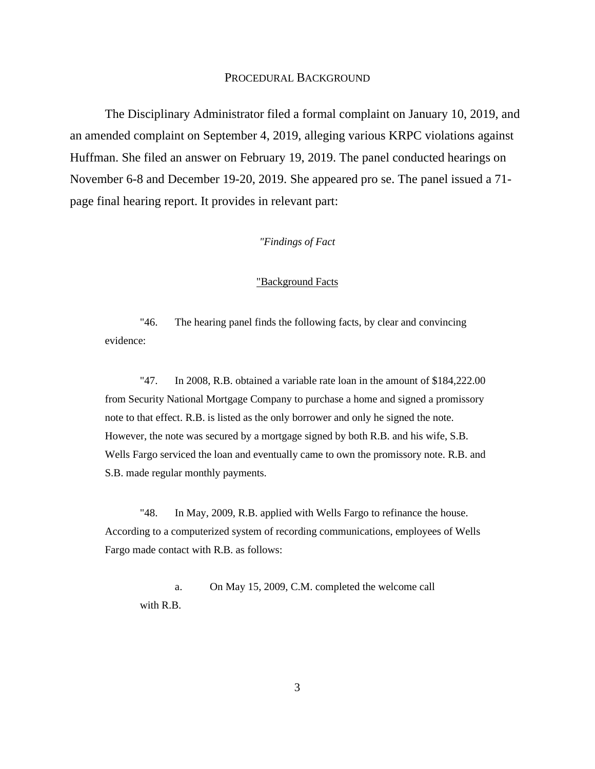#### PROCEDURAL BACKGROUND

The Disciplinary Administrator filed a formal complaint on January 10, 2019, and an amended complaint on September 4, 2019, alleging various KRPC violations against Huffman. She filed an answer on February 19, 2019. The panel conducted hearings on November 6-8 and December 19-20, 2019. She appeared pro se. The panel issued a 71 page final hearing report. It provides in relevant part:

### *"Findings of Fact*

#### "Background Facts

"46. The hearing panel finds the following facts, by clear and convincing evidence:

"47. In 2008, R.B. obtained a variable rate loan in the amount of \$184,222.00 from Security National Mortgage Company to purchase a home and signed a promissory note to that effect. R.B. is listed as the only borrower and only he signed the note. However, the note was secured by a mortgage signed by both R.B. and his wife, S.B. Wells Fargo serviced the loan and eventually came to own the promissory note. R.B. and S.B. made regular monthly payments.

"48. In May, 2009, R.B. applied with Wells Fargo to refinance the house. According to a computerized system of recording communications, employees of Wells Fargo made contact with R.B. as follows:

a. On May 15, 2009, C.M. completed the welcome call with R.B.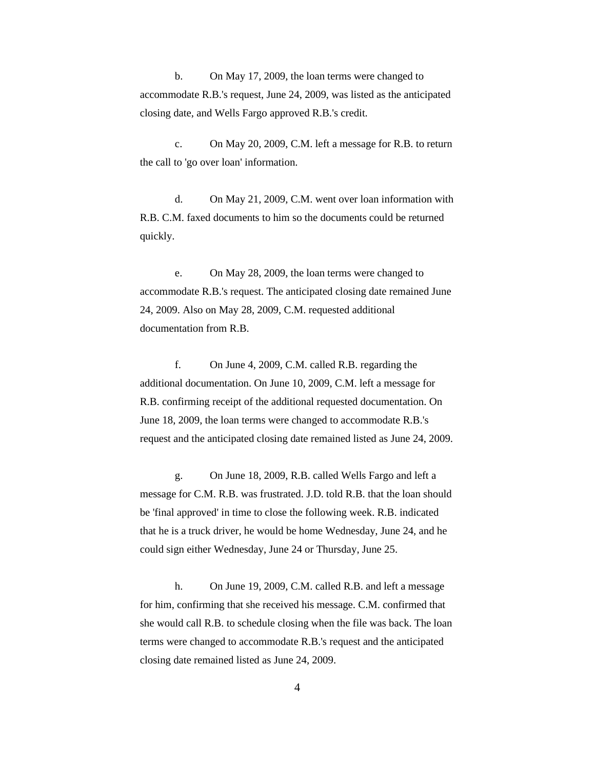b. On May 17, 2009, the loan terms were changed to accommodate R.B.'s request, June 24, 2009, was listed as the anticipated closing date, and Wells Fargo approved R.B.'s credit.

c. On May 20, 2009, C.M. left a message for R.B. to return the call to 'go over loan' information.

d. On May 21, 2009, C.M. went over loan information with R.B. C.M. faxed documents to him so the documents could be returned quickly.

e. On May 28, 2009, the loan terms were changed to accommodate R.B.'s request. The anticipated closing date remained June 24, 2009. Also on May 28, 2009, C.M. requested additional documentation from R.B.

f. On June 4, 2009, C.M. called R.B. regarding the additional documentation. On June 10, 2009, C.M. left a message for R.B. confirming receipt of the additional requested documentation. On June 18, 2009, the loan terms were changed to accommodate R.B.'s request and the anticipated closing date remained listed as June 24, 2009.

g. On June 18, 2009, R.B. called Wells Fargo and left a message for C.M. R.B. was frustrated. J.D. told R.B. that the loan should be 'final approved' in time to close the following week. R.B. indicated that he is a truck driver, he would be home Wednesday, June 24, and he could sign either Wednesday, June 24 or Thursday, June 25.

h. On June 19, 2009, C.M. called R.B. and left a message for him, confirming that she received his message. C.M. confirmed that she would call R.B. to schedule closing when the file was back. The loan terms were changed to accommodate R.B.'s request and the anticipated closing date remained listed as June 24, 2009.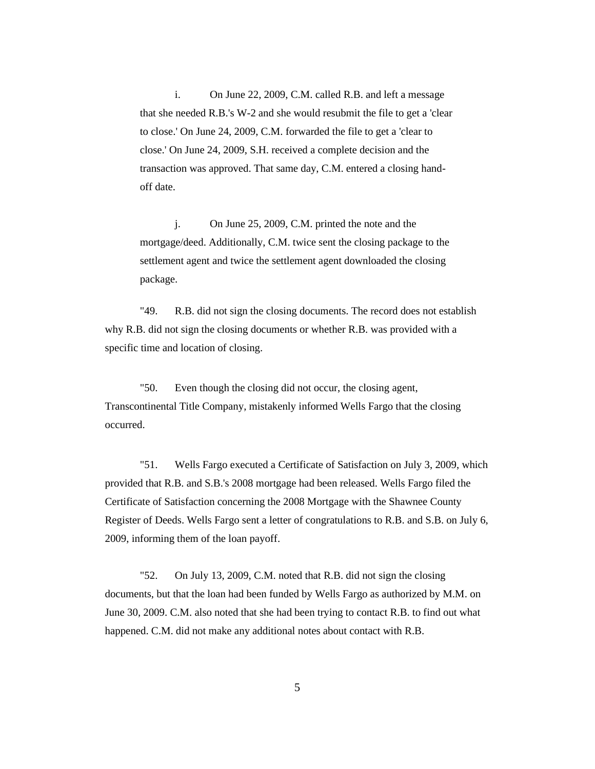i. On June 22, 2009, C.M. called R.B. and left a message that she needed R.B.'s W-2 and she would resubmit the file to get a 'clear to close.' On June 24, 2009, C.M. forwarded the file to get a 'clear to close.' On June 24, 2009, S.H. received a complete decision and the transaction was approved. That same day, C.M. entered a closing handoff date.

j. On June 25, 2009, C.M. printed the note and the mortgage/deed. Additionally, C.M. twice sent the closing package to the settlement agent and twice the settlement agent downloaded the closing package.

"49. R.B. did not sign the closing documents. The record does not establish why R.B. did not sign the closing documents or whether R.B. was provided with a specific time and location of closing.

"50. Even though the closing did not occur, the closing agent, Transcontinental Title Company, mistakenly informed Wells Fargo that the closing occurred.

"51. Wells Fargo executed a Certificate of Satisfaction on July 3, 2009, which provided that R.B. and S.B.'s 2008 mortgage had been released. Wells Fargo filed the Certificate of Satisfaction concerning the 2008 Mortgage with the Shawnee County Register of Deeds. Wells Fargo sent a letter of congratulations to R.B. and S.B. on July 6, 2009, informing them of the loan payoff.

"52. On July 13, 2009, C.M. noted that R.B. did not sign the closing documents, but that the loan had been funded by Wells Fargo as authorized by M.M. on June 30, 2009. C.M. also noted that she had been trying to contact R.B. to find out what happened. C.M. did not make any additional notes about contact with R.B.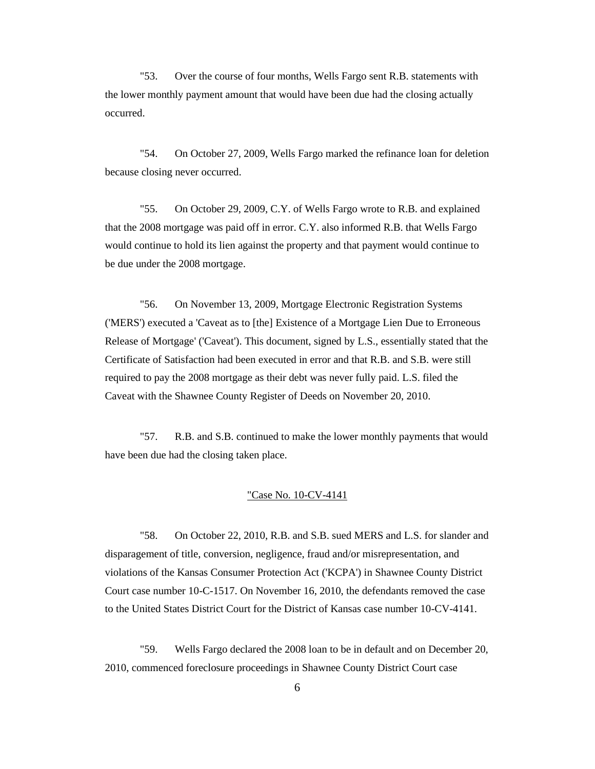"53. Over the course of four months, Wells Fargo sent R.B. statements with the lower monthly payment amount that would have been due had the closing actually occurred.

"54. On October 27, 2009, Wells Fargo marked the refinance loan for deletion because closing never occurred.

"55. On October 29, 2009, C.Y. of Wells Fargo wrote to R.B. and explained that the 2008 mortgage was paid off in error. C.Y. also informed R.B. that Wells Fargo would continue to hold its lien against the property and that payment would continue to be due under the 2008 mortgage.

"56. On November 13, 2009, Mortgage Electronic Registration Systems ('MERS') executed a 'Caveat as to [the] Existence of a Mortgage Lien Due to Erroneous Release of Mortgage' ('Caveat'). This document, signed by L.S., essentially stated that the Certificate of Satisfaction had been executed in error and that R.B. and S.B. were still required to pay the 2008 mortgage as their debt was never fully paid. L.S. filed the Caveat with the Shawnee County Register of Deeds on November 20, 2010.

"57. R.B. and S.B. continued to make the lower monthly payments that would have been due had the closing taken place.

#### "Case No. 10-CV-4141

"58. On October 22, 2010, R.B. and S.B. sued MERS and L.S. for slander and disparagement of title, conversion, negligence, fraud and/or misrepresentation, and violations of the Kansas Consumer Protection Act ('KCPA') in Shawnee County District Court case number 10-C-1517. On November 16, 2010, the defendants removed the case to the United States District Court for the District of Kansas case number 10-CV-4141.

"59. Wells Fargo declared the 2008 loan to be in default and on December 20, 2010, commenced foreclosure proceedings in Shawnee County District Court case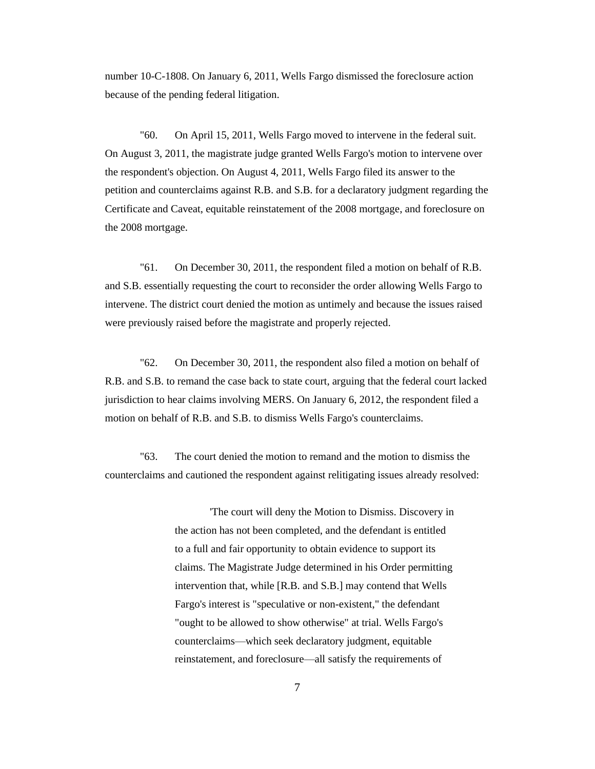number 10-C-1808. On January 6, 2011, Wells Fargo dismissed the foreclosure action because of the pending federal litigation.

"60. On April 15, 2011, Wells Fargo moved to intervene in the federal suit. On August 3, 2011, the magistrate judge granted Wells Fargo's motion to intervene over the respondent's objection. On August 4, 2011, Wells Fargo filed its answer to the petition and counterclaims against R.B. and S.B. for a declaratory judgment regarding the Certificate and Caveat, equitable reinstatement of the 2008 mortgage, and foreclosure on the 2008 mortgage.

"61. On December 30, 2011, the respondent filed a motion on behalf of R.B. and S.B. essentially requesting the court to reconsider the order allowing Wells Fargo to intervene. The district court denied the motion as untimely and because the issues raised were previously raised before the magistrate and properly rejected.

"62. On December 30, 2011, the respondent also filed a motion on behalf of R.B. and S.B. to remand the case back to state court, arguing that the federal court lacked jurisdiction to hear claims involving MERS. On January 6, 2012, the respondent filed a motion on behalf of R.B. and S.B. to dismiss Wells Fargo's counterclaims.

"63. The court denied the motion to remand and the motion to dismiss the counterclaims and cautioned the respondent against relitigating issues already resolved:

> 'The court will deny the Motion to Dismiss. Discovery in the action has not been completed, and the defendant is entitled to a full and fair opportunity to obtain evidence to support its claims. The Magistrate Judge determined in his Order permitting intervention that, while [R.B. and S.B.] may contend that Wells Fargo's interest is "speculative or non-existent," the defendant "ought to be allowed to show otherwise" at trial. Wells Fargo's counterclaims—which seek declaratory judgment, equitable reinstatement, and foreclosure—all satisfy the requirements of

> > 7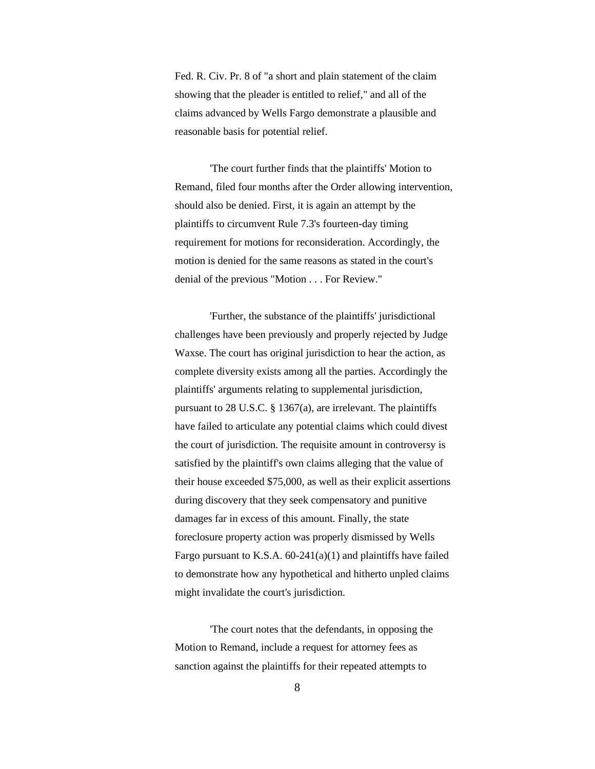Fed. R. Civ. Pr. 8 of "a short and plain statement of the claim showing that the pleader is entitled to relief," and all of the claims advanced by Wells Fargo demonstrate a plausible and reasonable basis for potential relief.

'The court further finds that the plaintiffs' Motion to Remand, filed four months after the Order allowing intervention, should also be denied. First, it is again an attempt by the plaintiffs to circumvent Rule 7.3's fourteen-day timing requirement for motions for reconsideration. Accordingly, the motion is denied for the same reasons as stated in the court's denial of the previous "Motion . . . For Review."

'Further, the substance of the plaintiffs' jurisdictional challenges have been previously and properly rejected by Judge Waxse. The court has original jurisdiction to hear the action, as complete diversity exists among all the parties. Accordingly the plaintiffs' arguments relating to supplemental jurisdiction, pursuant to 28 U.S.C. § 1367(a), are irrelevant. The plaintiffs have failed to articulate any potential claims which could divest the court of jurisdiction. The requisite amount in controversy is satisfied by the plaintiff's own claims alleging that the value of their house exceeded \$75,000, as well as their explicit assertions during discovery that they seek compensatory and punitive damages far in excess of this amount. Finally, the state foreclosure property action was properly dismissed by Wells Fargo pursuant to K.S.A. 60-241(a)(1) and plaintiffs have failed to demonstrate how any hypothetical and hitherto unpled claims might invalidate the court's jurisdiction.

'The court notes that the defendants, in opposing the Motion to Remand, include a request for attorney fees as sanction against the plaintiffs for their repeated attempts to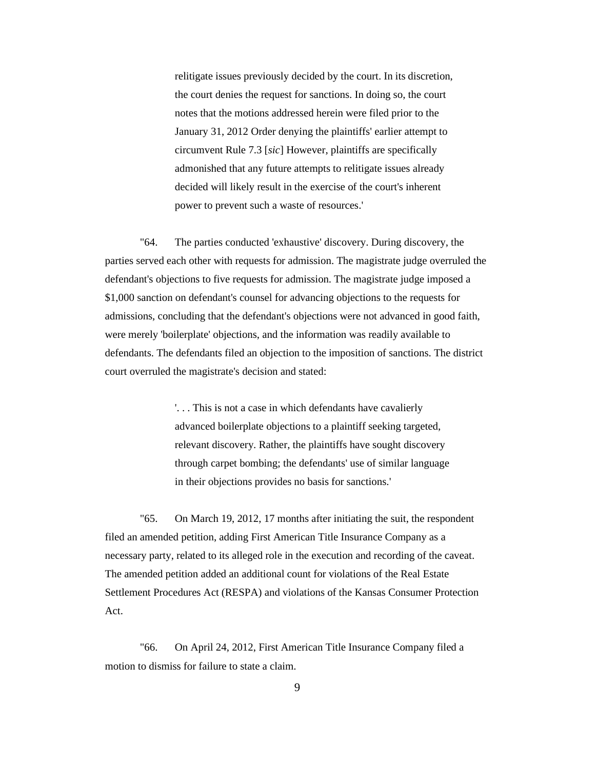relitigate issues previously decided by the court. In its discretion, the court denies the request for sanctions. In doing so, the court notes that the motions addressed herein were filed prior to the January 31, 2012 Order denying the plaintiffs' earlier attempt to circumvent Rule 7.3 [*sic*] However, plaintiffs are specifically admonished that any future attempts to relitigate issues already decided will likely result in the exercise of the court's inherent power to prevent such a waste of resources.'

"64. The parties conducted 'exhaustive' discovery. During discovery, the parties served each other with requests for admission. The magistrate judge overruled the defendant's objections to five requests for admission. The magistrate judge imposed a \$1,000 sanction on defendant's counsel for advancing objections to the requests for admissions, concluding that the defendant's objections were not advanced in good faith, were merely 'boilerplate' objections, and the information was readily available to defendants. The defendants filed an objection to the imposition of sanctions. The district court overruled the magistrate's decision and stated:

> '. . . This is not a case in which defendants have cavalierly advanced boilerplate objections to a plaintiff seeking targeted, relevant discovery. Rather, the plaintiffs have sought discovery through carpet bombing; the defendants' use of similar language in their objections provides no basis for sanctions.'

"65. On March 19, 2012, 17 months after initiating the suit, the respondent filed an amended petition, adding First American Title Insurance Company as a necessary party, related to its alleged role in the execution and recording of the caveat. The amended petition added an additional count for violations of the Real Estate Settlement Procedures Act (RESPA) and violations of the Kansas Consumer Protection Act.

"66. On April 24, 2012, First American Title Insurance Company filed a motion to dismiss for failure to state a claim.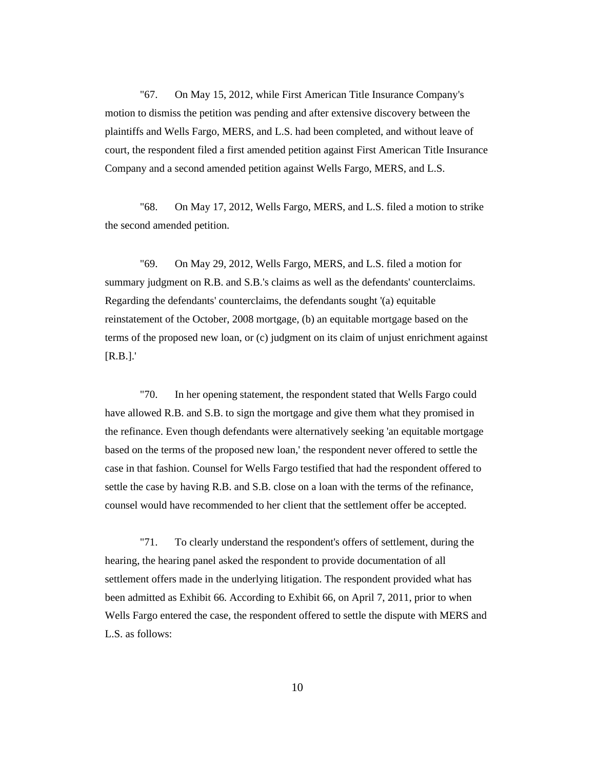"67. On May 15, 2012, while First American Title Insurance Company's motion to dismiss the petition was pending and after extensive discovery between the plaintiffs and Wells Fargo, MERS, and L.S. had been completed, and without leave of court, the respondent filed a first amended petition against First American Title Insurance Company and a second amended petition against Wells Fargo, MERS, and L.S.

"68. On May 17, 2012, Wells Fargo, MERS, and L.S. filed a motion to strike the second amended petition.

"69. On May 29, 2012, Wells Fargo, MERS, and L.S. filed a motion for summary judgment on R.B. and S.B.'s claims as well as the defendants' counterclaims. Regarding the defendants' counterclaims, the defendants sought '(a) equitable reinstatement of the October, 2008 mortgage, (b) an equitable mortgage based on the terms of the proposed new loan, or (c) judgment on its claim of unjust enrichment against [R.B.].'

"70. In her opening statement, the respondent stated that Wells Fargo could have allowed R.B. and S.B. to sign the mortgage and give them what they promised in the refinance. Even though defendants were alternatively seeking 'an equitable mortgage based on the terms of the proposed new loan,' the respondent never offered to settle the case in that fashion. Counsel for Wells Fargo testified that had the respondent offered to settle the case by having R.B. and S.B. close on a loan with the terms of the refinance, counsel would have recommended to her client that the settlement offer be accepted.

"71. To clearly understand the respondent's offers of settlement, during the hearing, the hearing panel asked the respondent to provide documentation of all settlement offers made in the underlying litigation. The respondent provided what has been admitted as Exhibit 66. According to Exhibit 66, on April 7, 2011, prior to when Wells Fargo entered the case, the respondent offered to settle the dispute with MERS and L.S. as follows: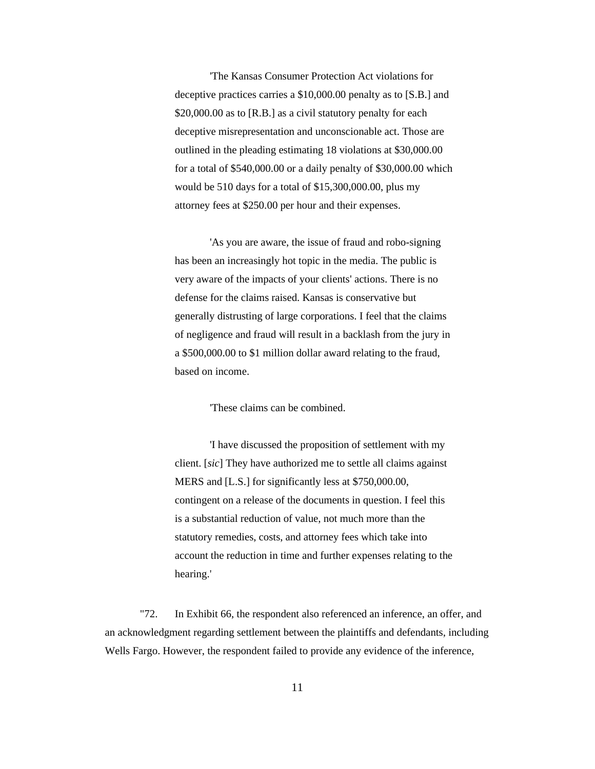'The Kansas Consumer Protection Act violations for deceptive practices carries a \$10,000.00 penalty as to [S.B.] and \$20,000.00 as to [R.B.] as a civil statutory penalty for each deceptive misrepresentation and unconscionable act. Those are outlined in the pleading estimating 18 violations at \$30,000.00 for a total of \$540,000.00 or a daily penalty of \$30,000.00 which would be 510 days for a total of \$15,300,000.00, plus my attorney fees at \$250.00 per hour and their expenses.

'As you are aware, the issue of fraud and robo-signing has been an increasingly hot topic in the media. The public is very aware of the impacts of your clients' actions. There is no defense for the claims raised. Kansas is conservative but generally distrusting of large corporations. I feel that the claims of negligence and fraud will result in a backlash from the jury in a \$500,000.00 to \$1 million dollar award relating to the fraud, based on income.

'These claims can be combined.

'I have discussed the proposition of settlement with my client. [*sic*] They have authorized me to settle all claims against MERS and [L.S.] for significantly less at \$750,000.00, contingent on a release of the documents in question. I feel this is a substantial reduction of value, not much more than the statutory remedies, costs, and attorney fees which take into account the reduction in time and further expenses relating to the hearing.'

"72. In Exhibit 66, the respondent also referenced an inference, an offer, and an acknowledgment regarding settlement between the plaintiffs and defendants, including Wells Fargo. However, the respondent failed to provide any evidence of the inference,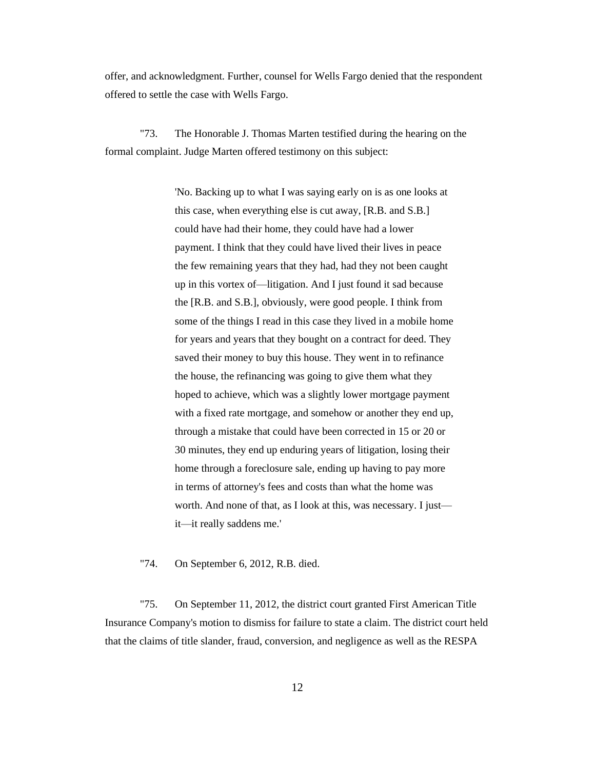offer, and acknowledgment. Further, counsel for Wells Fargo denied that the respondent offered to settle the case with Wells Fargo.

"73. The Honorable J. Thomas Marten testified during the hearing on the formal complaint. Judge Marten offered testimony on this subject:

> 'No. Backing up to what I was saying early on is as one looks at this case, when everything else is cut away, [R.B. and S.B.] could have had their home, they could have had a lower payment. I think that they could have lived their lives in peace the few remaining years that they had, had they not been caught up in this vortex of—litigation. And I just found it sad because the [R.B. and S.B.], obviously, were good people. I think from some of the things I read in this case they lived in a mobile home for years and years that they bought on a contract for deed. They saved their money to buy this house. They went in to refinance the house, the refinancing was going to give them what they hoped to achieve, which was a slightly lower mortgage payment with a fixed rate mortgage, and somehow or another they end up, through a mistake that could have been corrected in 15 or 20 or 30 minutes, they end up enduring years of litigation, losing their home through a foreclosure sale, ending up having to pay more in terms of attorney's fees and costs than what the home was worth. And none of that, as I look at this, was necessary. I just it—it really saddens me.'

"74. On September 6, 2012, R.B. died.

"75. On September 11, 2012, the district court granted First American Title Insurance Company's motion to dismiss for failure to state a claim. The district court held that the claims of title slander, fraud, conversion, and negligence as well as the RESPA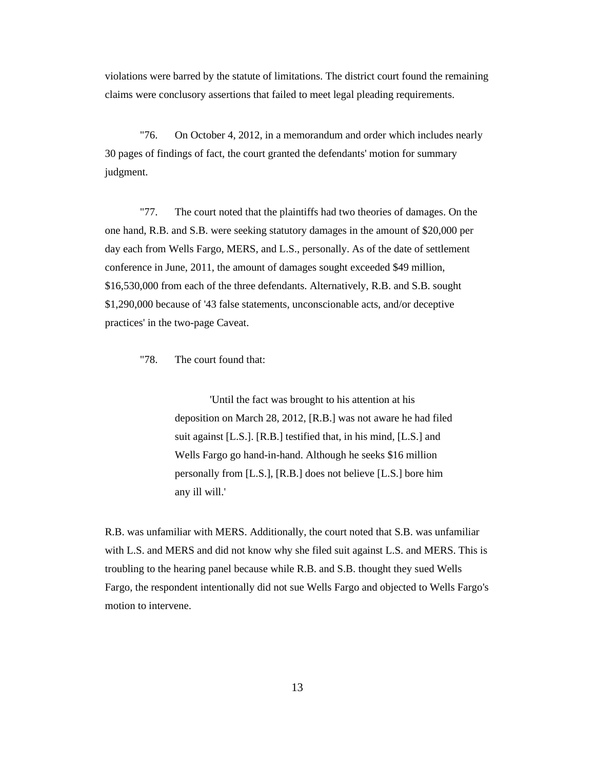violations were barred by the statute of limitations. The district court found the remaining claims were conclusory assertions that failed to meet legal pleading requirements.

"76. On October 4, 2012, in a memorandum and order which includes nearly 30 pages of findings of fact, the court granted the defendants' motion for summary judgment.

"77. The court noted that the plaintiffs had two theories of damages. On the one hand, R.B. and S.B. were seeking statutory damages in the amount of \$20,000 per day each from Wells Fargo, MERS, and L.S., personally. As of the date of settlement conference in June, 2011, the amount of damages sought exceeded \$49 million, \$16,530,000 from each of the three defendants. Alternatively, R.B. and S.B. sought \$1,290,000 because of '43 false statements, unconscionable acts, and/or deceptive practices' in the two-page Caveat.

"78. The court found that:

'Until the fact was brought to his attention at his deposition on March 28, 2012, [R.B.] was not aware he had filed suit against [L.S.]. [R.B.] testified that, in his mind, [L.S.] and Wells Fargo go hand-in-hand. Although he seeks \$16 million personally from [L.S.], [R.B.] does not believe [L.S.] bore him any ill will.'

R.B. was unfamiliar with MERS. Additionally, the court noted that S.B. was unfamiliar with L.S. and MERS and did not know why she filed suit against L.S. and MERS. This is troubling to the hearing panel because while R.B. and S.B. thought they sued Wells Fargo, the respondent intentionally did not sue Wells Fargo and objected to Wells Fargo's motion to intervene.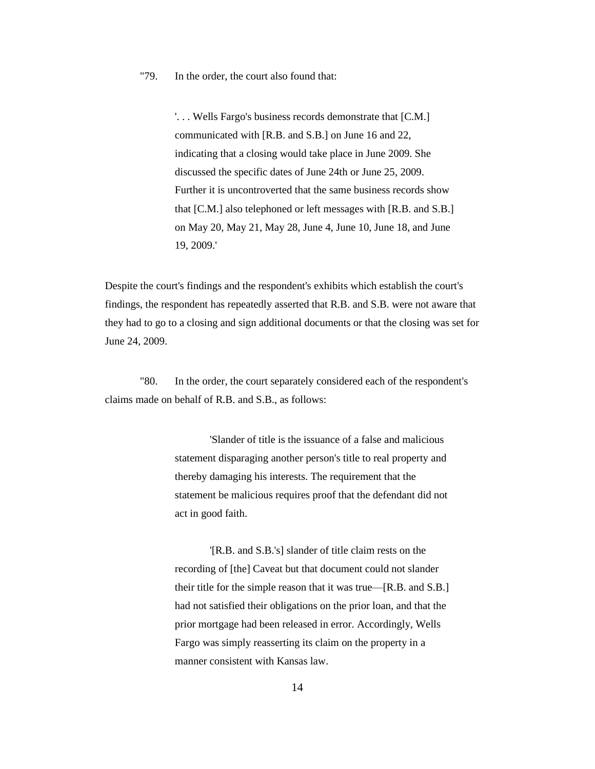"79. In the order, the court also found that:

'. . . Wells Fargo's business records demonstrate that [C.M.] communicated with [R.B. and S.B.] on June 16 and 22, indicating that a closing would take place in June 2009. She discussed the specific dates of June 24th or June 25, 2009. Further it is uncontroverted that the same business records show that [C.M.] also telephoned or left messages with [R.B. and S.B.] on May 20, May 21, May 28, June 4, June 10, June 18, and June 19, 2009.'

Despite the court's findings and the respondent's exhibits which establish the court's findings, the respondent has repeatedly asserted that R.B. and S.B. were not aware that they had to go to a closing and sign additional documents or that the closing was set for June 24, 2009.

"80. In the order, the court separately considered each of the respondent's claims made on behalf of R.B. and S.B., as follows:

> 'Slander of title is the issuance of a false and malicious statement disparaging another person's title to real property and thereby damaging his interests. The requirement that the statement be malicious requires proof that the defendant did not act in good faith.

> '[R.B. and S.B.'s] slander of title claim rests on the recording of [the] Caveat but that document could not slander their title for the simple reason that it was true—[R.B. and S.B.] had not satisfied their obligations on the prior loan, and that the prior mortgage had been released in error. Accordingly, Wells Fargo was simply reasserting its claim on the property in a manner consistent with Kansas law.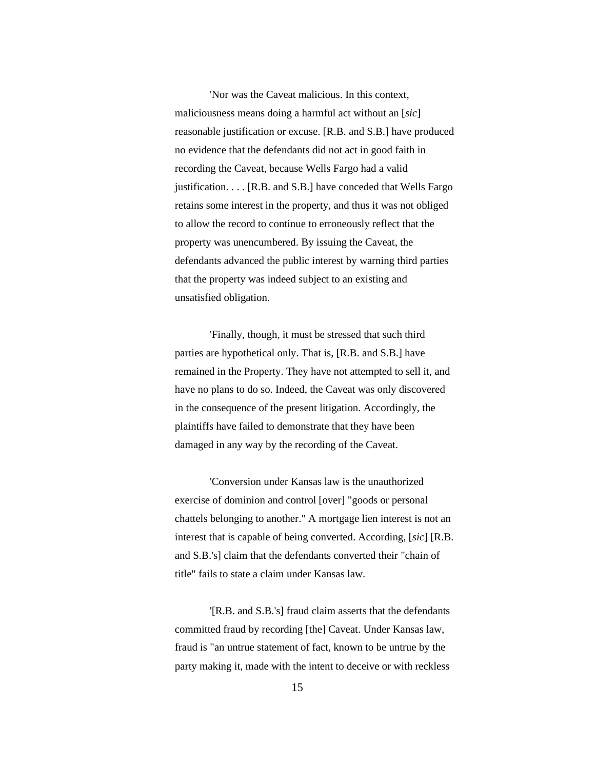'Nor was the Caveat malicious. In this context, maliciousness means doing a harmful act without an [*sic*] reasonable justification or excuse. [R.B. and S.B.] have produced no evidence that the defendants did not act in good faith in recording the Caveat, because Wells Fargo had a valid justification. . . . [R.B. and S.B.] have conceded that Wells Fargo retains some interest in the property, and thus it was not obliged to allow the record to continue to erroneously reflect that the property was unencumbered. By issuing the Caveat, the defendants advanced the public interest by warning third parties that the property was indeed subject to an existing and unsatisfied obligation.

'Finally, though, it must be stressed that such third parties are hypothetical only. That is, [R.B. and S.B.] have remained in the Property. They have not attempted to sell it, and have no plans to do so. Indeed, the Caveat was only discovered in the consequence of the present litigation. Accordingly, the plaintiffs have failed to demonstrate that they have been damaged in any way by the recording of the Caveat.

'Conversion under Kansas law is the unauthorized exercise of dominion and control [over] "goods or personal chattels belonging to another." A mortgage lien interest is not an interest that is capable of being converted. According, [*sic*] [R.B. and S.B.'s] claim that the defendants converted their "chain of title" fails to state a claim under Kansas law.

'[R.B. and S.B.'s] fraud claim asserts that the defendants committed fraud by recording [the] Caveat. Under Kansas law, fraud is "an untrue statement of fact, known to be untrue by the party making it, made with the intent to deceive or with reckless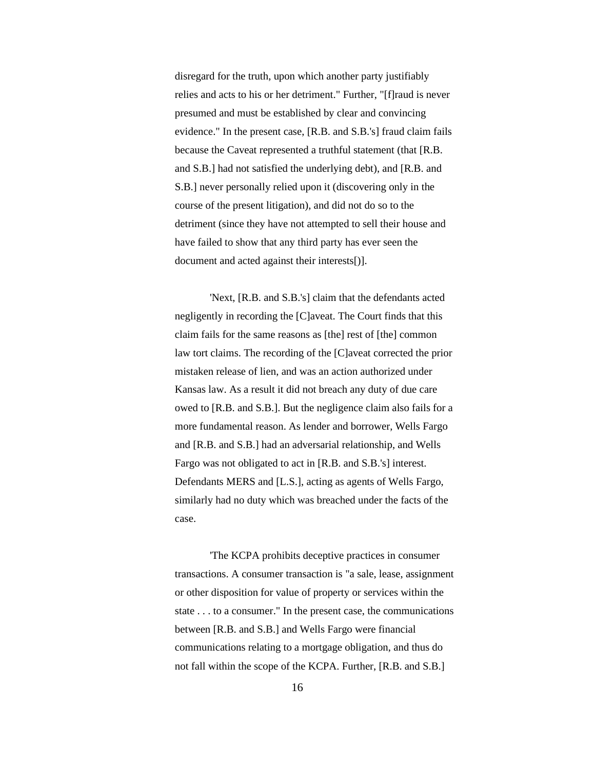disregard for the truth, upon which another party justifiably relies and acts to his or her detriment." Further, "[f]raud is never presumed and must be established by clear and convincing evidence." In the present case, [R.B. and S.B.'s] fraud claim fails because the Caveat represented a truthful statement (that [R.B. and S.B.] had not satisfied the underlying debt), and [R.B. and S.B.] never personally relied upon it (discovering only in the course of the present litigation), and did not do so to the detriment (since they have not attempted to sell their house and have failed to show that any third party has ever seen the document and acted against their interests[)].

'Next, [R.B. and S.B.'s] claim that the defendants acted negligently in recording the [C]aveat. The Court finds that this claim fails for the same reasons as [the] rest of [the] common law tort claims. The recording of the [C]aveat corrected the prior mistaken release of lien, and was an action authorized under Kansas law. As a result it did not breach any duty of due care owed to [R.B. and S.B.]. But the negligence claim also fails for a more fundamental reason. As lender and borrower, Wells Fargo and [R.B. and S.B.] had an adversarial relationship, and Wells Fargo was not obligated to act in [R.B. and S.B.'s] interest. Defendants MERS and [L.S.], acting as agents of Wells Fargo, similarly had no duty which was breached under the facts of the case.

'The KCPA prohibits deceptive practices in consumer transactions. A consumer transaction is "a sale, lease, assignment or other disposition for value of property or services within the state . . . to a consumer." In the present case, the communications between [R.B. and S.B.] and Wells Fargo were financial communications relating to a mortgage obligation, and thus do not fall within the scope of the KCPA. Further, [R.B. and S.B.]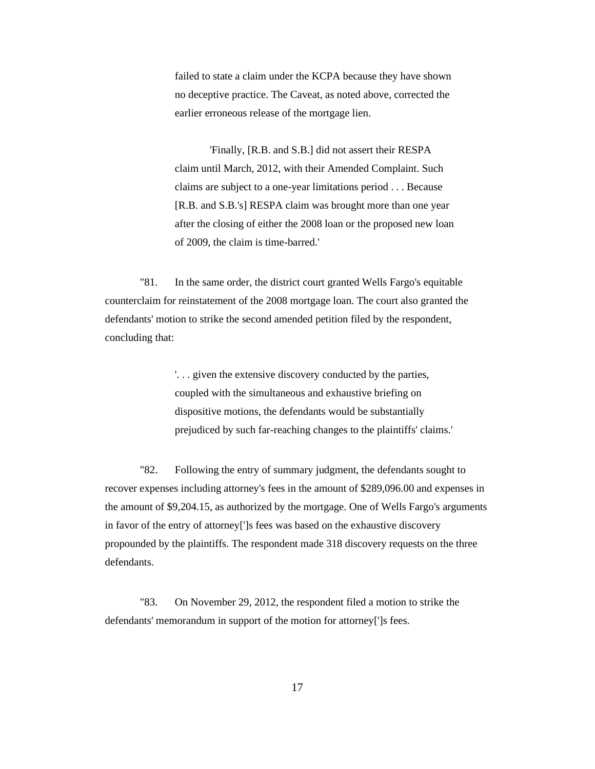failed to state a claim under the KCPA because they have shown no deceptive practice. The Caveat, as noted above, corrected the earlier erroneous release of the mortgage lien.

'Finally, [R.B. and S.B.] did not assert their RESPA claim until March, 2012, with their Amended Complaint. Such claims are subject to a one-year limitations period . . . Because [R.B. and S.B.'s] RESPA claim was brought more than one year after the closing of either the 2008 loan or the proposed new loan of 2009, the claim is time-barred.'

"81. In the same order, the district court granted Wells Fargo's equitable counterclaim for reinstatement of the 2008 mortgage loan. The court also granted the defendants' motion to strike the second amended petition filed by the respondent, concluding that:

> '. . . given the extensive discovery conducted by the parties, coupled with the simultaneous and exhaustive briefing on dispositive motions, the defendants would be substantially prejudiced by such far-reaching changes to the plaintiffs' claims.'

"82. Following the entry of summary judgment, the defendants sought to recover expenses including attorney's fees in the amount of \$289,096.00 and expenses in the amount of \$9,204.15, as authorized by the mortgage. One of Wells Fargo's arguments in favor of the entry of attorney[']s fees was based on the exhaustive discovery propounded by the plaintiffs. The respondent made 318 discovery requests on the three defendants.

"83. On November 29, 2012, the respondent filed a motion to strike the defendants' memorandum in support of the motion for attorney[']s fees.

17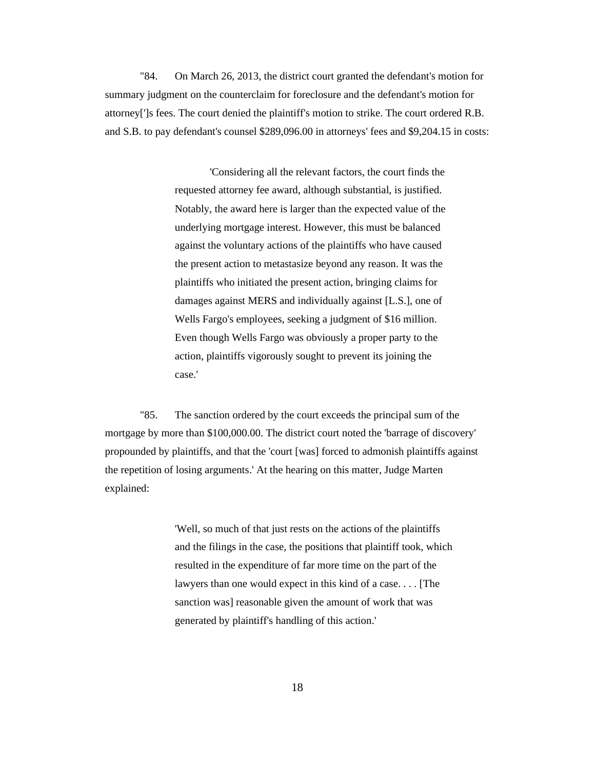"84. On March 26, 2013, the district court granted the defendant's motion for summary judgment on the counterclaim for foreclosure and the defendant's motion for attorney[']s fees. The court denied the plaintiff's motion to strike. The court ordered R.B. and S.B. to pay defendant's counsel \$289,096.00 in attorneys' fees and \$9,204.15 in costs:

> 'Considering all the relevant factors, the court finds the requested attorney fee award, although substantial, is justified. Notably, the award here is larger than the expected value of the underlying mortgage interest. However, this must be balanced against the voluntary actions of the plaintiffs who have caused the present action to metastasize beyond any reason. It was the plaintiffs who initiated the present action, bringing claims for damages against MERS and individually against [L.S.], one of Wells Fargo's employees, seeking a judgment of \$16 million. Even though Wells Fargo was obviously a proper party to the action, plaintiffs vigorously sought to prevent its joining the case.'

"85. The sanction ordered by the court exceeds the principal sum of the mortgage by more than \$100,000.00. The district court noted the 'barrage of discovery' propounded by plaintiffs, and that the 'court [was] forced to admonish plaintiffs against the repetition of losing arguments.' At the hearing on this matter, Judge Marten explained:

> 'Well, so much of that just rests on the actions of the plaintiffs and the filings in the case, the positions that plaintiff took, which resulted in the expenditure of far more time on the part of the lawyers than one would expect in this kind of a case. . . . [The sanction was] reasonable given the amount of work that was generated by plaintiff's handling of this action.'

> > 18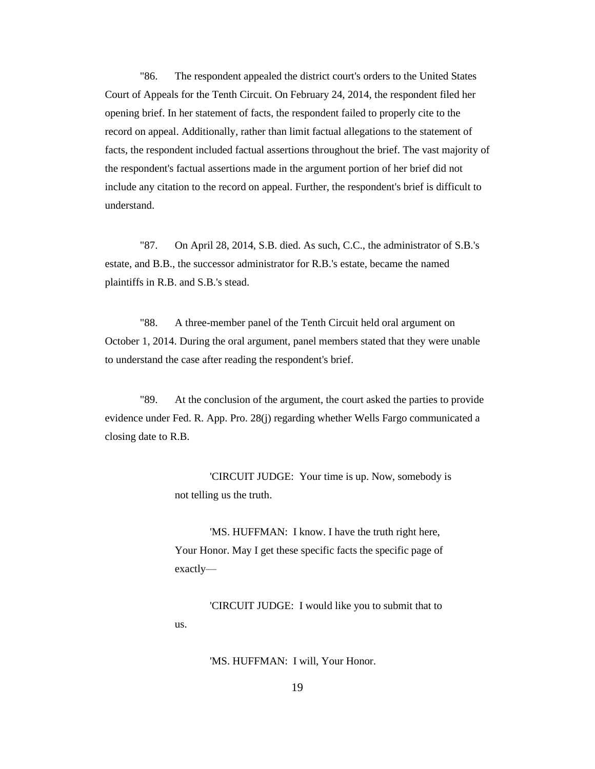"86. The respondent appealed the district court's orders to the United States Court of Appeals for the Tenth Circuit. On February 24, 2014, the respondent filed her opening brief. In her statement of facts, the respondent failed to properly cite to the record on appeal. Additionally, rather than limit factual allegations to the statement of facts, the respondent included factual assertions throughout the brief. The vast majority of the respondent's factual assertions made in the argument portion of her brief did not include any citation to the record on appeal. Further, the respondent's brief is difficult to understand.

"87. On April 28, 2014, S.B. died. As such, C.C., the administrator of S.B.'s estate, and B.B., the successor administrator for R.B.'s estate, became the named plaintiffs in R.B. and S.B.'s stead.

"88. A three-member panel of the Tenth Circuit held oral argument on October 1, 2014. During the oral argument, panel members stated that they were unable to understand the case after reading the respondent's brief.

"89. At the conclusion of the argument, the court asked the parties to provide evidence under Fed. R. App. Pro. 28(j) regarding whether Wells Fargo communicated a closing date to R.B.

> 'CIRCUIT JUDGE: Your time is up. Now, somebody is not telling us the truth.

'MS. HUFFMAN: I know. I have the truth right here, Your Honor. May I get these specific facts the specific page of exactly—

'CIRCUIT JUDGE: I would like you to submit that to us.

'MS. HUFFMAN: I will, Your Honor.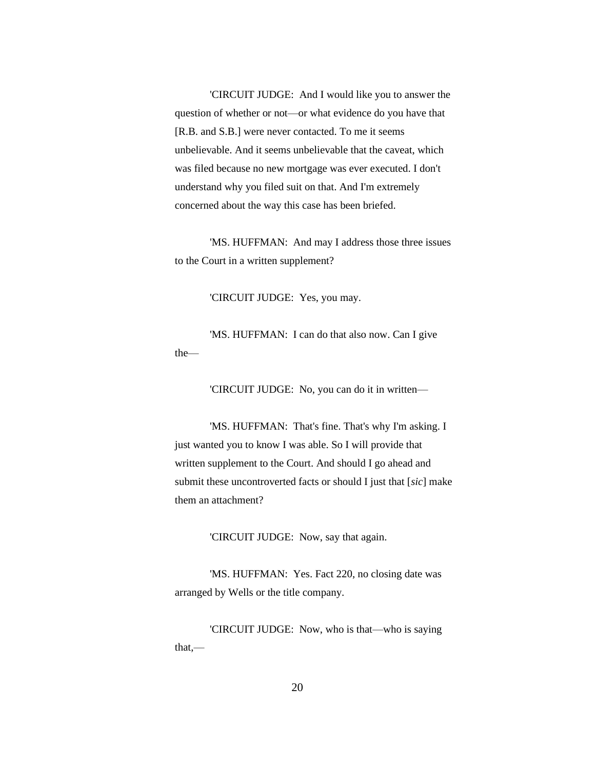'CIRCUIT JUDGE: And I would like you to answer the question of whether or not—or what evidence do you have that [R.B. and S.B.] were never contacted. To me it seems unbelievable. And it seems unbelievable that the caveat, which was filed because no new mortgage was ever executed. I don't understand why you filed suit on that. And I'm extremely concerned about the way this case has been briefed.

'MS. HUFFMAN: And may I address those three issues to the Court in a written supplement?

'CIRCUIT JUDGE: Yes, you may.

'MS. HUFFMAN: I can do that also now. Can I give the—

'CIRCUIT JUDGE: No, you can do it in written—

'MS. HUFFMAN: That's fine. That's why I'm asking. I just wanted you to know I was able. So I will provide that written supplement to the Court. And should I go ahead and submit these uncontroverted facts or should I just that [*sic*] make them an attachment?

'CIRCUIT JUDGE: Now, say that again.

'MS. HUFFMAN: Yes. Fact 220, no closing date was arranged by Wells or the title company.

'CIRCUIT JUDGE: Now, who is that—who is saying that,—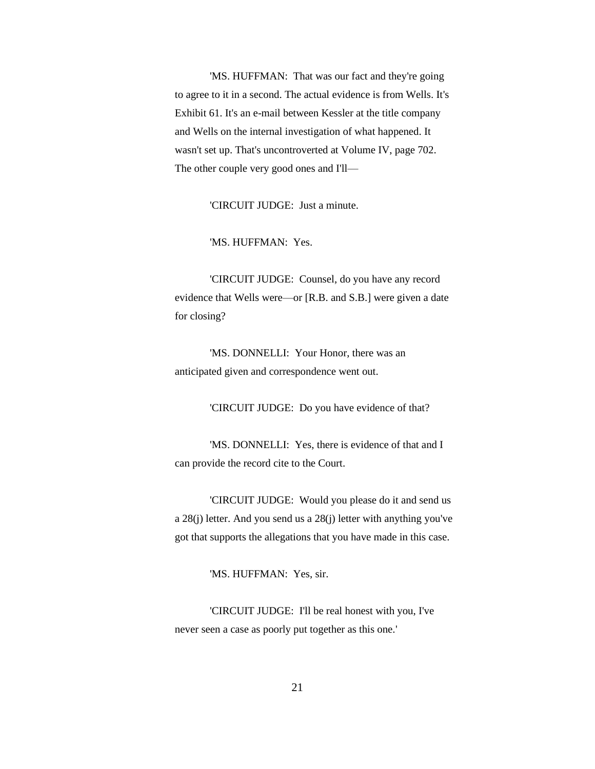'MS. HUFFMAN: That was our fact and they're going to agree to it in a second. The actual evidence is from Wells. It's Exhibit 61. It's an e-mail between Kessler at the title company and Wells on the internal investigation of what happened. It wasn't set up. That's uncontroverted at Volume IV, page 702. The other couple very good ones and I'll—

'CIRCUIT JUDGE: Just a minute.

'MS. HUFFMAN: Yes.

'CIRCUIT JUDGE: Counsel, do you have any record evidence that Wells were—or [R.B. and S.B.] were given a date for closing?

'MS. DONNELLI: Your Honor, there was an anticipated given and correspondence went out.

'CIRCUIT JUDGE: Do you have evidence of that?

'MS. DONNELLI: Yes, there is evidence of that and I can provide the record cite to the Court.

'CIRCUIT JUDGE: Would you please do it and send us a 28(j) letter. And you send us a 28(j) letter with anything you've got that supports the allegations that you have made in this case.

'MS. HUFFMAN: Yes, sir.

'CIRCUIT JUDGE: I'll be real honest with you, I've never seen a case as poorly put together as this one.'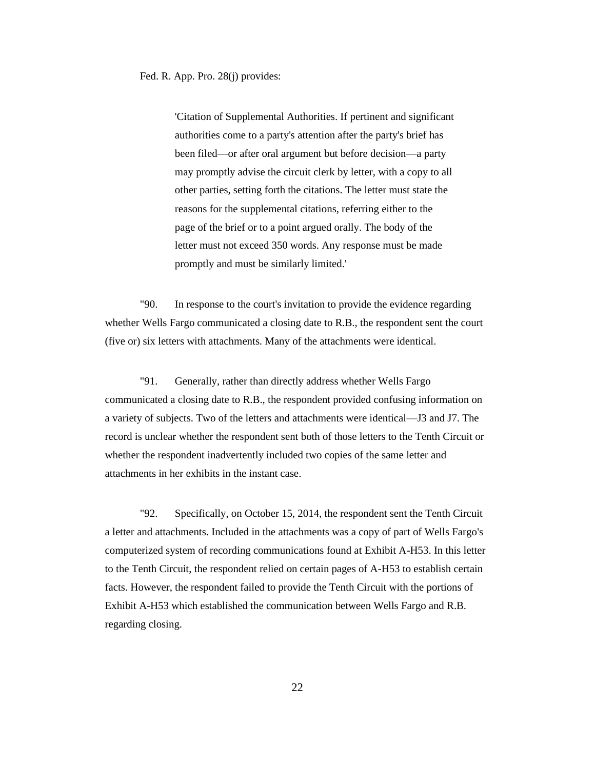Fed. R. App. Pro. 28(j) provides:

'Citation of Supplemental Authorities. If pertinent and significant authorities come to a party's attention after the party's brief has been filed—or after oral argument but before decision—a party may promptly advise the circuit clerk by letter, with a copy to all other parties, setting forth the citations. The letter must state the reasons for the supplemental citations, referring either to the page of the brief or to a point argued orally. The body of the letter must not exceed 350 words. Any response must be made promptly and must be similarly limited.'

"90. In response to the court's invitation to provide the evidence regarding whether Wells Fargo communicated a closing date to R.B., the respondent sent the court (five or) six letters with attachments. Many of the attachments were identical.

"91. Generally, rather than directly address whether Wells Fargo communicated a closing date to R.B., the respondent provided confusing information on a variety of subjects. Two of the letters and attachments were identical—J3 and J7. The record is unclear whether the respondent sent both of those letters to the Tenth Circuit or whether the respondent inadvertently included two copies of the same letter and attachments in her exhibits in the instant case.

"92. Specifically, on October 15, 2014, the respondent sent the Tenth Circuit a letter and attachments. Included in the attachments was a copy of part of Wells Fargo's computerized system of recording communications found at Exhibit A-H53. In this letter to the Tenth Circuit, the respondent relied on certain pages of A-H53 to establish certain facts. However, the respondent failed to provide the Tenth Circuit with the portions of Exhibit A-H53 which established the communication between Wells Fargo and R.B. regarding closing.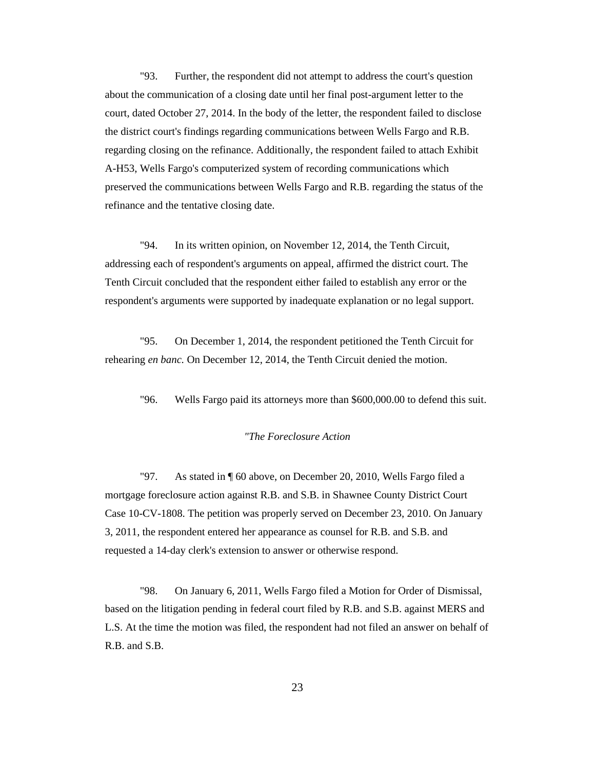"93. Further, the respondent did not attempt to address the court's question about the communication of a closing date until her final post-argument letter to the court, dated October 27, 2014. In the body of the letter, the respondent failed to disclose the district court's findings regarding communications between Wells Fargo and R.B. regarding closing on the refinance. Additionally, the respondent failed to attach Exhibit A-H53, Wells Fargo's computerized system of recording communications which preserved the communications between Wells Fargo and R.B. regarding the status of the refinance and the tentative closing date.

"94. In its written opinion, on November 12, 2014, the Tenth Circuit, addressing each of respondent's arguments on appeal, affirmed the district court. The Tenth Circuit concluded that the respondent either failed to establish any error or the respondent's arguments were supported by inadequate explanation or no legal support.

"95. On December 1, 2014, the respondent petitioned the Tenth Circuit for rehearing *en banc.* On December 12, 2014, the Tenth Circuit denied the motion.

"96. Wells Fargo paid its attorneys more than \$600,000.00 to defend this suit.

#### *"The Foreclosure Action*

"97. As stated in ¶ 60 above, on December 20, 2010, Wells Fargo filed a mortgage foreclosure action against R.B. and S.B. in Shawnee County District Court Case 10-CV-1808. The petition was properly served on December 23, 2010. On January 3, 2011, the respondent entered her appearance as counsel for R.B. and S.B. and requested a 14-day clerk's extension to answer or otherwise respond.

"98. On January 6, 2011, Wells Fargo filed a Motion for Order of Dismissal, based on the litigation pending in federal court filed by R.B. and S.B. against MERS and L.S. At the time the motion was filed, the respondent had not filed an answer on behalf of R.B. and S.B.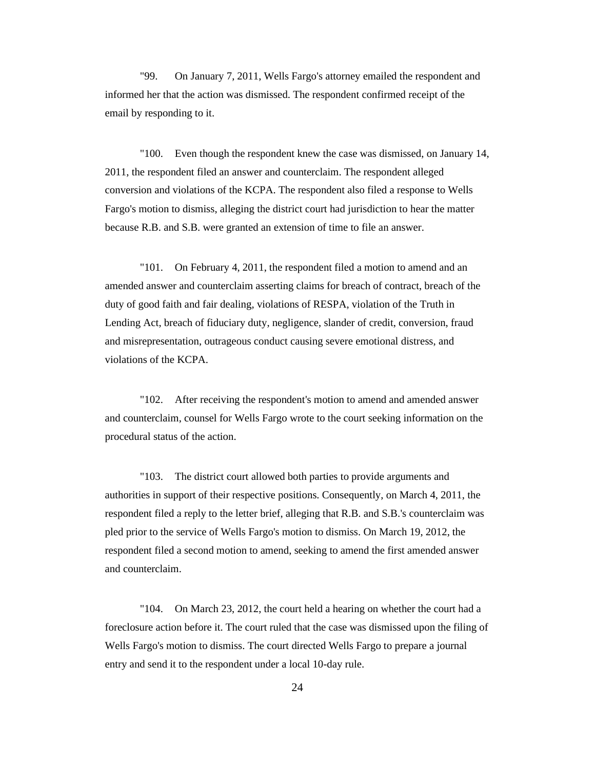"99. On January 7, 2011, Wells Fargo's attorney emailed the respondent and informed her that the action was dismissed. The respondent confirmed receipt of the email by responding to it.

"100. Even though the respondent knew the case was dismissed, on January 14, 2011, the respondent filed an answer and counterclaim. The respondent alleged conversion and violations of the KCPA. The respondent also filed a response to Wells Fargo's motion to dismiss, alleging the district court had jurisdiction to hear the matter because R.B. and S.B. were granted an extension of time to file an answer.

"101. On February 4, 2011, the respondent filed a motion to amend and an amended answer and counterclaim asserting claims for breach of contract, breach of the duty of good faith and fair dealing, violations of RESPA, violation of the Truth in Lending Act, breach of fiduciary duty, negligence, slander of credit, conversion, fraud and misrepresentation, outrageous conduct causing severe emotional distress, and violations of the KCPA.

"102. After receiving the respondent's motion to amend and amended answer and counterclaim, counsel for Wells Fargo wrote to the court seeking information on the procedural status of the action.

"103. The district court allowed both parties to provide arguments and authorities in support of their respective positions. Consequently, on March 4, 2011, the respondent filed a reply to the letter brief, alleging that R.B. and S.B.'s counterclaim was pled prior to the service of Wells Fargo's motion to dismiss. On March 19, 2012, the respondent filed a second motion to amend, seeking to amend the first amended answer and counterclaim.

"104. On March 23, 2012, the court held a hearing on whether the court had a foreclosure action before it. The court ruled that the case was dismissed upon the filing of Wells Fargo's motion to dismiss. The court directed Wells Fargo to prepare a journal entry and send it to the respondent under a local 10-day rule.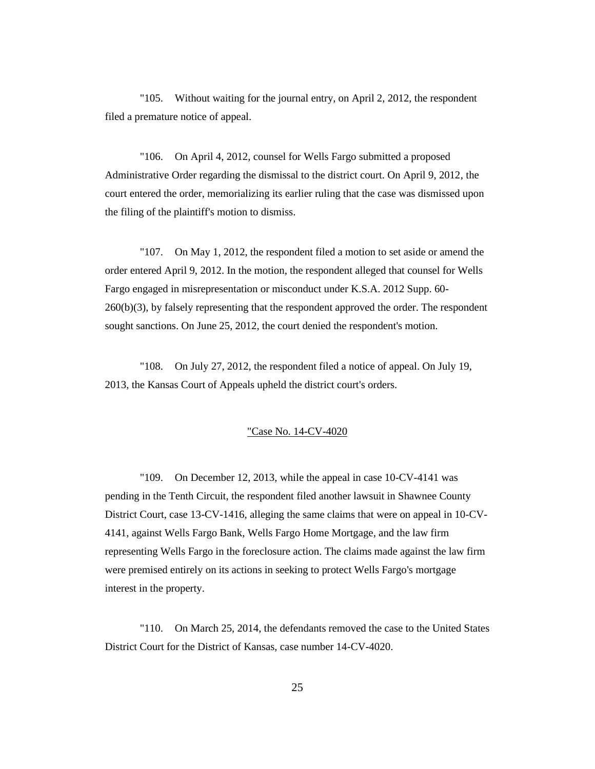"105. Without waiting for the journal entry, on April 2, 2012, the respondent filed a premature notice of appeal.

"106. On April 4, 2012, counsel for Wells Fargo submitted a proposed Administrative Order regarding the dismissal to the district court. On April 9, 2012, the court entered the order, memorializing its earlier ruling that the case was dismissed upon the filing of the plaintiff's motion to dismiss.

"107. On May 1, 2012, the respondent filed a motion to set aside or amend the order entered April 9, 2012. In the motion, the respondent alleged that counsel for Wells Fargo engaged in misrepresentation or misconduct under K.S.A. 2012 Supp. 60- 260(b)(3), by falsely representing that the respondent approved the order. The respondent sought sanctions. On June 25, 2012, the court denied the respondent's motion.

"108. On July 27, 2012, the respondent filed a notice of appeal. On July 19, 2013, the Kansas Court of Appeals upheld the district court's orders.

#### "Case No. 14-CV-4020

"109. On December 12, 2013, while the appeal in case 10-CV-4141 was pending in the Tenth Circuit, the respondent filed another lawsuit in Shawnee County District Court, case 13-CV-1416, alleging the same claims that were on appeal in 10-CV-4141, against Wells Fargo Bank, Wells Fargo Home Mortgage, and the law firm representing Wells Fargo in the foreclosure action. The claims made against the law firm were premised entirely on its actions in seeking to protect Wells Fargo's mortgage interest in the property.

"110. On March 25, 2014, the defendants removed the case to the United States District Court for the District of Kansas, case number 14-CV-4020.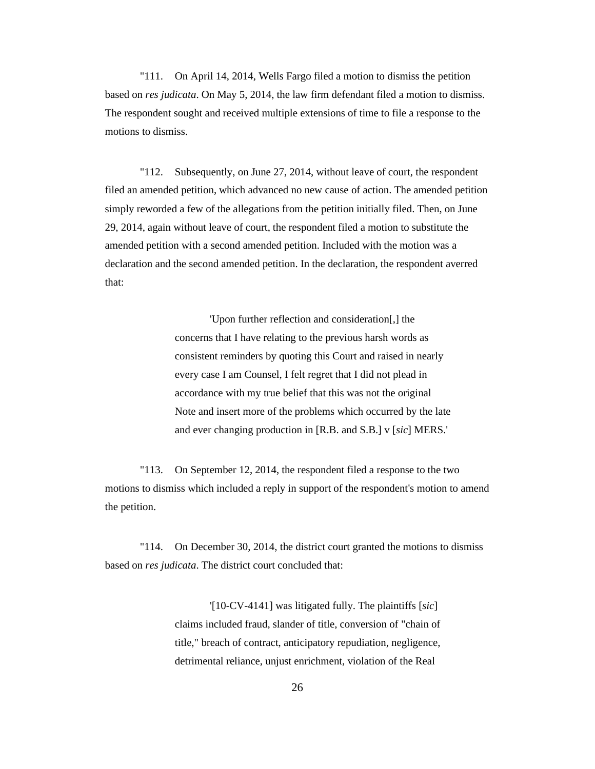"111. On April 14, 2014, Wells Fargo filed a motion to dismiss the petition based on *res judicata*. On May 5, 2014, the law firm defendant filed a motion to dismiss. The respondent sought and received multiple extensions of time to file a response to the motions to dismiss.

"112. Subsequently, on June 27, 2014, without leave of court, the respondent filed an amended petition, which advanced no new cause of action. The amended petition simply reworded a few of the allegations from the petition initially filed. Then, on June 29, 2014, again without leave of court, the respondent filed a motion to substitute the amended petition with a second amended petition. Included with the motion was a declaration and the second amended petition. In the declaration, the respondent averred that:

> 'Upon further reflection and consideration[,] the concerns that I have relating to the previous harsh words as consistent reminders by quoting this Court and raised in nearly every case I am Counsel, I felt regret that I did not plead in accordance with my true belief that this was not the original Note and insert more of the problems which occurred by the late and ever changing production in [R.B. and S.B.] v [*sic*] MERS.'

"113. On September 12, 2014, the respondent filed a response to the two motions to dismiss which included a reply in support of the respondent's motion to amend the petition.

"114. On December 30, 2014, the district court granted the motions to dismiss based on *res judicata*. The district court concluded that:

> '[10-CV-4141] was litigated fully. The plaintiffs [*sic*] claims included fraud, slander of title, conversion of "chain of title," breach of contract, anticipatory repudiation, negligence, detrimental reliance, unjust enrichment, violation of the Real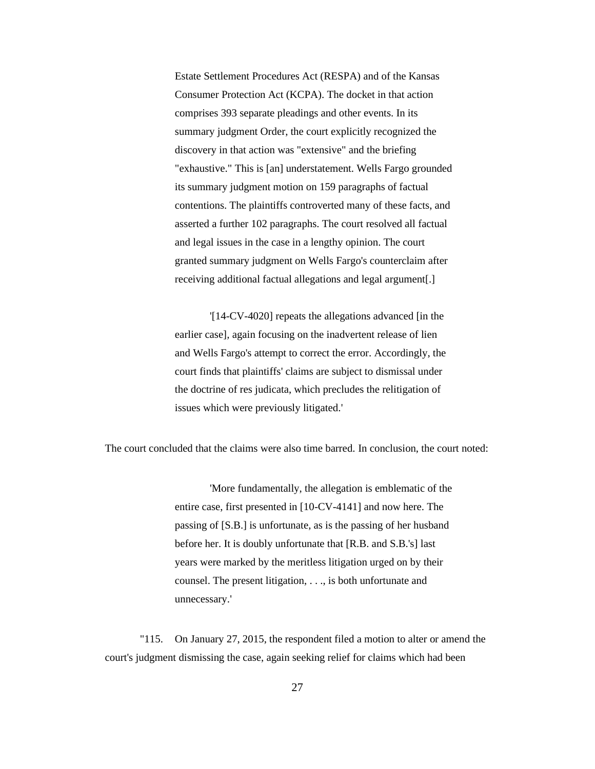Estate Settlement Procedures Act (RESPA) and of the Kansas Consumer Protection Act (KCPA). The docket in that action comprises 393 separate pleadings and other events. In its summary judgment Order, the court explicitly recognized the discovery in that action was "extensive" and the briefing "exhaustive." This is [an] understatement. Wells Fargo grounded its summary judgment motion on 159 paragraphs of factual contentions. The plaintiffs controverted many of these facts, and asserted a further 102 paragraphs. The court resolved all factual and legal issues in the case in a lengthy opinion. The court granted summary judgment on Wells Fargo's counterclaim after receiving additional factual allegations and legal argument[.]

'[14-CV-4020] repeats the allegations advanced [in the earlier case]*,* again focusing on the inadvertent release of lien and Wells Fargo's attempt to correct the error. Accordingly, the court finds that plaintiffs' claims are subject to dismissal under the doctrine of res judicata, which precludes the relitigation of issues which were previously litigated.'

The court concluded that the claims were also time barred. In conclusion, the court noted:

'More fundamentally, the allegation is emblematic of the entire case, first presented in [10-CV-4141] and now here. The passing of [S.B.] is unfortunate, as is the passing of her husband before her. It is doubly unfortunate that [R.B. and S.B.'s] last years were marked by the meritless litigation urged on by their counsel. The present litigation, . . ., is both unfortunate and unnecessary.'

"115. On January 27, 2015, the respondent filed a motion to alter or amend the court's judgment dismissing the case, again seeking relief for claims which had been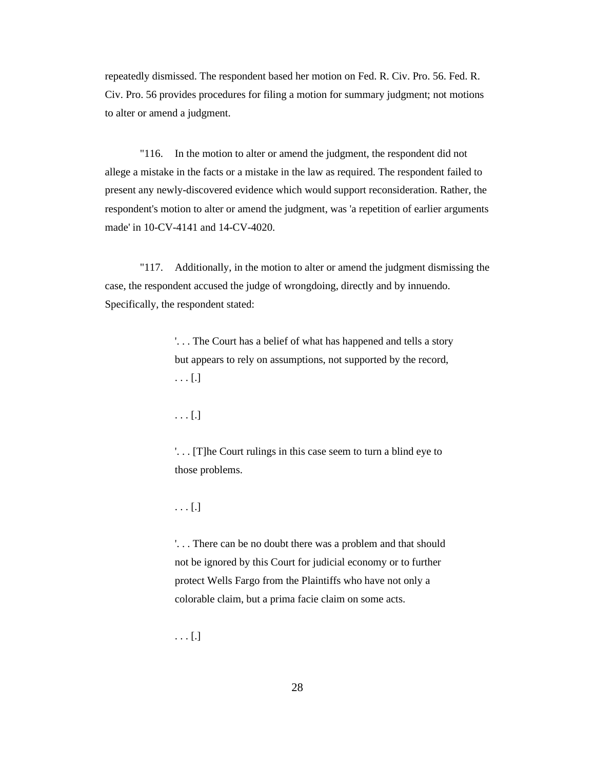repeatedly dismissed. The respondent based her motion on Fed. R. Civ. Pro. 56. Fed. R. Civ. Pro. 56 provides procedures for filing a motion for summary judgment; not motions to alter or amend a judgment.

"116. In the motion to alter or amend the judgment, the respondent did not allege a mistake in the facts or a mistake in the law as required. The respondent failed to present any newly-discovered evidence which would support reconsideration. Rather, the respondent's motion to alter or amend the judgment, was 'a repetition of earlier arguments made' in 10-CV-4141 and 14-CV-4020.

"117. Additionally, in the motion to alter or amend the judgment dismissing the case, the respondent accused the judge of wrongdoing, directly and by innuendo. Specifically, the respondent stated:

> '. . . The Court has a belief of what has happened and tells a story but appears to rely on assumptions, not supported by the record, . . . [.]

. . . [.]

'. . . [T]he Court rulings in this case seem to turn a blind eye to those problems.

. . . [.]

'. . . There can be no doubt there was a problem and that should not be ignored by this Court for judicial economy or to further protect Wells Fargo from the Plaintiffs who have not only a colorable claim, but a prima facie claim on some acts.

. . . [.]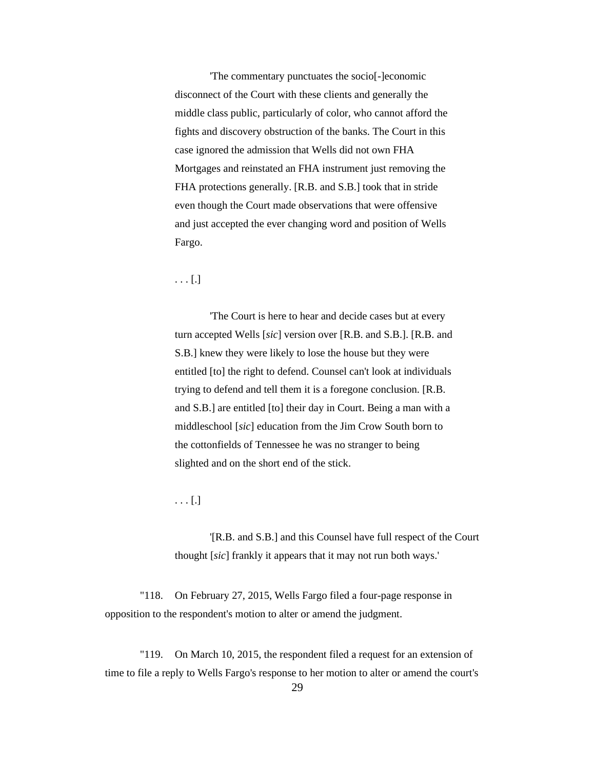'The commentary punctuates the socio[-]economic disconnect of the Court with these clients and generally the middle class public, particularly of color, who cannot afford the fights and discovery obstruction of the banks. The Court in this case ignored the admission that Wells did not own FHA Mortgages and reinstated an FHA instrument just removing the FHA protections generally. [R.B. and S.B.] took that in stride even though the Court made observations that were offensive and just accepted the ever changing word and position of Wells Fargo.

### . . . [.]

'The Court is here to hear and decide cases but at every turn accepted Wells [*sic*] version over [R.B. and S.B.]. [R.B. and S.B.] knew they were likely to lose the house but they were entitled [to] the right to defend. Counsel can't look at individuals trying to defend and tell them it is a foregone conclusion. [R.B. and S.B.] are entitled [to] their day in Court. Being a man with a middleschool [*sic*] education from the Jim Crow South born to the cottonfields of Tennessee he was no stranger to being slighted and on the short end of the stick.

 $\ldots$  [.]

'[R.B. and S.B.] and this Counsel have full respect of the Court thought [*sic*] frankly it appears that it may not run both ways.'

"118. On February 27, 2015, Wells Fargo filed a four-page response in opposition to the respondent's motion to alter or amend the judgment.

"119. On March 10, 2015, the respondent filed a request for an extension of time to file a reply to Wells Fargo's response to her motion to alter or amend the court's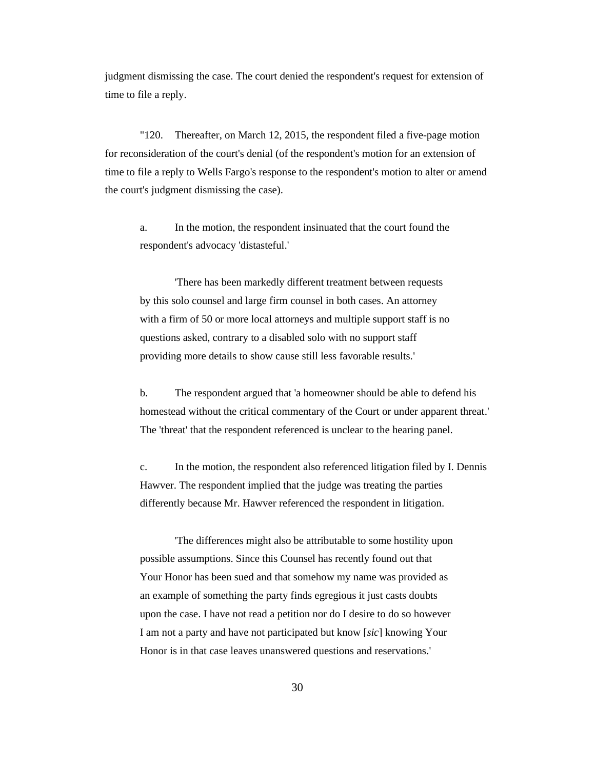judgment dismissing the case. The court denied the respondent's request for extension of time to file a reply.

"120. Thereafter, on March 12, 2015, the respondent filed a five-page motion for reconsideration of the court's denial (of the respondent's motion for an extension of time to file a reply to Wells Fargo's response to the respondent's motion to alter or amend the court's judgment dismissing the case).

a. In the motion, the respondent insinuated that the court found the respondent's advocacy 'distasteful.'

'There has been markedly different treatment between requests by this solo counsel and large firm counsel in both cases. An attorney with a firm of 50 or more local attorneys and multiple support staff is no questions asked, contrary to a disabled solo with no support staff providing more details to show cause still less favorable results.'

b. The respondent argued that 'a homeowner should be able to defend his homestead without the critical commentary of the Court or under apparent threat.' The 'threat' that the respondent referenced is unclear to the hearing panel.

c. In the motion, the respondent also referenced litigation filed by I. Dennis Hawver. The respondent implied that the judge was treating the parties differently because Mr. Hawver referenced the respondent in litigation.

'The differences might also be attributable to some hostility upon possible assumptions. Since this Counsel has recently found out that Your Honor has been sued and that somehow my name was provided as an example of something the party finds egregious it just casts doubts upon the case. I have not read a petition nor do I desire to do so however I am not a party and have not participated but know [*sic*] knowing Your Honor is in that case leaves unanswered questions and reservations.'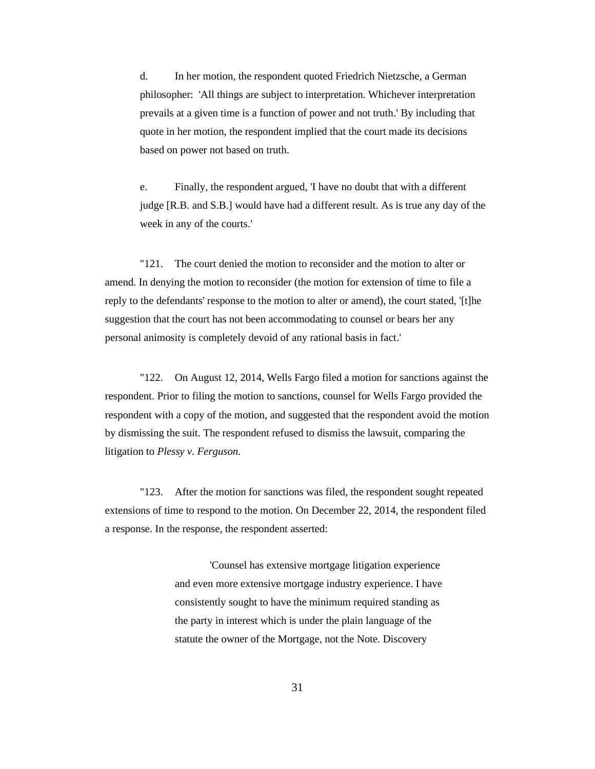d. In her motion, the respondent quoted Friedrich Nietzsche, a German philosopher: 'All things are subject to interpretation. Whichever interpretation prevails at a given time is a function of power and not truth.' By including that quote in her motion, the respondent implied that the court made its decisions based on power not based on truth.

e. Finally, the respondent argued, 'I have no doubt that with a different judge [R.B. and S.B.] would have had a different result. As is true any day of the week in any of the courts.'

"121. The court denied the motion to reconsider and the motion to alter or amend. In denying the motion to reconsider (the motion for extension of time to file a reply to the defendants' response to the motion to alter or amend), the court stated, '[t]he suggestion that the court has not been accommodating to counsel or bears her any personal animosity is completely devoid of any rational basis in fact.'

"122. On August 12, 2014, Wells Fargo filed a motion for sanctions against the respondent. Prior to filing the motion to sanctions, counsel for Wells Fargo provided the respondent with a copy of the motion, and suggested that the respondent avoid the motion by dismissing the suit. The respondent refused to dismiss the lawsuit, comparing the litigation to *Plessy v. Ferguson.*

"123. After the motion for sanctions was filed, the respondent sought repeated extensions of time to respond to the motion. On December 22, 2014, the respondent filed a response. In the response, the respondent asserted:

> 'Counsel has extensive mortgage litigation experience and even more extensive mortgage industry experience. I have consistently sought to have the minimum required standing as the party in interest which is under the plain language of the statute the owner of the Mortgage, not the Note. Discovery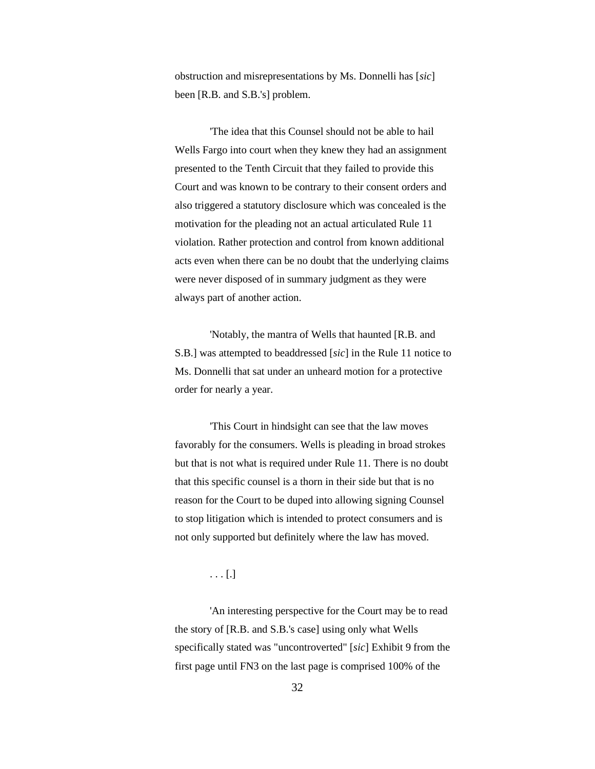obstruction and misrepresentations by Ms. Donnelli has [*sic*] been [R.B. and S.B.'s] problem.

'The idea that this Counsel should not be able to hail Wells Fargo into court when they knew they had an assignment presented to the Tenth Circuit that they failed to provide this Court and was known to be contrary to their consent orders and also triggered a statutory disclosure which was concealed is the motivation for the pleading not an actual articulated Rule 11 violation. Rather protection and control from known additional acts even when there can be no doubt that the underlying claims were never disposed of in summary judgment as they were always part of another action.

'Notably, the mantra of Wells that haunted [R.B. and S.B.] was attempted to beaddressed [*sic*] in the Rule 11 notice to Ms. Donnelli that sat under an unheard motion for a protective order for nearly a year.

'This Court in hindsight can see that the law moves favorably for the consumers. Wells is pleading in broad strokes but that is not what is required under Rule 11. There is no doubt that this specific counsel is a thorn in their side but that is no reason for the Court to be duped into allowing signing Counsel to stop litigation which is intended to protect consumers and is not only supported but definitely where the law has moved.

### . . . [.]

'An interesting perspective for the Court may be to read the story of [R.B. and S.B.'s case] using only what Wells specifically stated was "uncontroverted" [*sic*] Exhibit 9 from the first page until FN3 on the last page is comprised 100% of the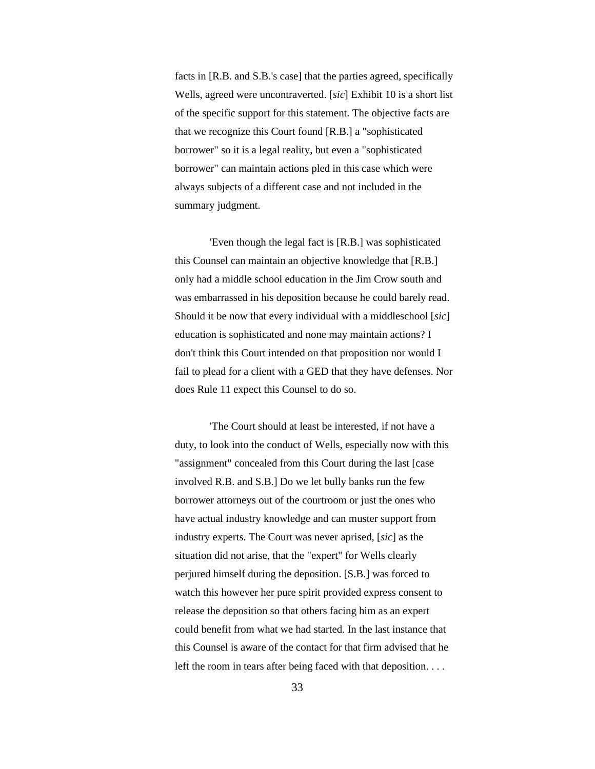facts in [R.B. and S.B.'s case] that the parties agreed, specifically Wells, agreed were uncontraverted. [*sic*] Exhibit 10 is a short list of the specific support for this statement. The objective facts are that we recognize this Court found [R.B.] a "sophisticated borrower" so it is a legal reality, but even a "sophisticated borrower" can maintain actions pled in this case which were always subjects of a different case and not included in the summary judgment.

'Even though the legal fact is [R.B.] was sophisticated this Counsel can maintain an objective knowledge that [R.B.] only had a middle school education in the Jim Crow south and was embarrassed in his deposition because he could barely read. Should it be now that every individual with a middleschool [*sic*] education is sophisticated and none may maintain actions? I don't think this Court intended on that proposition nor would I fail to plead for a client with a GED that they have defenses. Nor does Rule 11 expect this Counsel to do so.

'The Court should at least be interested, if not have a duty, to look into the conduct of Wells, especially now with this "assignment" concealed from this Court during the last [case involved R.B. and S.B.] Do we let bully banks run the few borrower attorneys out of the courtroom or just the ones who have actual industry knowledge and can muster support from industry experts. The Court was never aprised, [*sic*] as the situation did not arise, that the "expert" for Wells clearly perjured himself during the deposition. [S.B.] was forced to watch this however her pure spirit provided express consent to release the deposition so that others facing him as an expert could benefit from what we had started. In the last instance that this Counsel is aware of the contact for that firm advised that he left the room in tears after being faced with that deposition. . . .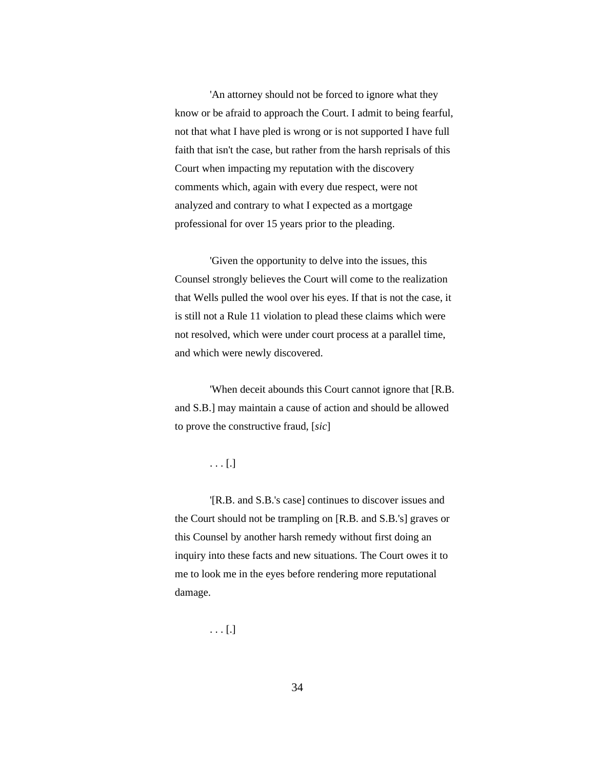'An attorney should not be forced to ignore what they know or be afraid to approach the Court. I admit to being fearful, not that what I have pled is wrong or is not supported I have full faith that isn't the case, but rather from the harsh reprisals of this Court when impacting my reputation with the discovery comments which, again with every due respect, were not analyzed and contrary to what I expected as a mortgage professional for over 15 years prior to the pleading.

'Given the opportunity to delve into the issues, this Counsel strongly believes the Court will come to the realization that Wells pulled the wool over his eyes. If that is not the case, it is still not a Rule 11 violation to plead these claims which were not resolved, which were under court process at a parallel time, and which were newly discovered.

'When deceit abounds this Court cannot ignore that [R.B. and S.B.] may maintain a cause of action and should be allowed to prove the constructive fraud, [*sic*]

## . . . [.]

'[R.B. and S.B.'s case] continues to discover issues and the Court should not be trampling on [R.B. and S.B.'s] graves or this Counsel by another harsh remedy without first doing an inquiry into these facts and new situations. The Court owes it to me to look me in the eyes before rendering more reputational damage.

. . . [.]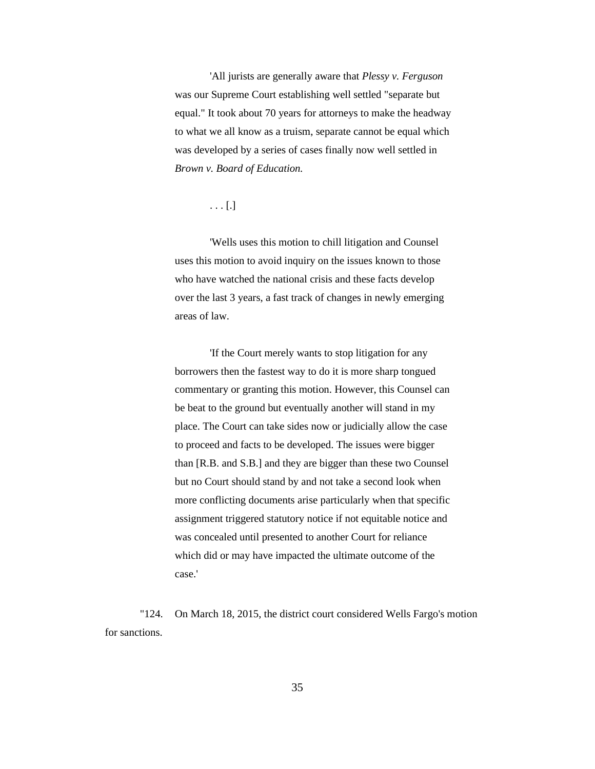'All jurists are generally aware that *Plessy v. Ferguson* was our Supreme Court establishing well settled "separate but equal." It took about 70 years for attorneys to make the headway to what we all know as a truism, separate cannot be equal which was developed by a series of cases finally now well settled in *Brown v. Board of Education.*

. . . [.]

'Wells uses this motion to chill litigation and Counsel uses this motion to avoid inquiry on the issues known to those who have watched the national crisis and these facts develop over the last 3 years, a fast track of changes in newly emerging areas of law.

'If the Court merely wants to stop litigation for any borrowers then the fastest way to do it is more sharp tongued commentary or granting this motion. However, this Counsel can be beat to the ground but eventually another will stand in my place. The Court can take sides now or judicially allow the case to proceed and facts to be developed. The issues were bigger than [R.B. and S.B.] and they are bigger than these two Counsel but no Court should stand by and not take a second look when more conflicting documents arise particularly when that specific assignment triggered statutory notice if not equitable notice and was concealed until presented to another Court for reliance which did or may have impacted the ultimate outcome of the case.'

"124. On March 18, 2015, the district court considered Wells Fargo's motion for sanctions.

35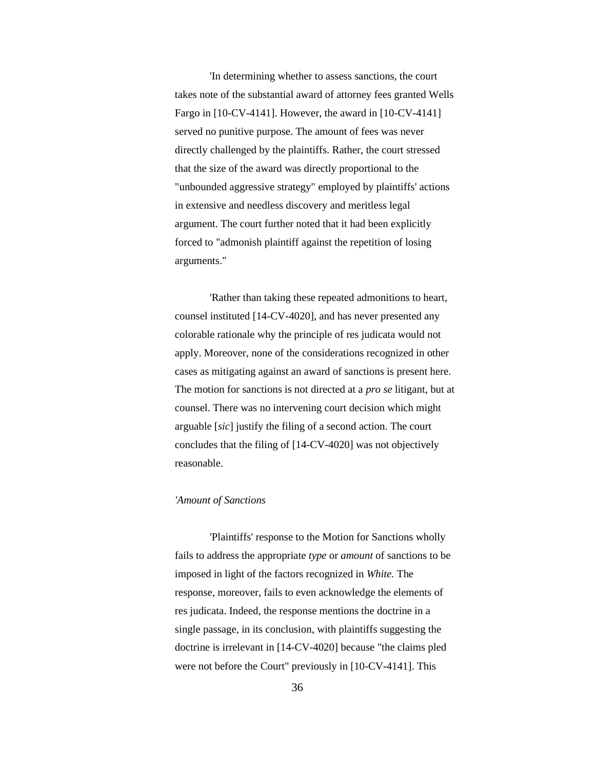'In determining whether to assess sanctions, the court takes note of the substantial award of attorney fees granted Wells Fargo in [10-CV-4141]. However, the award in [10-CV-4141] served no punitive purpose. The amount of fees was never directly challenged by the plaintiffs. Rather, the court stressed that the size of the award was directly proportional to the "unbounded aggressive strategy" employed by plaintiffs' actions in extensive and needless discovery and meritless legal argument. The court further noted that it had been explicitly forced to "admonish plaintiff against the repetition of losing arguments."

'Rather than taking these repeated admonitions to heart, counsel instituted [14-CV-4020], and has never presented any colorable rationale why the principle of res judicata would not apply. Moreover, none of the considerations recognized in other cases as mitigating against an award of sanctions is present here. The motion for sanctions is not directed at a *pro se* litigant, but at counsel. There was no intervening court decision which might arguable [*sic*] justify the filing of a second action. The court concludes that the filing of [14-CV-4020] was not objectively reasonable.

#### *'Amount of Sanctions*

'Plaintiffs' response to the Motion for Sanctions wholly fails to address the appropriate *type* or *amount* of sanctions to be imposed in light of the factors recognized in *White.* The response, moreover, fails to even acknowledge the elements of res judicata. Indeed, the response mentions the doctrine in a single passage, in its conclusion, with plaintiffs suggesting the doctrine is irrelevant in [14-CV-4020] because "the claims pled were not before the Court" previously in [10-CV-4141]. This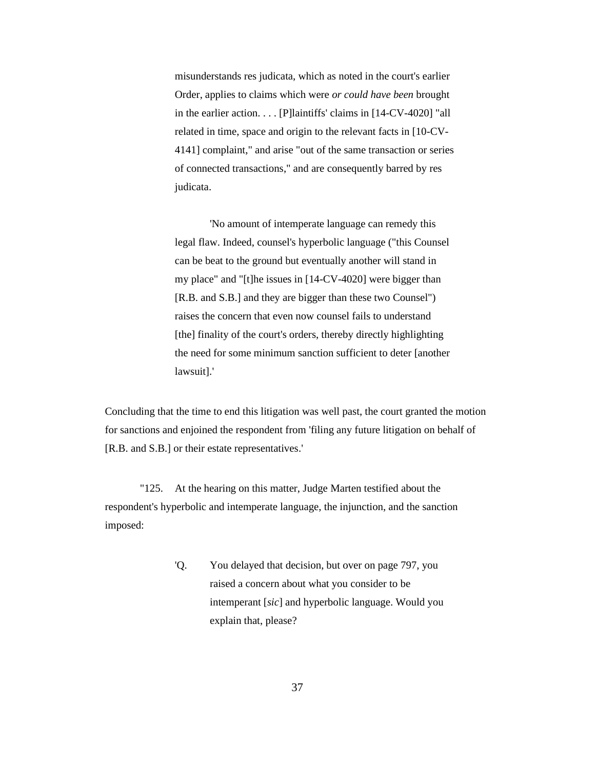misunderstands res judicata, which as noted in the court's earlier Order, applies to claims which were *or could have been* brought in the earlier action. . . . [P]laintiffs' claims in [14-CV-4020] "all related in time, space and origin to the relevant facts in [10-CV-4141] complaint," and arise "out of the same transaction or series of connected transactions," and are consequently barred by res judicata.

'No amount of intemperate language can remedy this legal flaw. Indeed, counsel's hyperbolic language ("this Counsel can be beat to the ground but eventually another will stand in my place" and "[t]he issues in [14-CV-4020] were bigger than [R.B. and S.B.] and they are bigger than these two Counsel") raises the concern that even now counsel fails to understand [the] finality of the court's orders, thereby directly highlighting the need for some minimum sanction sufficient to deter [another lawsuit].'

Concluding that the time to end this litigation was well past, the court granted the motion for sanctions and enjoined the respondent from 'filing any future litigation on behalf of [R.B. and S.B.] or their estate representatives.'

"125. At the hearing on this matter, Judge Marten testified about the respondent's hyperbolic and intemperate language, the injunction, and the sanction imposed:

> 'Q. You delayed that decision, but over on page 797, you raised a concern about what you consider to be intemperant [*sic*] and hyperbolic language. Would you explain that, please?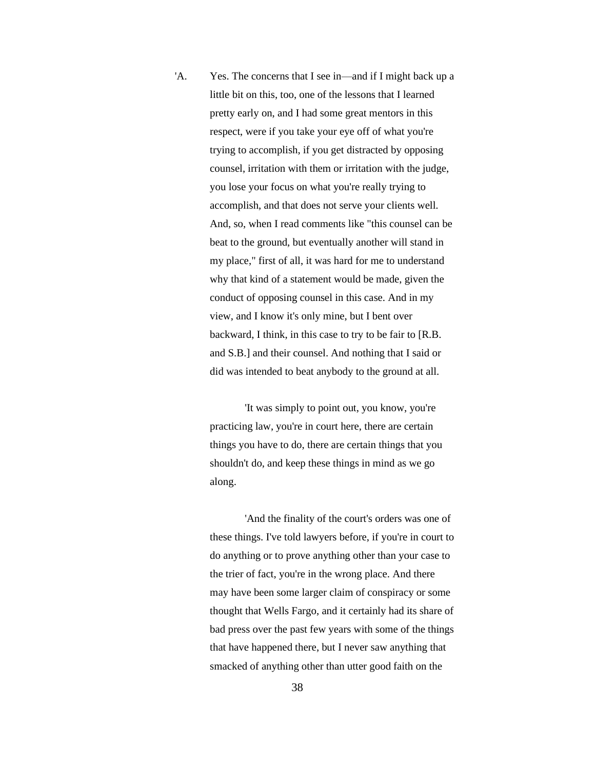'A. Yes. The concerns that I see in—and if I might back up a little bit on this, too, one of the lessons that I learned pretty early on, and I had some great mentors in this respect, were if you take your eye off of what you're trying to accomplish, if you get distracted by opposing counsel, irritation with them or irritation with the judge, you lose your focus on what you're really trying to accomplish, and that does not serve your clients well. And, so, when I read comments like "this counsel can be beat to the ground, but eventually another will stand in my place," first of all, it was hard for me to understand why that kind of a statement would be made, given the conduct of opposing counsel in this case. And in my view, and I know it's only mine, but I bent over backward, I think, in this case to try to be fair to [R.B. and S.B.] and their counsel. And nothing that I said or did was intended to beat anybody to the ground at all.

> 'It was simply to point out, you know, you're practicing law, you're in court here, there are certain things you have to do, there are certain things that you shouldn't do, and keep these things in mind as we go along.

'And the finality of the court's orders was one of these things. I've told lawyers before, if you're in court to do anything or to prove anything other than your case to the trier of fact, you're in the wrong place. And there may have been some larger claim of conspiracy or some thought that Wells Fargo, and it certainly had its share of bad press over the past few years with some of the things that have happened there, but I never saw anything that smacked of anything other than utter good faith on the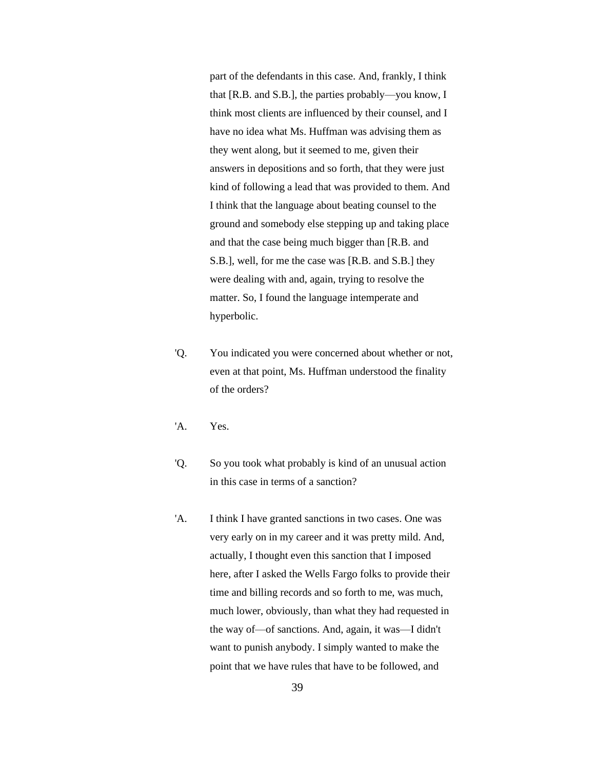part of the defendants in this case. And, frankly, I think that [R.B. and S.B.], the parties probably—you know, I think most clients are influenced by their counsel, and I have no idea what Ms. Huffman was advising them as they went along, but it seemed to me, given their answers in depositions and so forth, that they were just kind of following a lead that was provided to them. And I think that the language about beating counsel to the ground and somebody else stepping up and taking place and that the case being much bigger than [R.B. and S.B.], well, for me the case was [R.B. and S.B.] they were dealing with and, again, trying to resolve the matter. So, I found the language intemperate and hyperbolic.

- 'Q. You indicated you were concerned about whether or not, even at that point, Ms. Huffman understood the finality of the orders?
- 'A. Yes.
- 'Q. So you took what probably is kind of an unusual action in this case in terms of a sanction?
- 'A. I think I have granted sanctions in two cases. One was very early on in my career and it was pretty mild. And, actually, I thought even this sanction that I imposed here, after I asked the Wells Fargo folks to provide their time and billing records and so forth to me, was much, much lower, obviously, than what they had requested in the way of—of sanctions. And, again, it was—I didn't want to punish anybody. I simply wanted to make the point that we have rules that have to be followed, and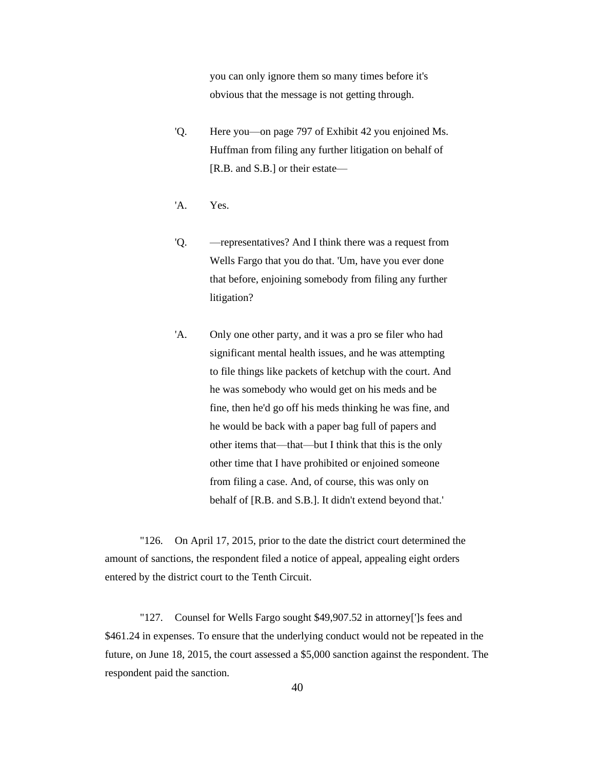you can only ignore them so many times before it's obvious that the message is not getting through.

- 'Q. Here you—on page 797 of Exhibit 42 you enjoined Ms. Huffman from filing any further litigation on behalf of [R.B. and S.B.] or their estate—
- 'A. Yes.
- 'Q. —representatives? And I think there was a request from Wells Fargo that you do that. 'Um, have you ever done that before, enjoining somebody from filing any further litigation?
- 'A. Only one other party, and it was a pro se filer who had significant mental health issues, and he was attempting to file things like packets of ketchup with the court. And he was somebody who would get on his meds and be fine, then he'd go off his meds thinking he was fine, and he would be back with a paper bag full of papers and other items that—that—but I think that this is the only other time that I have prohibited or enjoined someone from filing a case. And, of course, this was only on behalf of [R.B. and S.B.]. It didn't extend beyond that.'

"126. On April 17, 2015, prior to the date the district court determined the amount of sanctions, the respondent filed a notice of appeal, appealing eight orders entered by the district court to the Tenth Circuit.

"127. Counsel for Wells Fargo sought \$49,907.52 in attorney[']s fees and \$461.24 in expenses. To ensure that the underlying conduct would not be repeated in the future, on June 18, 2015, the court assessed a \$5,000 sanction against the respondent. The respondent paid the sanction.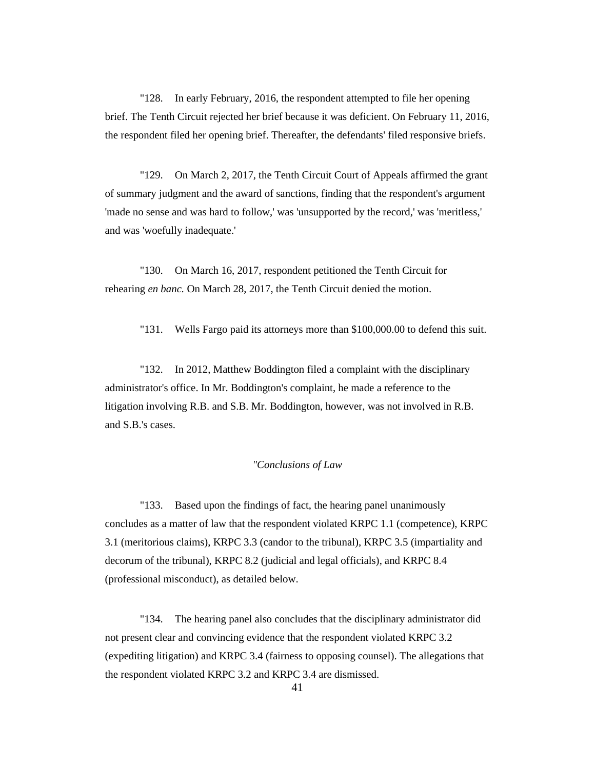"128. In early February, 2016, the respondent attempted to file her opening brief. The Tenth Circuit rejected her brief because it was deficient. On February 11, 2016, the respondent filed her opening brief. Thereafter, the defendants' filed responsive briefs.

"129. On March 2, 2017, the Tenth Circuit Court of Appeals affirmed the grant of summary judgment and the award of sanctions, finding that the respondent's argument 'made no sense and was hard to follow,' was 'unsupported by the record,' was 'meritless,' and was 'woefully inadequate.'

"130. On March 16, 2017, respondent petitioned the Tenth Circuit for rehearing *en banc.* On March 28, 2017, the Tenth Circuit denied the motion.

"131. Wells Fargo paid its attorneys more than \$100,000.00 to defend this suit.

"132. In 2012, Matthew Boddington filed a complaint with the disciplinary administrator's office. In Mr. Boddington's complaint, he made a reference to the litigation involving R.B. and S.B. Mr. Boddington, however, was not involved in R.B. and S.B.'s cases.

## *"Conclusions of Law*

"133. Based upon the findings of fact, the hearing panel unanimously concludes as a matter of law that the respondent violated KRPC 1.1 (competence), KRPC 3.1 (meritorious claims), KRPC 3.3 (candor to the tribunal), KRPC 3.5 (impartiality and decorum of the tribunal), KRPC 8.2 (judicial and legal officials), and KRPC 8.4 (professional misconduct), as detailed below.

"134. The hearing panel also concludes that the disciplinary administrator did not present clear and convincing evidence that the respondent violated KRPC 3.2 (expediting litigation) and KRPC 3.4 (fairness to opposing counsel). The allegations that the respondent violated KRPC 3.2 and KRPC 3.4 are dismissed.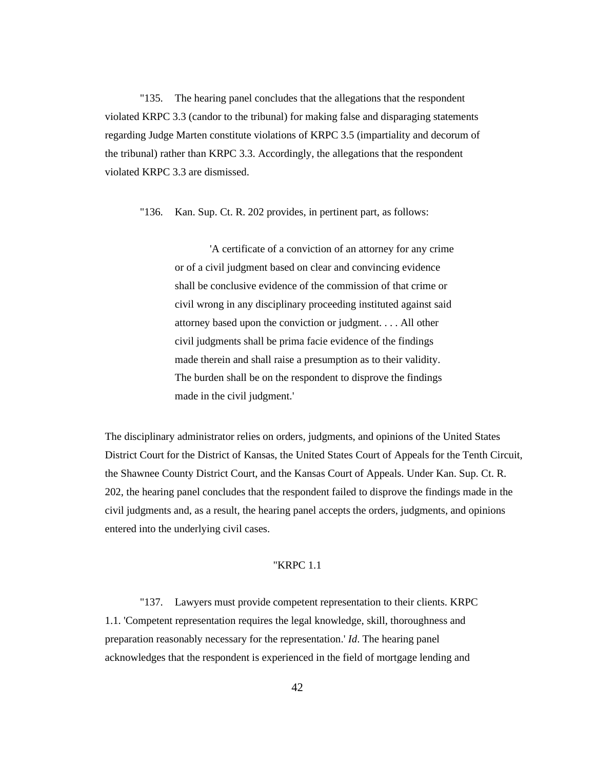"135. The hearing panel concludes that the allegations that the respondent violated KRPC 3.3 (candor to the tribunal) for making false and disparaging statements regarding Judge Marten constitute violations of KRPC 3.5 (impartiality and decorum of the tribunal) rather than KRPC 3.3. Accordingly, the allegations that the respondent violated KRPC 3.3 are dismissed.

"136. Kan. Sup. Ct. R. 202 provides, in pertinent part, as follows:

'A certificate of a conviction of an attorney for any crime or of a civil judgment based on clear and convincing evidence shall be conclusive evidence of the commission of that crime or civil wrong in any disciplinary proceeding instituted against said attorney based upon the conviction or judgment. . . . All other civil judgments shall be prima facie evidence of the findings made therein and shall raise a presumption as to their validity. The burden shall be on the respondent to disprove the findings made in the civil judgment.'

The disciplinary administrator relies on orders, judgments, and opinions of the United States District Court for the District of Kansas, the United States Court of Appeals for the Tenth Circuit, the Shawnee County District Court, and the Kansas Court of Appeals. Under Kan. Sup. Ct. R. 202, the hearing panel concludes that the respondent failed to disprove the findings made in the civil judgments and, as a result, the hearing panel accepts the orders, judgments, and opinions entered into the underlying civil cases.

#### "KRPC 1.1

"137. Lawyers must provide competent representation to their clients. KRPC 1.1. 'Competent representation requires the legal knowledge, skill, thoroughness and preparation reasonably necessary for the representation.' *Id*. The hearing panel acknowledges that the respondent is experienced in the field of mortgage lending and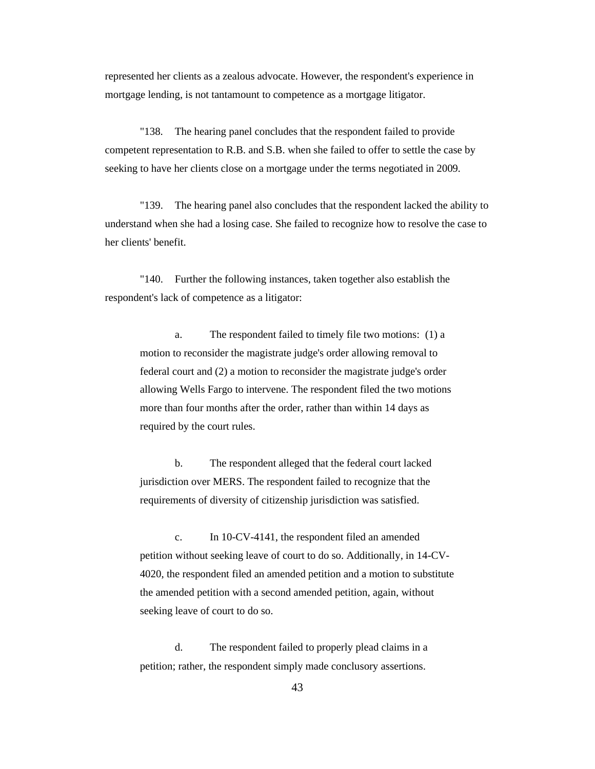represented her clients as a zealous advocate. However, the respondent's experience in mortgage lending, is not tantamount to competence as a mortgage litigator.

"138. The hearing panel concludes that the respondent failed to provide competent representation to R.B. and S.B. when she failed to offer to settle the case by seeking to have her clients close on a mortgage under the terms negotiated in 2009.

"139. The hearing panel also concludes that the respondent lacked the ability to understand when she had a losing case. She failed to recognize how to resolve the case to her clients' benefit.

"140. Further the following instances, taken together also establish the respondent's lack of competence as a litigator:

a. The respondent failed to timely file two motions: (1) a motion to reconsider the magistrate judge's order allowing removal to federal court and (2) a motion to reconsider the magistrate judge's order allowing Wells Fargo to intervene. The respondent filed the two motions more than four months after the order, rather than within 14 days as required by the court rules.

b. The respondent alleged that the federal court lacked jurisdiction over MERS. The respondent failed to recognize that the requirements of diversity of citizenship jurisdiction was satisfied.

c. In 10-CV-4141, the respondent filed an amended petition without seeking leave of court to do so. Additionally, in 14-CV-4020, the respondent filed an amended petition and a motion to substitute the amended petition with a second amended petition, again, without seeking leave of court to do so.

d. The respondent failed to properly plead claims in a petition; rather, the respondent simply made conclusory assertions.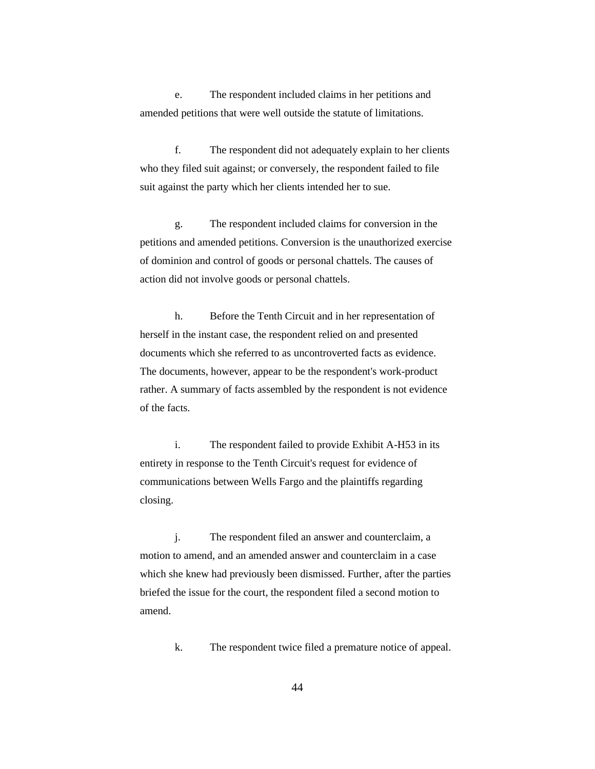e. The respondent included claims in her petitions and amended petitions that were well outside the statute of limitations.

f. The respondent did not adequately explain to her clients who they filed suit against; or conversely, the respondent failed to file suit against the party which her clients intended her to sue.

g. The respondent included claims for conversion in the petitions and amended petitions. Conversion is the unauthorized exercise of dominion and control of goods or personal chattels. The causes of action did not involve goods or personal chattels.

h. Before the Tenth Circuit and in her representation of herself in the instant case, the respondent relied on and presented documents which she referred to as uncontroverted facts as evidence. The documents, however, appear to be the respondent's work-product rather. A summary of facts assembled by the respondent is not evidence of the facts.

i. The respondent failed to provide Exhibit A-H53 in its entirety in response to the Tenth Circuit's request for evidence of communications between Wells Fargo and the plaintiffs regarding closing.

j. The respondent filed an answer and counterclaim, a motion to amend, and an amended answer and counterclaim in a case which she knew had previously been dismissed. Further, after the parties briefed the issue for the court, the respondent filed a second motion to amend.

k. The respondent twice filed a premature notice of appeal.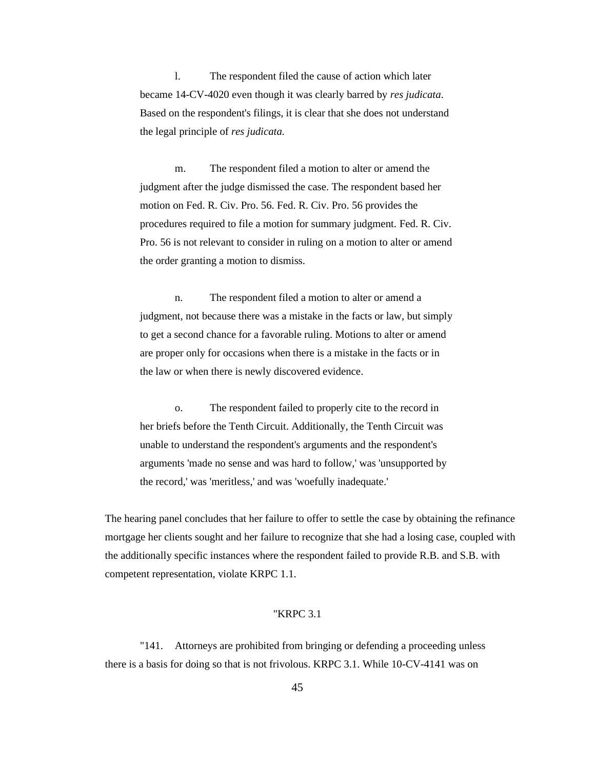l. The respondent filed the cause of action which later became 14-CV-4020 even though it was clearly barred by *res judicata*. Based on the respondent's filings, it is clear that she does not understand the legal principle of *res judicata.* 

m. The respondent filed a motion to alter or amend the judgment after the judge dismissed the case. The respondent based her motion on Fed. R. Civ. Pro. 56. Fed. R. Civ. Pro. 56 provides the procedures required to file a motion for summary judgment. Fed. R. Civ. Pro. 56 is not relevant to consider in ruling on a motion to alter or amend the order granting a motion to dismiss.

n. The respondent filed a motion to alter or amend a judgment, not because there was a mistake in the facts or law, but simply to get a second chance for a favorable ruling. Motions to alter or amend are proper only for occasions when there is a mistake in the facts or in the law or when there is newly discovered evidence.

o. The respondent failed to properly cite to the record in her briefs before the Tenth Circuit. Additionally, the Tenth Circuit was unable to understand the respondent's arguments and the respondent's arguments 'made no sense and was hard to follow,' was 'unsupported by the record,' was 'meritless,' and was 'woefully inadequate.'

The hearing panel concludes that her failure to offer to settle the case by obtaining the refinance mortgage her clients sought and her failure to recognize that she had a losing case, coupled with the additionally specific instances where the respondent failed to provide R.B. and S.B. with competent representation, violate KRPC 1.1.

## "KRPC 3.1

"141. Attorneys are prohibited from bringing or defending a proceeding unless there is a basis for doing so that is not frivolous. KRPC 3.1. While 10-CV-4141 was on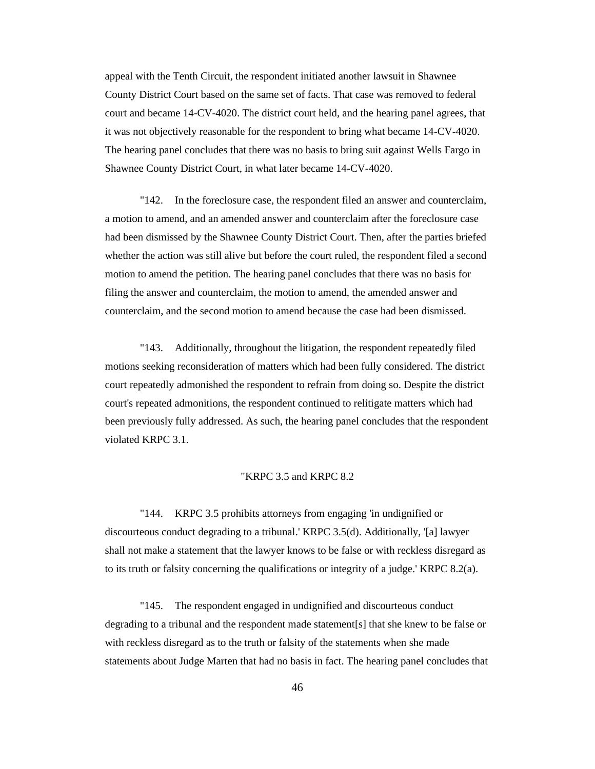appeal with the Tenth Circuit, the respondent initiated another lawsuit in Shawnee County District Court based on the same set of facts. That case was removed to federal court and became 14-CV-4020. The district court held, and the hearing panel agrees, that it was not objectively reasonable for the respondent to bring what became 14-CV-4020. The hearing panel concludes that there was no basis to bring suit against Wells Fargo in Shawnee County District Court, in what later became 14-CV-4020.

"142. In the foreclosure case, the respondent filed an answer and counterclaim, a motion to amend, and an amended answer and counterclaim after the foreclosure case had been dismissed by the Shawnee County District Court. Then, after the parties briefed whether the action was still alive but before the court ruled, the respondent filed a second motion to amend the petition. The hearing panel concludes that there was no basis for filing the answer and counterclaim, the motion to amend, the amended answer and counterclaim, and the second motion to amend because the case had been dismissed.

"143. Additionally, throughout the litigation, the respondent repeatedly filed motions seeking reconsideration of matters which had been fully considered. The district court repeatedly admonished the respondent to refrain from doing so. Despite the district court's repeated admonitions, the respondent continued to relitigate matters which had been previously fully addressed. As such, the hearing panel concludes that the respondent violated KRPC 3.1.

## "KRPC 3.5 and KRPC 8.2

"144. KRPC 3.5 prohibits attorneys from engaging 'in undignified or discourteous conduct degrading to a tribunal.' KRPC 3.5(d). Additionally, '[a] lawyer shall not make a statement that the lawyer knows to be false or with reckless disregard as to its truth or falsity concerning the qualifications or integrity of a judge.' KRPC 8.2(a).

"145. The respondent engaged in undignified and discourteous conduct degrading to a tribunal and the respondent made statement[s] that she knew to be false or with reckless disregard as to the truth or falsity of the statements when she made statements about Judge Marten that had no basis in fact. The hearing panel concludes that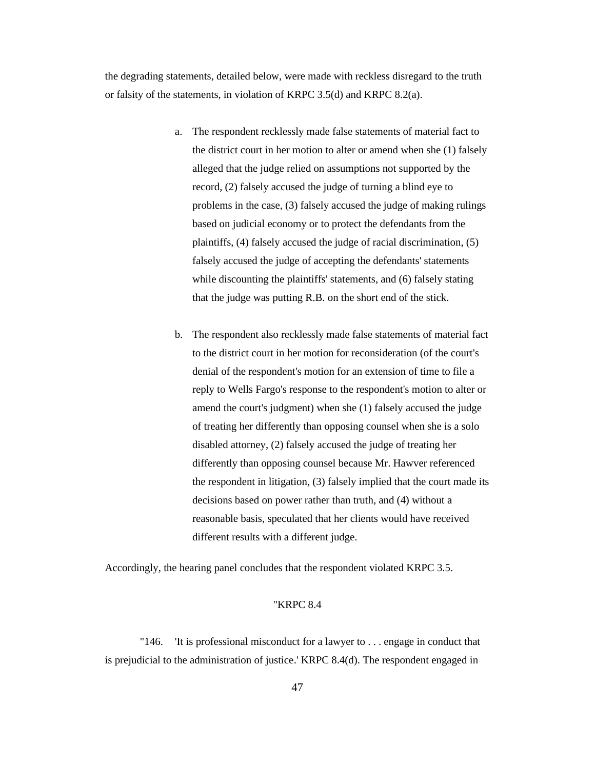the degrading statements, detailed below, were made with reckless disregard to the truth or falsity of the statements, in violation of KRPC 3.5(d) and KRPC 8.2(a).

- a. The respondent recklessly made false statements of material fact to the district court in her motion to alter or amend when she (1) falsely alleged that the judge relied on assumptions not supported by the record, (2) falsely accused the judge of turning a blind eye to problems in the case, (3) falsely accused the judge of making rulings based on judicial economy or to protect the defendants from the plaintiffs, (4) falsely accused the judge of racial discrimination, (5) falsely accused the judge of accepting the defendants' statements while discounting the plaintiffs' statements, and (6) falsely stating that the judge was putting R.B. on the short end of the stick.
- b. The respondent also recklessly made false statements of material fact to the district court in her motion for reconsideration (of the court's denial of the respondent's motion for an extension of time to file a reply to Wells Fargo's response to the respondent's motion to alter or amend the court's judgment) when she (1) falsely accused the judge of treating her differently than opposing counsel when she is a solo disabled attorney, (2) falsely accused the judge of treating her differently than opposing counsel because Mr. Hawver referenced the respondent in litigation, (3) falsely implied that the court made its decisions based on power rather than truth, and (4) without a reasonable basis, speculated that her clients would have received different results with a different judge.

Accordingly, the hearing panel concludes that the respondent violated KRPC 3.5.

#### "KRPC 8.4

"146. 'It is professional misconduct for a lawyer to . . . engage in conduct that is prejudicial to the administration of justice.' KRPC 8.4(d). The respondent engaged in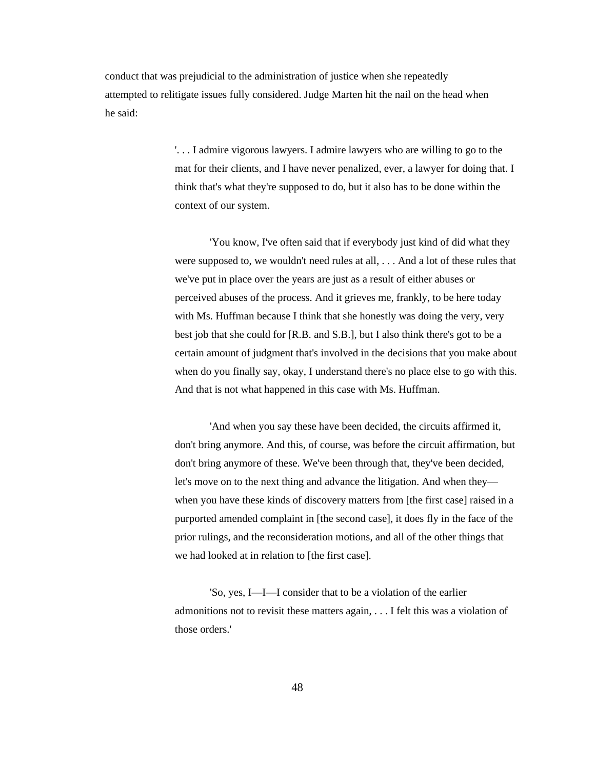conduct that was prejudicial to the administration of justice when she repeatedly attempted to relitigate issues fully considered. Judge Marten hit the nail on the head when he said:

> '. . . I admire vigorous lawyers. I admire lawyers who are willing to go to the mat for their clients, and I have never penalized, ever, a lawyer for doing that. I think that's what they're supposed to do, but it also has to be done within the context of our system.

> 'You know, I've often said that if everybody just kind of did what they were supposed to, we wouldn't need rules at all, . . . And a lot of these rules that we've put in place over the years are just as a result of either abuses or perceived abuses of the process. And it grieves me, frankly, to be here today with Ms. Huffman because I think that she honestly was doing the very, very best job that she could for [R.B. and S.B.], but I also think there's got to be a certain amount of judgment that's involved in the decisions that you make about when do you finally say, okay, I understand there's no place else to go with this. And that is not what happened in this case with Ms. Huffman.

> 'And when you say these have been decided, the circuits affirmed it, don't bring anymore. And this, of course, was before the circuit affirmation, but don't bring anymore of these. We've been through that, they've been decided, let's move on to the next thing and advance the litigation. And when they when you have these kinds of discovery matters from [the first case] raised in a purported amended complaint in [the second case], it does fly in the face of the prior rulings, and the reconsideration motions, and all of the other things that we had looked at in relation to [the first case].

'So, yes, I—I—I consider that to be a violation of the earlier admonitions not to revisit these matters again, . . . I felt this was a violation of those orders.'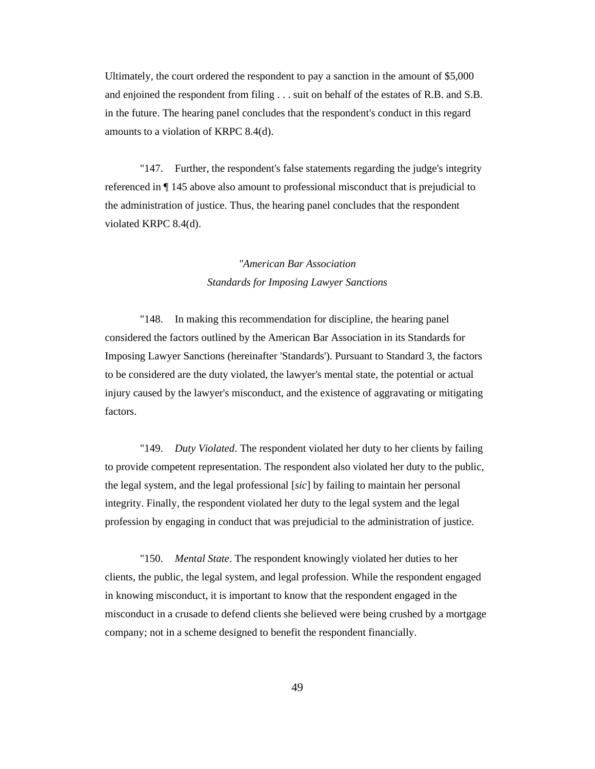Ultimately, the court ordered the respondent to pay a sanction in the amount of \$5,000 and enjoined the respondent from filing . . . suit on behalf of the estates of R.B. and S.B. in the future. The hearing panel concludes that the respondent's conduct in this regard amounts to a violation of KRPC 8.4(d).

"147. Further, the respondent's false statements regarding the judge's integrity referenced in ¶ 145 above also amount to professional misconduct that is prejudicial to the administration of justice. Thus, the hearing panel concludes that the respondent violated KRPC 8.4(d).

# *"American Bar Association Standards for Imposing Lawyer Sanctions*

"148. In making this recommendation for discipline, the hearing panel considered the factors outlined by the American Bar Association in its Standards for Imposing Lawyer Sanctions (hereinafter 'Standards'). Pursuant to Standard 3, the factors to be considered are the duty violated, the lawyer's mental state, the potential or actual injury caused by the lawyer's misconduct, and the existence of aggravating or mitigating factors.

"149. *Duty Violated*. The respondent violated her duty to her clients by failing to provide competent representation. The respondent also violated her duty to the public, the legal system, and the legal professional [*sic*] by failing to maintain her personal integrity. Finally, the respondent violated her duty to the legal system and the legal profession by engaging in conduct that was prejudicial to the administration of justice.

"150. *Mental State*. The respondent knowingly violated her duties to her clients, the public, the legal system, and legal profession. While the respondent engaged in knowing misconduct, it is important to know that the respondent engaged in the misconduct in a crusade to defend clients she believed were being crushed by a mortgage company; not in a scheme designed to benefit the respondent financially.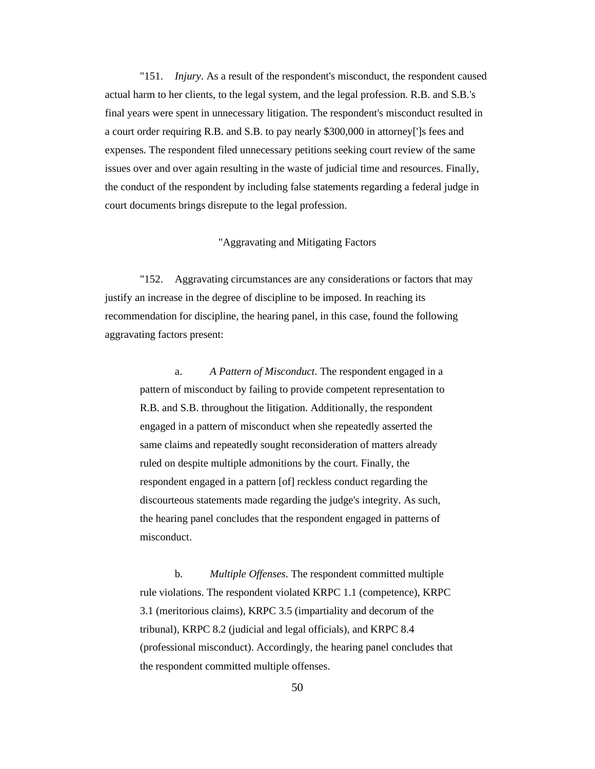"151. *Injury*. As a result of the respondent's misconduct, the respondent caused actual harm to her clients, to the legal system, and the legal profession. R.B. and S.B.'s final years were spent in unnecessary litigation. The respondent's misconduct resulted in a court order requiring R.B. and S.B. to pay nearly \$300,000 in attorney[']s fees and expenses. The respondent filed unnecessary petitions seeking court review of the same issues over and over again resulting in the waste of judicial time and resources. Finally, the conduct of the respondent by including false statements regarding a federal judge in court documents brings disrepute to the legal profession.

## "Aggravating and Mitigating Factors

"152. Aggravating circumstances are any considerations or factors that may justify an increase in the degree of discipline to be imposed. In reaching its recommendation for discipline, the hearing panel, in this case, found the following aggravating factors present:

a. *A Pattern of Misconduct*. The respondent engaged in a pattern of misconduct by failing to provide competent representation to R.B. and S.B. throughout the litigation. Additionally, the respondent engaged in a pattern of misconduct when she repeatedly asserted the same claims and repeatedly sought reconsideration of matters already ruled on despite multiple admonitions by the court. Finally, the respondent engaged in a pattern [of] reckless conduct regarding the discourteous statements made regarding the judge's integrity. As such, the hearing panel concludes that the respondent engaged in patterns of misconduct.

b. *Multiple Offenses*. The respondent committed multiple rule violations. The respondent violated KRPC 1.1 (competence), KRPC 3.1 (meritorious claims), KRPC 3.5 (impartiality and decorum of the tribunal), KRPC 8.2 (judicial and legal officials), and KRPC 8.4 (professional misconduct). Accordingly, the hearing panel concludes that the respondent committed multiple offenses.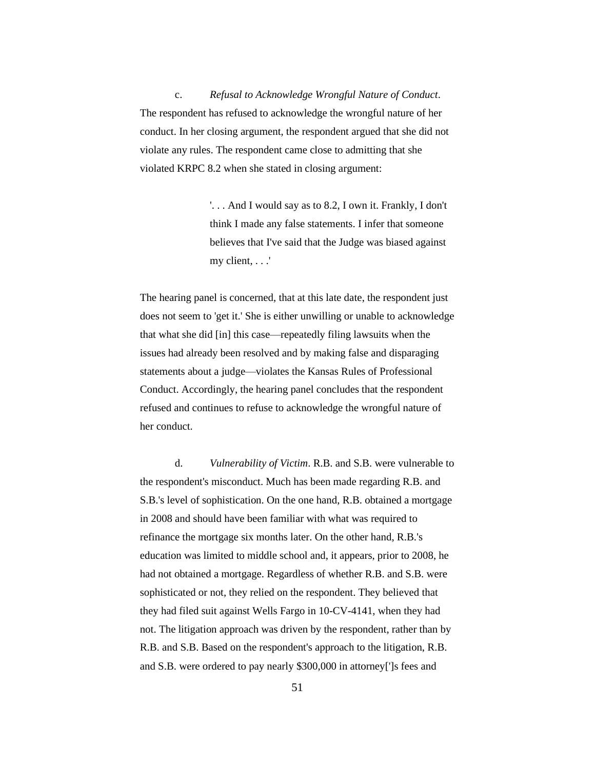c. *Refusal to Acknowledge Wrongful Nature of Conduct*. The respondent has refused to acknowledge the wrongful nature of her conduct. In her closing argument, the respondent argued that she did not violate any rules. The respondent came close to admitting that she violated KRPC 8.2 when she stated in closing argument:

> '. . . And I would say as to 8.2, I own it. Frankly, I don't think I made any false statements. I infer that someone believes that I've said that the Judge was biased against my client, . . .'

The hearing panel is concerned, that at this late date, the respondent just does not seem to 'get it.' She is either unwilling or unable to acknowledge that what she did [in] this case—repeatedly filing lawsuits when the issues had already been resolved and by making false and disparaging statements about a judge—violates the Kansas Rules of Professional Conduct. Accordingly, the hearing panel concludes that the respondent refused and continues to refuse to acknowledge the wrongful nature of her conduct.

d. *Vulnerability of Victim*. R.B. and S.B. were vulnerable to the respondent's misconduct. Much has been made regarding R.B. and S.B.'s level of sophistication. On the one hand, R.B. obtained a mortgage in 2008 and should have been familiar with what was required to refinance the mortgage six months later. On the other hand, R.B.'s education was limited to middle school and, it appears, prior to 2008, he had not obtained a mortgage. Regardless of whether R.B. and S.B. were sophisticated or not, they relied on the respondent. They believed that they had filed suit against Wells Fargo in 10-CV-4141, when they had not. The litigation approach was driven by the respondent, rather than by R.B. and S.B. Based on the respondent's approach to the litigation, R.B. and S.B. were ordered to pay nearly \$300,000 in attorney[']s fees and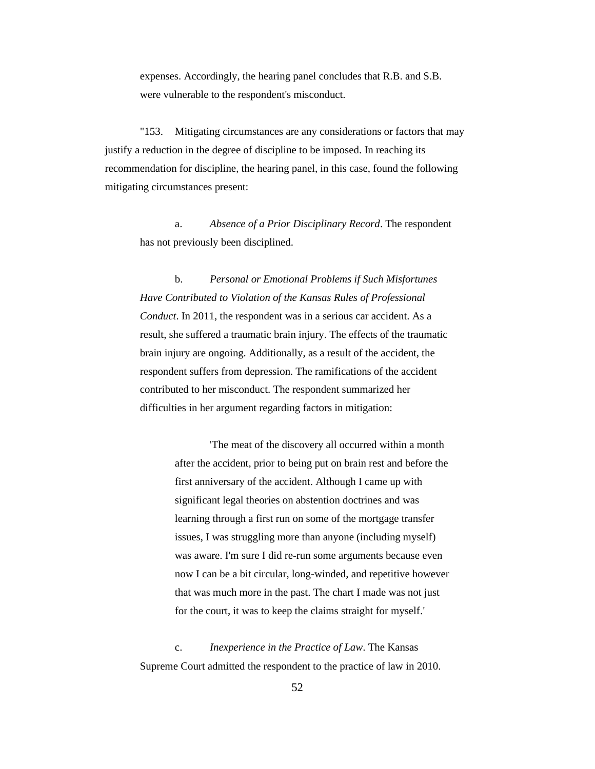expenses. Accordingly, the hearing panel concludes that R.B. and S.B. were vulnerable to the respondent's misconduct.

"153. Mitigating circumstances are any considerations or factors that may justify a reduction in the degree of discipline to be imposed. In reaching its recommendation for discipline, the hearing panel, in this case, found the following mitigating circumstances present:

a. *Absence of a Prior Disciplinary Record*. The respondent has not previously been disciplined.

b. *Personal or Emotional Problems if Such Misfortunes Have Contributed to Violation of the Kansas Rules of Professional Conduct*. In 2011, the respondent was in a serious car accident. As a result, she suffered a traumatic brain injury. The effects of the traumatic brain injury are ongoing. Additionally, as a result of the accident, the respondent suffers from depression. The ramifications of the accident contributed to her misconduct. The respondent summarized her difficulties in her argument regarding factors in mitigation:

> 'The meat of the discovery all occurred within a month after the accident, prior to being put on brain rest and before the first anniversary of the accident. Although I came up with significant legal theories on abstention doctrines and was learning through a first run on some of the mortgage transfer issues, I was struggling more than anyone (including myself) was aware. I'm sure I did re-run some arguments because even now I can be a bit circular, long-winded, and repetitive however that was much more in the past. The chart I made was not just for the court, it was to keep the claims straight for myself.'

c. *Inexperience in the Practice of Law*. The Kansas Supreme Court admitted the respondent to the practice of law in 2010.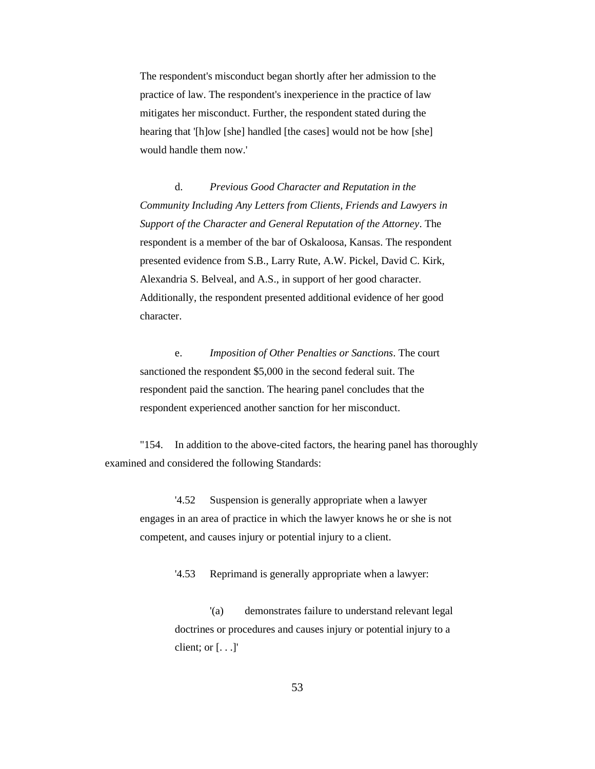The respondent's misconduct began shortly after her admission to the practice of law. The respondent's inexperience in the practice of law mitigates her misconduct. Further, the respondent stated during the hearing that '[h]ow [she] handled [the cases] would not be how [she] would handle them now.'

d. *Previous Good Character and Reputation in the Community Including Any Letters from Clients, Friends and Lawyers in Support of the Character and General Reputation of the Attorney*. The respondent is a member of the bar of Oskaloosa, Kansas. The respondent presented evidence from S.B., Larry Rute, A.W. Pickel, David C. Kirk, Alexandria S. Belveal, and A.S., in support of her good character. Additionally, the respondent presented additional evidence of her good character.

e. *Imposition of Other Penalties or Sanctions*. The court sanctioned the respondent \$5,000 in the second federal suit. The respondent paid the sanction. The hearing panel concludes that the respondent experienced another sanction for her misconduct.

"154. In addition to the above-cited factors, the hearing panel has thoroughly examined and considered the following Standards:

'4.52 Suspension is generally appropriate when a lawyer engages in an area of practice in which the lawyer knows he or she is not competent, and causes injury or potential injury to a client.

'4.53 Reprimand is generally appropriate when a lawyer:

'(a) demonstrates failure to understand relevant legal doctrines or procedures and causes injury or potential injury to a client; or  $[...]$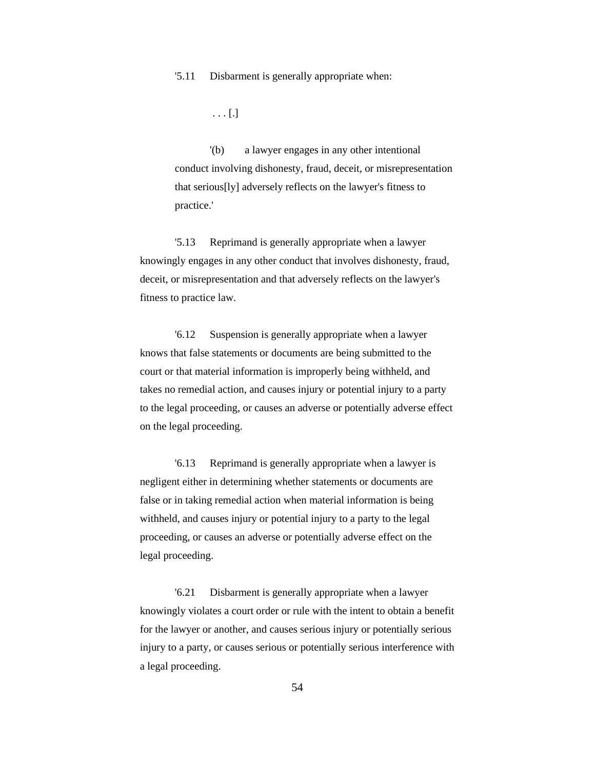'5.11 Disbarment is generally appropriate when:

. . . [.]

'(b) a lawyer engages in any other intentional conduct involving dishonesty, fraud, deceit, or misrepresentation that serious[ly] adversely reflects on the lawyer's fitness to practice.'

'5.13 Reprimand is generally appropriate when a lawyer knowingly engages in any other conduct that involves dishonesty, fraud, deceit, or misrepresentation and that adversely reflects on the lawyer's fitness to practice law.

'6.12 Suspension is generally appropriate when a lawyer knows that false statements or documents are being submitted to the court or that material information is improperly being withheld, and takes no remedial action, and causes injury or potential injury to a party to the legal proceeding, or causes an adverse or potentially adverse effect on the legal proceeding.

'6.13 Reprimand is generally appropriate when a lawyer is negligent either in determining whether statements or documents are false or in taking remedial action when material information is being withheld, and causes injury or potential injury to a party to the legal proceeding, or causes an adverse or potentially adverse effect on the legal proceeding.

'6.21 Disbarment is generally appropriate when a lawyer knowingly violates a court order or rule with the intent to obtain a benefit for the lawyer or another, and causes serious injury or potentially serious injury to a party, or causes serious or potentially serious interference with a legal proceeding.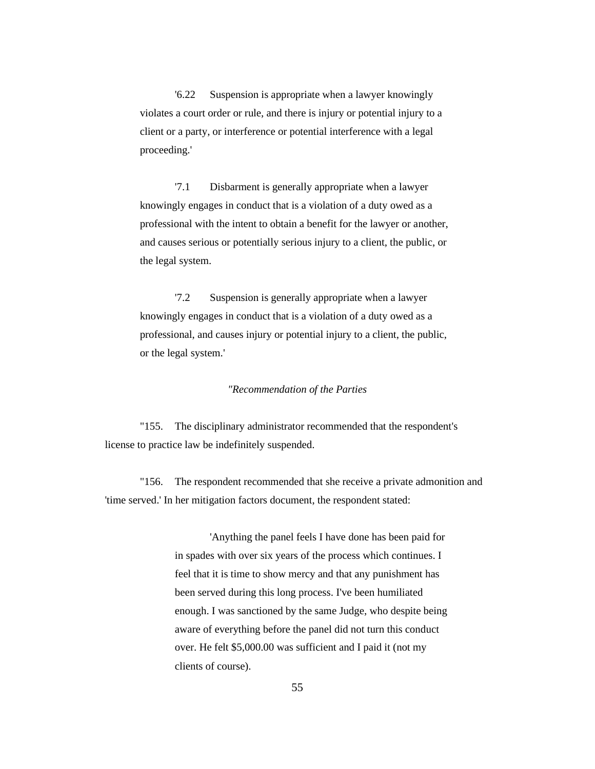'6.22 Suspension is appropriate when a lawyer knowingly violates a court order or rule, and there is injury or potential injury to a client or a party, or interference or potential interference with a legal proceeding.'

'7.1 Disbarment is generally appropriate when a lawyer knowingly engages in conduct that is a violation of a duty owed as a professional with the intent to obtain a benefit for the lawyer or another, and causes serious or potentially serious injury to a client, the public, or the legal system.

'7.2 Suspension is generally appropriate when a lawyer knowingly engages in conduct that is a violation of a duty owed as a professional, and causes injury or potential injury to a client, the public, or the legal system.'

#### *"Recommendation of the Parties*

"155. The disciplinary administrator recommended that the respondent's license to practice law be indefinitely suspended.

"156. The respondent recommended that she receive a private admonition and 'time served.' In her mitigation factors document, the respondent stated:

> 'Anything the panel feels I have done has been paid for in spades with over six years of the process which continues. I feel that it is time to show mercy and that any punishment has been served during this long process. I've been humiliated enough. I was sanctioned by the same Judge, who despite being aware of everything before the panel did not turn this conduct over. He felt \$5,000.00 was sufficient and I paid it (not my clients of course).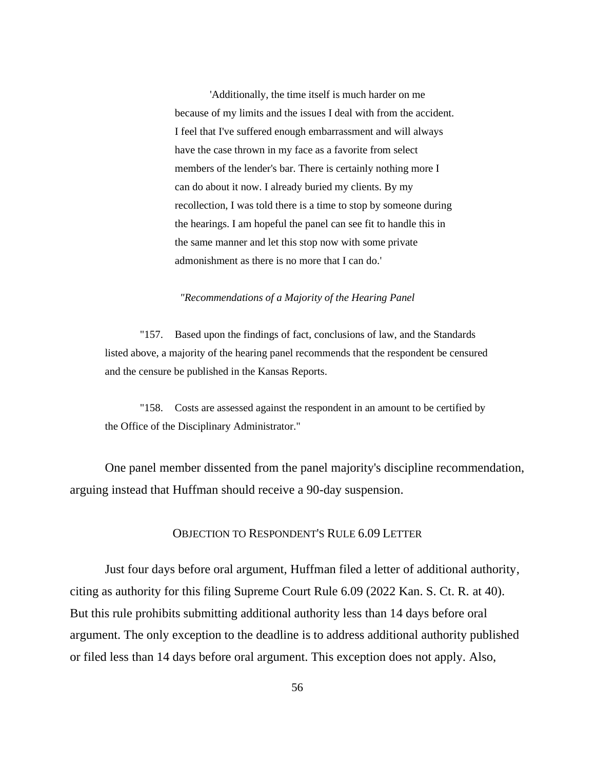'Additionally, the time itself is much harder on me because of my limits and the issues I deal with from the accident. I feel that I've suffered enough embarrassment and will always have the case thrown in my face as a favorite from select members of the lender's bar. There is certainly nothing more I can do about it now. I already buried my clients. By my recollection, I was told there is a time to stop by someone during the hearings. I am hopeful the panel can see fit to handle this in the same manner and let this stop now with some private admonishment as there is no more that I can do.'

#### *"Recommendations of a Majority of the Hearing Panel*

"157. Based upon the findings of fact, conclusions of law, and the Standards listed above, a majority of the hearing panel recommends that the respondent be censured and the censure be published in the Kansas Reports.

"158. Costs are assessed against the respondent in an amount to be certified by the Office of the Disciplinary Administrator."

One panel member dissented from the panel majority's discipline recommendation, arguing instead that Huffman should receive a 90-day suspension.

# OBJECTION TO RESPONDENT'S RULE 6.09 LETTER

Just four days before oral argument, Huffman filed a letter of additional authority, citing as authority for this filing Supreme Court Rule 6.09 (2022 Kan. S. Ct. R. at 40). But this rule prohibits submitting additional authority less than 14 days before oral argument. The only exception to the deadline is to address additional authority published or filed less than 14 days before oral argument. This exception does not apply. Also,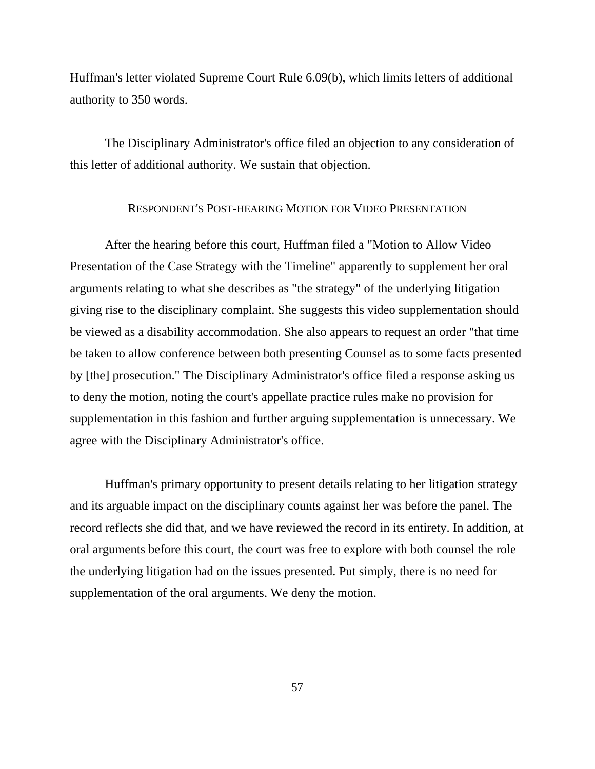Huffman's letter violated Supreme Court Rule 6.09(b), which limits letters of additional authority to 350 words.

The Disciplinary Administrator's office filed an objection to any consideration of this letter of additional authority. We sustain that objection.

# RESPONDENT'S POST-HEARING MOTION FOR VIDEO PRESENTATION

After the hearing before this court, Huffman filed a "Motion to Allow Video Presentation of the Case Strategy with the Timeline" apparently to supplement her oral arguments relating to what she describes as "the strategy" of the underlying litigation giving rise to the disciplinary complaint. She suggests this video supplementation should be viewed as a disability accommodation. She also appears to request an order "that time be taken to allow conference between both presenting Counsel as to some facts presented by [the] prosecution." The Disciplinary Administrator's office filed a response asking us to deny the motion, noting the court's appellate practice rules make no provision for supplementation in this fashion and further arguing supplementation is unnecessary. We agree with the Disciplinary Administrator's office.

Huffman's primary opportunity to present details relating to her litigation strategy and its arguable impact on the disciplinary counts against her was before the panel. The record reflects she did that, and we have reviewed the record in its entirety. In addition, at oral arguments before this court, the court was free to explore with both counsel the role the underlying litigation had on the issues presented. Put simply, there is no need for supplementation of the oral arguments. We deny the motion.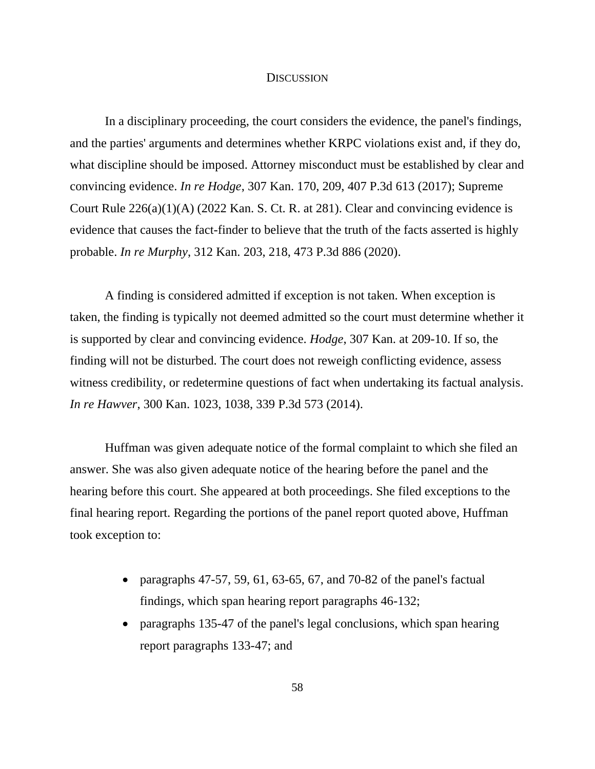## **DISCUSSION**

In a disciplinary proceeding, the court considers the evidence, the panel's findings, and the parties' arguments and determines whether KRPC violations exist and, if they do, what discipline should be imposed. Attorney misconduct must be established by clear and convincing evidence. *In re Hodge*, 307 Kan. 170, 209, 407 P.3d 613 (2017); Supreme Court Rule 226(a)(1)(A) (2022 Kan. S. Ct. R. at 281). Clear and convincing evidence is evidence that causes the fact-finder to believe that the truth of the facts asserted is highly probable. *In re Murphy*, 312 Kan. 203, 218, 473 P.3d 886 (2020).

A finding is considered admitted if exception is not taken. When exception is taken, the finding is typically not deemed admitted so the court must determine whether it is supported by clear and convincing evidence. *Hodge*, 307 Kan. at 209-10. If so, the finding will not be disturbed. The court does not reweigh conflicting evidence, assess witness credibility, or redetermine questions of fact when undertaking its factual analysis. *In re Hawver*, 300 Kan. 1023, 1038, 339 P.3d 573 (2014).

Huffman was given adequate notice of the formal complaint to which she filed an answer. She was also given adequate notice of the hearing before the panel and the hearing before this court. She appeared at both proceedings. She filed exceptions to the final hearing report. Regarding the portions of the panel report quoted above, Huffman took exception to:

- paragraphs 47-57, 59, 61, 63-65, 67, and 70-82 of the panel's factual findings, which span hearing report paragraphs 46-132;
- paragraphs 135-47 of the panel's legal conclusions, which span hearing report paragraphs 133-47; and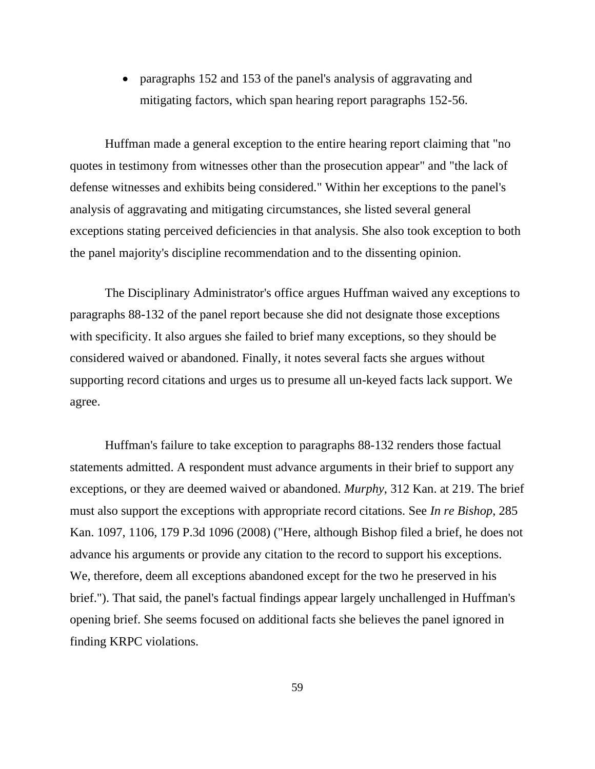• paragraphs 152 and 153 of the panel's analysis of aggravating and mitigating factors, which span hearing report paragraphs 152-56.

Huffman made a general exception to the entire hearing report claiming that "no quotes in testimony from witnesses other than the prosecution appear" and "the lack of defense witnesses and exhibits being considered." Within her exceptions to the panel's analysis of aggravating and mitigating circumstances, she listed several general exceptions stating perceived deficiencies in that analysis. She also took exception to both the panel majority's discipline recommendation and to the dissenting opinion.

The Disciplinary Administrator's office argues Huffman waived any exceptions to paragraphs 88-132 of the panel report because she did not designate those exceptions with specificity. It also argues she failed to brief many exceptions, so they should be considered waived or abandoned. Finally, it notes several facts she argues without supporting record citations and urges us to presume all un-keyed facts lack support. We agree.

Huffman's failure to take exception to paragraphs 88-132 renders those factual statements admitted. A respondent must advance arguments in their brief to support any exceptions, or they are deemed waived or abandoned. *Murphy*, 312 Kan. at 219. The brief must also support the exceptions with appropriate record citations. See *In re Bishop*, 285 Kan. 1097, 1106, 179 P.3d 1096 (2008) ("Here, although Bishop filed a brief, he does not advance his arguments or provide any citation to the record to support his exceptions. We, therefore, deem all exceptions abandoned except for the two he preserved in his brief."). That said, the panel's factual findings appear largely unchallenged in Huffman's opening brief. She seems focused on additional facts she believes the panel ignored in finding KRPC violations.

59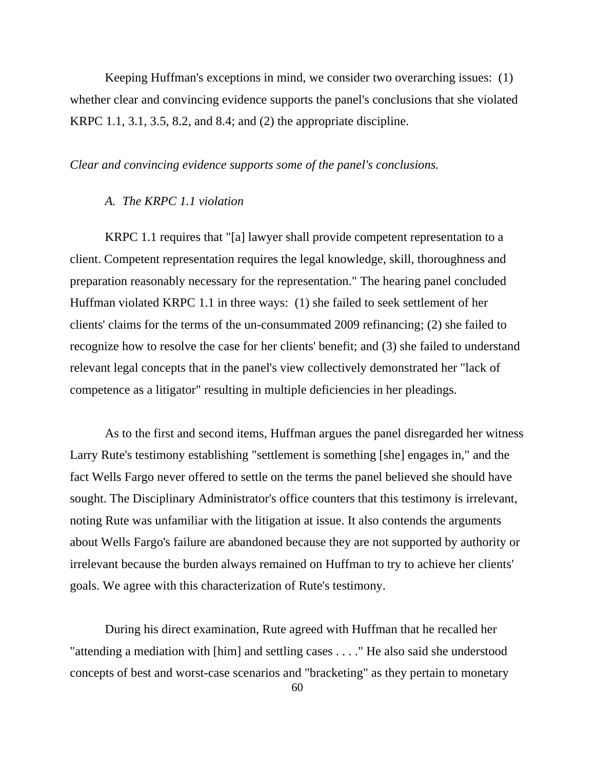Keeping Huffman's exceptions in mind, we consider two overarching issues: (1) whether clear and convincing evidence supports the panel's conclusions that she violated KRPC 1.1, 3.1, 3.5, 8.2, and 8.4; and (2) the appropriate discipline.

## *Clear and convincing evidence supports some of the panel's conclusions.*

# *A. The KRPC 1.1 violation*

KRPC 1.1 requires that "[a] lawyer shall provide competent representation to a client. Competent representation requires the legal knowledge, skill, thoroughness and preparation reasonably necessary for the representation." The hearing panel concluded Huffman violated KRPC 1.1 in three ways: (1) she failed to seek settlement of her clients' claims for the terms of the un-consummated 2009 refinancing; (2) she failed to recognize how to resolve the case for her clients' benefit; and (3) she failed to understand relevant legal concepts that in the panel's view collectively demonstrated her "lack of competence as a litigator" resulting in multiple deficiencies in her pleadings.

As to the first and second items, Huffman argues the panel disregarded her witness Larry Rute's testimony establishing "settlement is something [she] engages in," and the fact Wells Fargo never offered to settle on the terms the panel believed she should have sought. The Disciplinary Administrator's office counters that this testimony is irrelevant, noting Rute was unfamiliar with the litigation at issue. It also contends the arguments about Wells Fargo's failure are abandoned because they are not supported by authority or irrelevant because the burden always remained on Huffman to try to achieve her clients' goals. We agree with this characterization of Rute's testimony.

During his direct examination, Rute agreed with Huffman that he recalled her "attending a mediation with [him] and settling cases . . . ." He also said she understood concepts of best and worst-case scenarios and "bracketing" as they pertain to monetary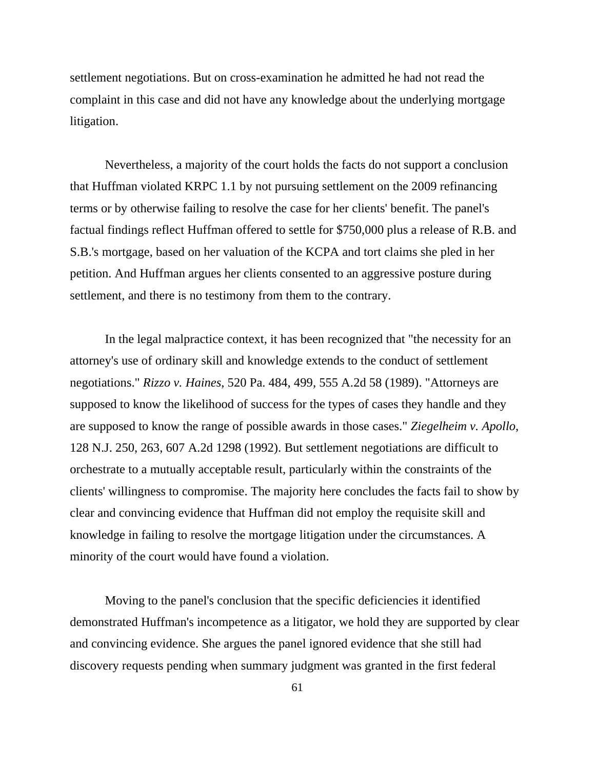settlement negotiations. But on cross-examination he admitted he had not read the complaint in this case and did not have any knowledge about the underlying mortgage litigation.

Nevertheless, a majority of the court holds the facts do not support a conclusion that Huffman violated KRPC 1.1 by not pursuing settlement on the 2009 refinancing terms or by otherwise failing to resolve the case for her clients' benefit. The panel's factual findings reflect Huffman offered to settle for \$750,000 plus a release of R.B. and S.B.'s mortgage, based on her valuation of the KCPA and tort claims she pled in her petition. And Huffman argues her clients consented to an aggressive posture during settlement, and there is no testimony from them to the contrary.

In the legal malpractice context, it has been recognized that "the necessity for an attorney's use of ordinary skill and knowledge extends to the conduct of settlement negotiations." *Rizzo v. Haines*, 520 Pa. 484, 499, 555 A.2d 58 (1989). "Attorneys are supposed to know the likelihood of success for the types of cases they handle and they are supposed to know the range of possible awards in those cases." *Ziegelheim v. Apollo*, 128 N.J. 250, 263, 607 A.2d 1298 (1992). But settlement negotiations are difficult to orchestrate to a mutually acceptable result, particularly within the constraints of the clients' willingness to compromise. The majority here concludes the facts fail to show by clear and convincing evidence that Huffman did not employ the requisite skill and knowledge in failing to resolve the mortgage litigation under the circumstances. A minority of the court would have found a violation.

Moving to the panel's conclusion that the specific deficiencies it identified demonstrated Huffman's incompetence as a litigator, we hold they are supported by clear and convincing evidence. She argues the panel ignored evidence that she still had discovery requests pending when summary judgment was granted in the first federal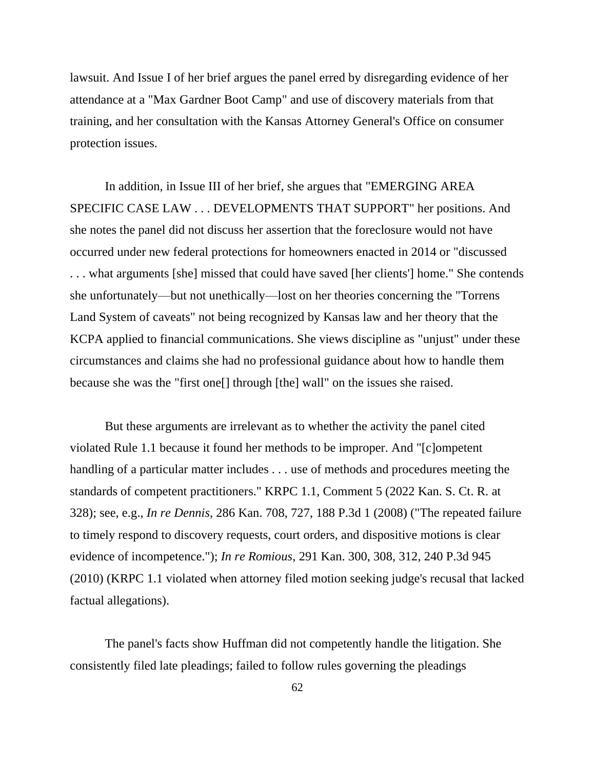lawsuit. And Issue I of her brief argues the panel erred by disregarding evidence of her attendance at a "Max Gardner Boot Camp" and use of discovery materials from that training, and her consultation with the Kansas Attorney General's Office on consumer protection issues.

In addition, in Issue III of her brief, she argues that "EMERGING AREA SPECIFIC CASE LAW . . . DEVELOPMENTS THAT SUPPORT" her positions. And she notes the panel did not discuss her assertion that the foreclosure would not have occurred under new federal protections for homeowners enacted in 2014 or "discussed . . . what arguments [she] missed that could have saved [her clients'] home." She contends she unfortunately—but not unethically—lost on her theories concerning the "Torrens Land System of caveats" not being recognized by Kansas law and her theory that the KCPA applied to financial communications. She views discipline as "unjust" under these circumstances and claims she had no professional guidance about how to handle them because she was the "first one[] through [the] wall" on the issues she raised.

But these arguments are irrelevant as to whether the activity the panel cited violated Rule 1.1 because it found her methods to be improper. And "[c]ompetent handling of a particular matter includes . . . use of methods and procedures meeting the standards of competent practitioners." KRPC 1.1, Comment 5 (2022 Kan. S. Ct. R. at 328); see, e.g., *In re Dennis*, 286 Kan. 708, 727, 188 P.3d 1 (2008) ("The repeated failure to timely respond to discovery requests, court orders, and dispositive motions is clear evidence of incompetence."); *In re Romious*, 291 Kan. 300, 308, 312, 240 P.3d 945 (2010) (KRPC 1.1 violated when attorney filed motion seeking judge's recusal that lacked factual allegations).

The panel's facts show Huffman did not competently handle the litigation. She consistently filed late pleadings; failed to follow rules governing the pleadings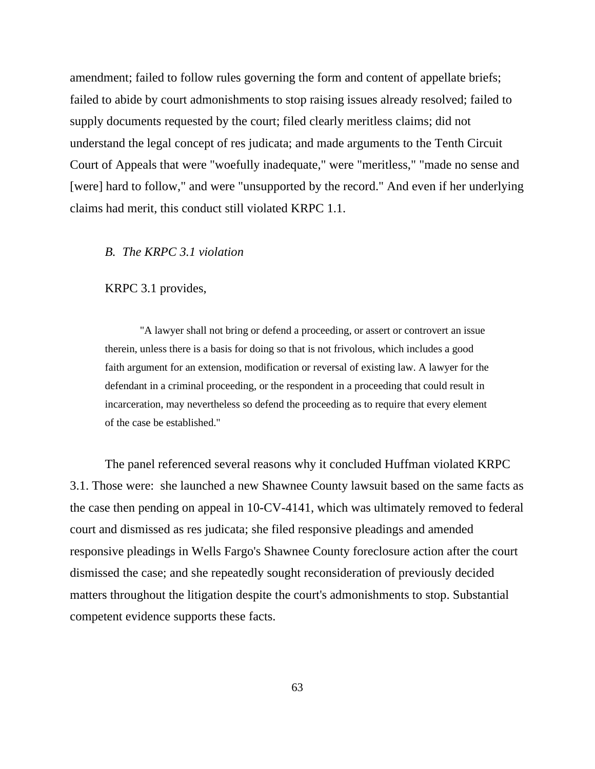amendment; failed to follow rules governing the form and content of appellate briefs; failed to abide by court admonishments to stop raising issues already resolved; failed to supply documents requested by the court; filed clearly meritless claims; did not understand the legal concept of res judicata; and made arguments to the Tenth Circuit Court of Appeals that were "woefully inadequate," were "meritless," "made no sense and [were] hard to follow," and were "unsupported by the record." And even if her underlying claims had merit, this conduct still violated KRPC 1.1.

# *B. The KRPC 3.1 violation*

KRPC 3.1 provides,

"A lawyer shall not bring or defend a proceeding, or assert or controvert an issue therein, unless there is a basis for doing so that is not frivolous, which includes a good faith argument for an extension, modification or reversal of existing law. A lawyer for the defendant in a criminal proceeding, or the respondent in a proceeding that could result in incarceration, may nevertheless so defend the proceeding as to require that every element of the case be established."

The panel referenced several reasons why it concluded Huffman violated KRPC 3.1. Those were: she launched a new Shawnee County lawsuit based on the same facts as the case then pending on appeal in 10-CV-4141, which was ultimately removed to federal court and dismissed as res judicata; she filed responsive pleadings and amended responsive pleadings in Wells Fargo's Shawnee County foreclosure action after the court dismissed the case; and she repeatedly sought reconsideration of previously decided matters throughout the litigation despite the court's admonishments to stop. Substantial competent evidence supports these facts.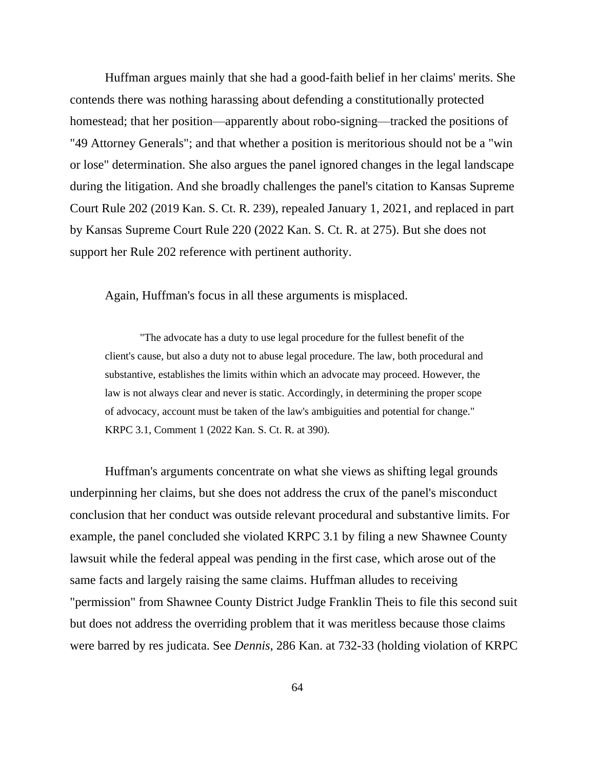Huffman argues mainly that she had a good-faith belief in her claims' merits. She contends there was nothing harassing about defending a constitutionally protected homestead; that her position—apparently about robo-signing—tracked the positions of "49 Attorney Generals"; and that whether a position is meritorious should not be a "win or lose" determination. She also argues the panel ignored changes in the legal landscape during the litigation. And she broadly challenges the panel's citation to Kansas Supreme Court Rule 202 (2019 Kan. S. Ct. R. 239), repealed January 1, 2021, and replaced in part by Kansas Supreme Court Rule 220 (2022 Kan. S. Ct. R. at 275). But she does not support her Rule 202 reference with pertinent authority.

Again, Huffman's focus in all these arguments is misplaced.

"The advocate has a duty to use legal procedure for the fullest benefit of the client's cause, but also a duty not to abuse legal procedure. The law, both procedural and substantive, establishes the limits within which an advocate may proceed. However, the law is not always clear and never is static. Accordingly, in determining the proper scope of advocacy, account must be taken of the law's ambiguities and potential for change." KRPC 3.1, Comment 1 (2022 Kan. S. Ct. R. at 390).

Huffman's arguments concentrate on what she views as shifting legal grounds underpinning her claims, but she does not address the crux of the panel's misconduct conclusion that her conduct was outside relevant procedural and substantive limits. For example, the panel concluded she violated KRPC 3.1 by filing a new Shawnee County lawsuit while the federal appeal was pending in the first case, which arose out of the same facts and largely raising the same claims. Huffman alludes to receiving "permission" from Shawnee County District Judge Franklin Theis to file this second suit but does not address the overriding problem that it was meritless because those claims were barred by res judicata. See *Dennis*, 286 Kan. at 732-33 (holding violation of KRPC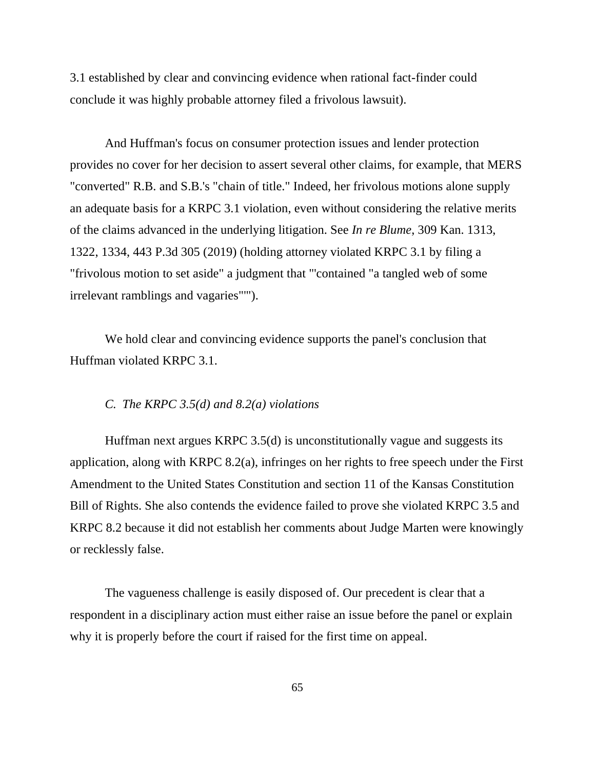3.1 established by clear and convincing evidence when rational fact-finder could conclude it was highly probable attorney filed a frivolous lawsuit).

And Huffman's focus on consumer protection issues and lender protection provides no cover for her decision to assert several other claims, for example, that MERS "converted" R.B. and S.B.'s "chain of title." Indeed, her frivolous motions alone supply an adequate basis for a KRPC 3.1 violation, even without considering the relative merits of the claims advanced in the underlying litigation. See *In re Blume*, 309 Kan. 1313, 1322, 1334, 443 P.3d 305 (2019) (holding attorney violated KRPC 3.1 by filing a "frivolous motion to set aside" a judgment that "'contained "a tangled web of some irrelevant ramblings and vagaries"'").

We hold clear and convincing evidence supports the panel's conclusion that Huffman violated KRPC 3.1.

## *C. The KRPC 3.5(d) and 8.2(a) violations*

Huffman next argues KRPC 3.5(d) is unconstitutionally vague and suggests its application, along with KRPC 8.2(a), infringes on her rights to free speech under the First Amendment to the United States Constitution and section 11 of the Kansas Constitution Bill of Rights. She also contends the evidence failed to prove she violated KRPC 3.5 and KRPC 8.2 because it did not establish her comments about Judge Marten were knowingly or recklessly false.

The vagueness challenge is easily disposed of. Our precedent is clear that a respondent in a disciplinary action must either raise an issue before the panel or explain why it is properly before the court if raised for the first time on appeal.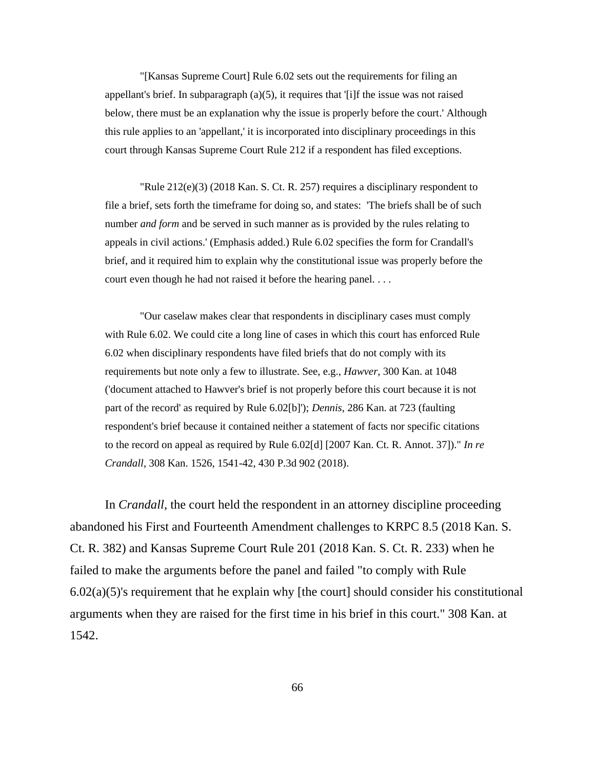"[Kansas Supreme Court] Rule 6.02 sets out the requirements for filing an appellant's brief. In subparagraph (a)(5), it requires that '[i]f the issue was not raised below, there must be an explanation why the issue is properly before the court.' Although this rule applies to an 'appellant,' it is incorporated into disciplinary proceedings in this court through Kansas Supreme Court Rule 212 if a respondent has filed exceptions.

"Rule 212(e)(3) (2018 Kan. S. Ct. R. 257) requires a disciplinary respondent to file a brief, sets forth the timeframe for doing so, and states: 'The briefs shall be of such number *and form* and be served in such manner as is provided by the rules relating to appeals in civil actions.' (Emphasis added.) Rule 6.02 specifies the form for Crandall's brief, and it required him to explain why the constitutional issue was properly before the court even though he had not raised it before the hearing panel. . . .

"Our caselaw makes clear that respondents in disciplinary cases must comply with Rule 6.02. We could cite a long line of cases in which this court has enforced Rule 6.02 when disciplinary respondents have filed briefs that do not comply with its requirements but note only a few to illustrate. See, e.g., *Hawver*, 300 Kan. at 1048 ('document attached to Hawver's brief is not properly before this court because it is not part of the record' as required by Rule 6.02[b]'); *Dennis*, 286 Kan. at 723 (faulting respondent's brief because it contained neither a statement of facts nor specific citations to the record on appeal as required by Rule 6.02[d] [2007 Kan. Ct. R. Annot. 37])." *In re Crandall*, 308 Kan. 1526, 1541-42, 430 P.3d 902 (2018).

In *Crandall*, the court held the respondent in an attorney discipline proceeding abandoned his First and Fourteenth Amendment challenges to KRPC 8.5 (2018 Kan. S. Ct. R. 382) and Kansas Supreme Court Rule 201 (2018 Kan. S. Ct. R. 233) when he failed to make the arguments before the panel and failed "to comply with Rule  $6.02(a)(5)$ 's requirement that he explain why [the court] should consider his constitutional arguments when they are raised for the first time in his brief in this court." 308 Kan. at 1542.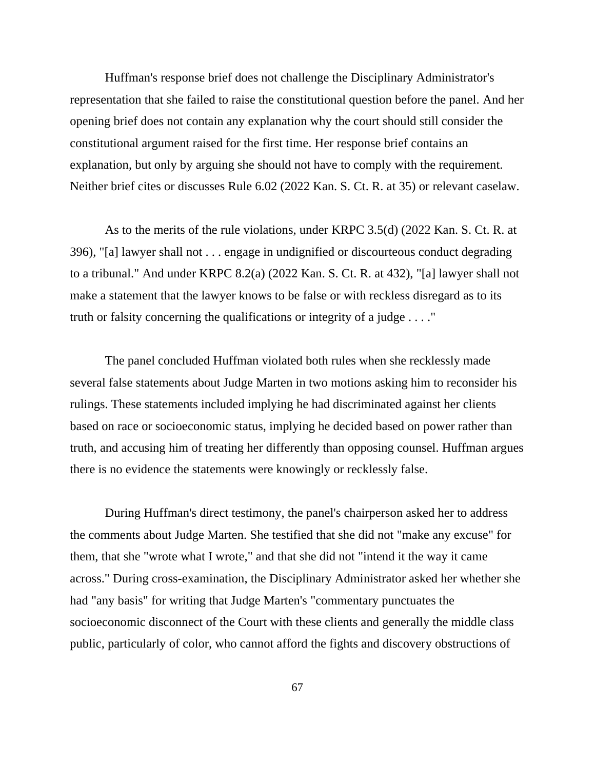Huffman's response brief does not challenge the Disciplinary Administrator's representation that she failed to raise the constitutional question before the panel. And her opening brief does not contain any explanation why the court should still consider the constitutional argument raised for the first time. Her response brief contains an explanation, but only by arguing she should not have to comply with the requirement. Neither brief cites or discusses Rule 6.02 (2022 Kan. S. Ct. R. at 35) or relevant caselaw.

As to the merits of the rule violations, under KRPC 3.5(d) (2022 Kan. S. Ct. R. at 396), "[a] lawyer shall not . . . engage in undignified or discourteous conduct degrading to a tribunal." And under KRPC 8.2(a) (2022 Kan. S. Ct. R. at 432), "[a] lawyer shall not make a statement that the lawyer knows to be false or with reckless disregard as to its truth or falsity concerning the qualifications or integrity of a judge . . . ."

The panel concluded Huffman violated both rules when she recklessly made several false statements about Judge Marten in two motions asking him to reconsider his rulings. These statements included implying he had discriminated against her clients based on race or socioeconomic status, implying he decided based on power rather than truth, and accusing him of treating her differently than opposing counsel. Huffman argues there is no evidence the statements were knowingly or recklessly false.

During Huffman's direct testimony, the panel's chairperson asked her to address the comments about Judge Marten. She testified that she did not "make any excuse" for them, that she "wrote what I wrote," and that she did not "intend it the way it came across." During cross-examination, the Disciplinary Administrator asked her whether she had "any basis" for writing that Judge Marten's "commentary punctuates the socioeconomic disconnect of the Court with these clients and generally the middle class public, particularly of color, who cannot afford the fights and discovery obstructions of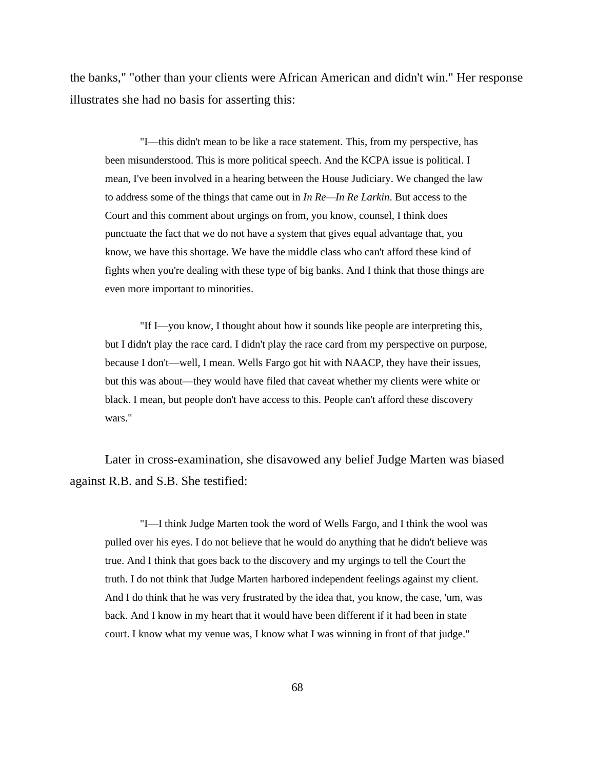the banks," "other than your clients were African American and didn't win." Her response illustrates she had no basis for asserting this:

"I—this didn't mean to be like a race statement. This, from my perspective, has been misunderstood. This is more political speech. And the KCPA issue is political. I mean, I've been involved in a hearing between the House Judiciary. We changed the law to address some of the things that came out in *In Re—In Re Larkin*. But access to the Court and this comment about urgings on from, you know, counsel, I think does punctuate the fact that we do not have a system that gives equal advantage that, you know, we have this shortage. We have the middle class who can't afford these kind of fights when you're dealing with these type of big banks. And I think that those things are even more important to minorities.

"If I—you know, I thought about how it sounds like people are interpreting this, but I didn't play the race card. I didn't play the race card from my perspective on purpose, because I don't—well, I mean. Wells Fargo got hit with NAACP, they have their issues, but this was about—they would have filed that caveat whether my clients were white or black. I mean, but people don't have access to this. People can't afford these discovery wars."

Later in cross-examination, she disavowed any belief Judge Marten was biased against R.B. and S.B. She testified:

"I—I think Judge Marten took the word of Wells Fargo, and I think the wool was pulled over his eyes. I do not believe that he would do anything that he didn't believe was true. And I think that goes back to the discovery and my urgings to tell the Court the truth. I do not think that Judge Marten harbored independent feelings against my client. And I do think that he was very frustrated by the idea that, you know, the case, 'um, was back. And I know in my heart that it would have been different if it had been in state court. I know what my venue was, I know what I was winning in front of that judge."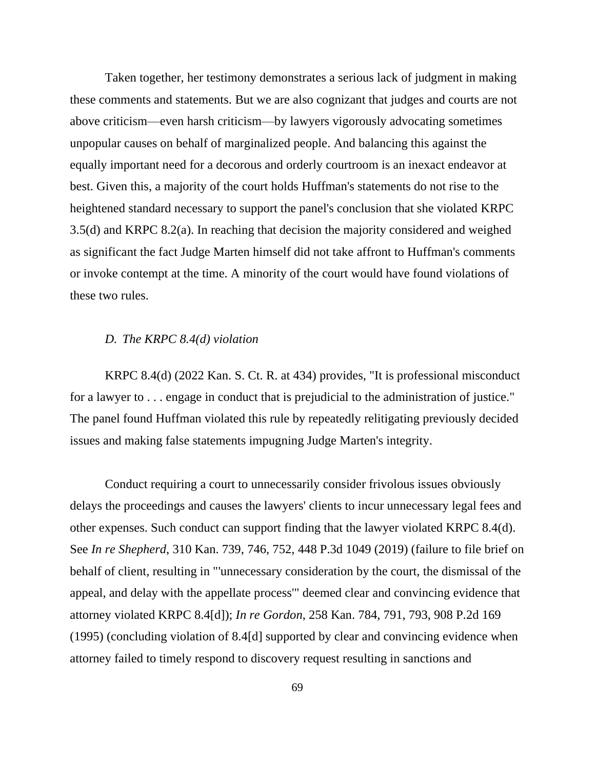Taken together, her testimony demonstrates a serious lack of judgment in making these comments and statements. But we are also cognizant that judges and courts are not above criticism—even harsh criticism—by lawyers vigorously advocating sometimes unpopular causes on behalf of marginalized people. And balancing this against the equally important need for a decorous and orderly courtroom is an inexact endeavor at best. Given this, a majority of the court holds Huffman's statements do not rise to the heightened standard necessary to support the panel's conclusion that she violated KRPC 3.5(d) and KRPC 8.2(a). In reaching that decision the majority considered and weighed as significant the fact Judge Marten himself did not take affront to Huffman's comments or invoke contempt at the time. A minority of the court would have found violations of these two rules.

# *D. The KRPC 8.4(d) violation*

KRPC 8.4(d) (2022 Kan. S. Ct. R. at 434) provides, "It is professional misconduct for a lawyer to . . . engage in conduct that is prejudicial to the administration of justice." The panel found Huffman violated this rule by repeatedly relitigating previously decided issues and making false statements impugning Judge Marten's integrity.

Conduct requiring a court to unnecessarily consider frivolous issues obviously delays the proceedings and causes the lawyers' clients to incur unnecessary legal fees and other expenses. Such conduct can support finding that the lawyer violated KRPC 8.4(d). See *In re Shepherd*, 310 Kan. 739, 746, 752, 448 P.3d 1049 (2019) (failure to file brief on behalf of client, resulting in "'unnecessary consideration by the court, the dismissal of the appeal, and delay with the appellate process'" deemed clear and convincing evidence that attorney violated KRPC 8.4[d]); *In re Gordon*, 258 Kan. 784, 791, 793, 908 P.2d 169 (1995) (concluding violation of 8.4[d] supported by clear and convincing evidence when attorney failed to timely respond to discovery request resulting in sanctions and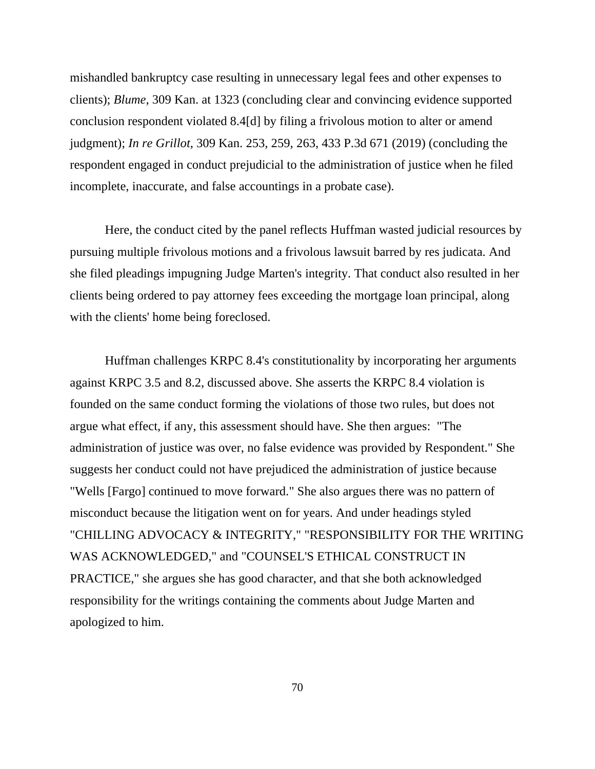mishandled bankruptcy case resulting in unnecessary legal fees and other expenses to clients); *Blume*, 309 Kan. at 1323 (concluding clear and convincing evidence supported conclusion respondent violated 8.4[d] by filing a frivolous motion to alter or amend judgment); *In re Grillot*, 309 Kan. 253, 259, 263, 433 P.3d 671 (2019) (concluding the respondent engaged in conduct prejudicial to the administration of justice when he filed incomplete, inaccurate, and false accountings in a probate case).

Here, the conduct cited by the panel reflects Huffman wasted judicial resources by pursuing multiple frivolous motions and a frivolous lawsuit barred by res judicata. And she filed pleadings impugning Judge Marten's integrity. That conduct also resulted in her clients being ordered to pay attorney fees exceeding the mortgage loan principal, along with the clients' home being foreclosed.

Huffman challenges KRPC 8.4's constitutionality by incorporating her arguments against KRPC 3.5 and 8.2, discussed above. She asserts the KRPC 8.4 violation is founded on the same conduct forming the violations of those two rules, but does not argue what effect, if any, this assessment should have. She then argues: "The administration of justice was over, no false evidence was provided by Respondent." She suggests her conduct could not have prejudiced the administration of justice because "Wells [Fargo] continued to move forward." She also argues there was no pattern of misconduct because the litigation went on for years. And under headings styled "CHILLING ADVOCACY & INTEGRITY," "RESPONSIBILITY FOR THE WRITING WAS ACKNOWLEDGED," and "COUNSEL'S ETHICAL CONSTRUCT IN PRACTICE," she argues she has good character, and that she both acknowledged responsibility for the writings containing the comments about Judge Marten and apologized to him.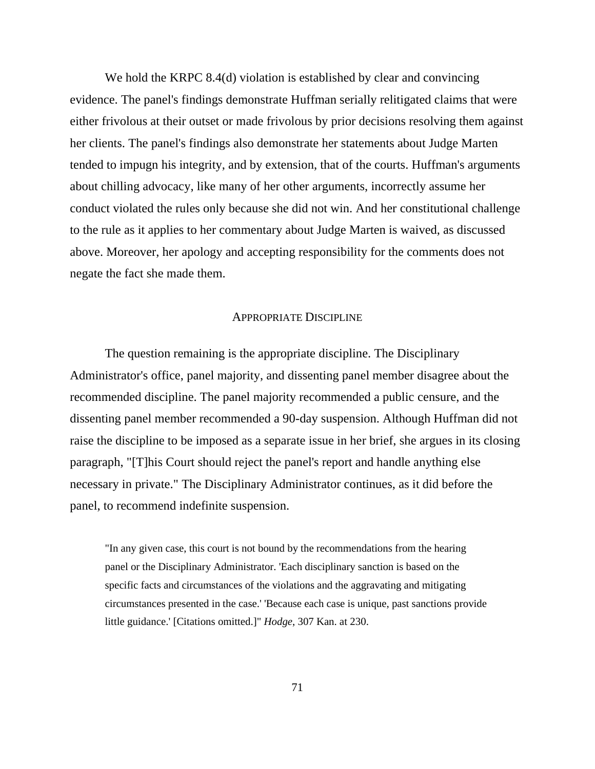We hold the KRPC 8.4(d) violation is established by clear and convincing evidence. The panel's findings demonstrate Huffman serially relitigated claims that were either frivolous at their outset or made frivolous by prior decisions resolving them against her clients. The panel's findings also demonstrate her statements about Judge Marten tended to impugn his integrity, and by extension, that of the courts. Huffman's arguments about chilling advocacy, like many of her other arguments, incorrectly assume her conduct violated the rules only because she did not win. And her constitutional challenge to the rule as it applies to her commentary about Judge Marten is waived, as discussed above. Moreover, her apology and accepting responsibility for the comments does not negate the fact she made them.

# APPROPRIATE DISCIPLINE

The question remaining is the appropriate discipline. The Disciplinary Administrator's office, panel majority, and dissenting panel member disagree about the recommended discipline. The panel majority recommended a public censure, and the dissenting panel member recommended a 90-day suspension. Although Huffman did not raise the discipline to be imposed as a separate issue in her brief, she argues in its closing paragraph, "[T]his Court should reject the panel's report and handle anything else necessary in private." The Disciplinary Administrator continues, as it did before the panel, to recommend indefinite suspension.

"In any given case, this court is not bound by the recommendations from the hearing panel or the Disciplinary Administrator. 'Each disciplinary sanction is based on the specific facts and circumstances of the violations and the aggravating and mitigating circumstances presented in the case.' 'Because each case is unique, past sanctions provide little guidance.' [Citations omitted.]" *Hodge*, 307 Kan. at 230.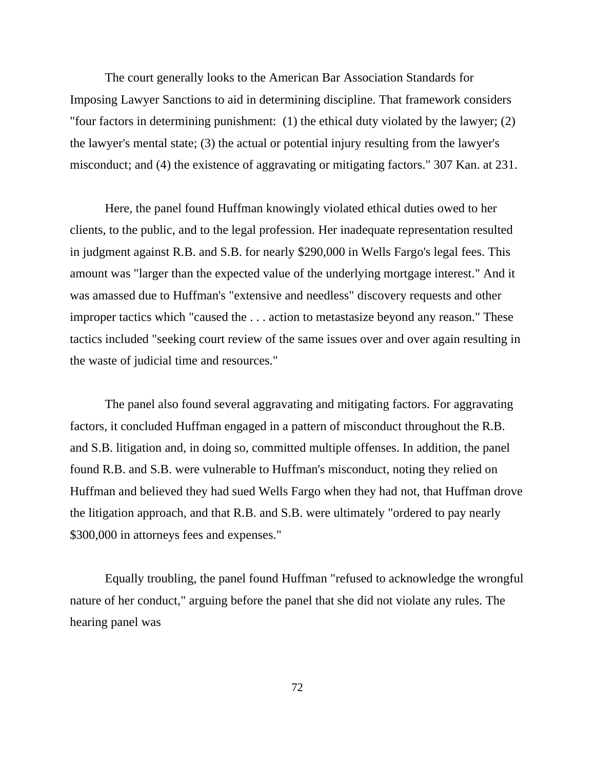The court generally looks to the American Bar Association Standards for Imposing Lawyer Sanctions to aid in determining discipline. That framework considers "four factors in determining punishment: (1) the ethical duty violated by the lawyer; (2) the lawyer's mental state; (3) the actual or potential injury resulting from the lawyer's misconduct; and (4) the existence of aggravating or mitigating factors." 307 Kan. at 231.

Here, the panel found Huffman knowingly violated ethical duties owed to her clients, to the public, and to the legal profession. Her inadequate representation resulted in judgment against R.B. and S.B. for nearly \$290,000 in Wells Fargo's legal fees. This amount was "larger than the expected value of the underlying mortgage interest." And it was amassed due to Huffman's "extensive and needless" discovery requests and other improper tactics which "caused the . . . action to metastasize beyond any reason." These tactics included "seeking court review of the same issues over and over again resulting in the waste of judicial time and resources."

The panel also found several aggravating and mitigating factors. For aggravating factors, it concluded Huffman engaged in a pattern of misconduct throughout the R.B. and S.B. litigation and, in doing so, committed multiple offenses. In addition, the panel found R.B. and S.B. were vulnerable to Huffman's misconduct, noting they relied on Huffman and believed they had sued Wells Fargo when they had not, that Huffman drove the litigation approach, and that R.B. and S.B. were ultimately "ordered to pay nearly \$300,000 in attorneys fees and expenses."

Equally troubling, the panel found Huffman "refused to acknowledge the wrongful nature of her conduct," arguing before the panel that she did not violate any rules. The hearing panel was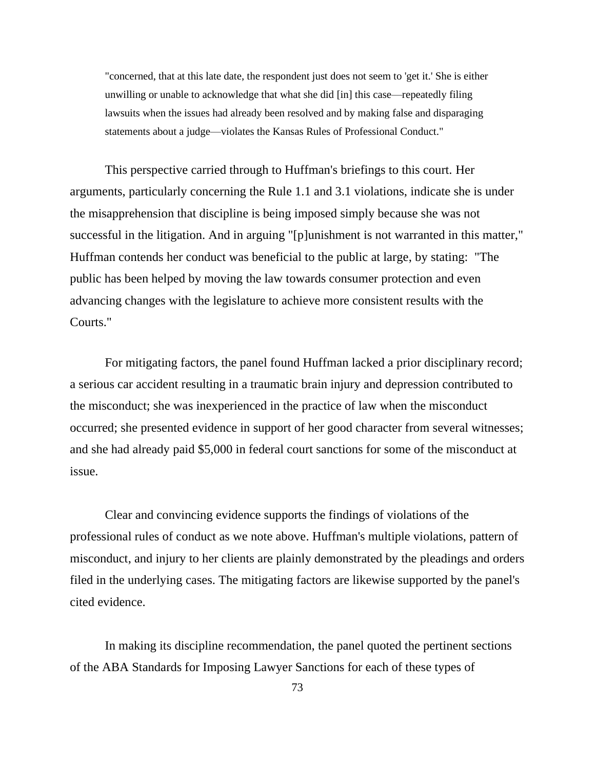"concerned, that at this late date, the respondent just does not seem to 'get it.' She is either unwilling or unable to acknowledge that what she did [in] this case—repeatedly filing lawsuits when the issues had already been resolved and by making false and disparaging statements about a judge—violates the Kansas Rules of Professional Conduct."

This perspective carried through to Huffman's briefings to this court. Her arguments, particularly concerning the Rule 1.1 and 3.1 violations, indicate she is under the misapprehension that discipline is being imposed simply because she was not successful in the litigation. And in arguing "[p]unishment is not warranted in this matter," Huffman contends her conduct was beneficial to the public at large, by stating: "The public has been helped by moving the law towards consumer protection and even advancing changes with the legislature to achieve more consistent results with the Courts."

For mitigating factors, the panel found Huffman lacked a prior disciplinary record; a serious car accident resulting in a traumatic brain injury and depression contributed to the misconduct; she was inexperienced in the practice of law when the misconduct occurred; she presented evidence in support of her good character from several witnesses; and she had already paid \$5,000 in federal court sanctions for some of the misconduct at issue.

Clear and convincing evidence supports the findings of violations of the professional rules of conduct as we note above. Huffman's multiple violations, pattern of misconduct, and injury to her clients are plainly demonstrated by the pleadings and orders filed in the underlying cases. The mitigating factors are likewise supported by the panel's cited evidence.

In making its discipline recommendation, the panel quoted the pertinent sections of the ABA Standards for Imposing Lawyer Sanctions for each of these types of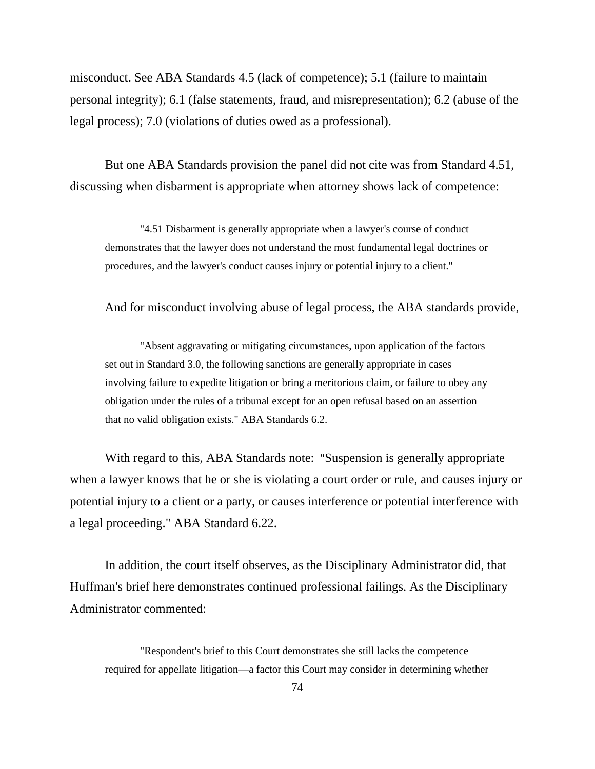misconduct. See ABA Standards 4.5 (lack of competence); 5.1 (failure to maintain personal integrity); 6.1 (false statements, fraud, and misrepresentation); 6.2 (abuse of the legal process); 7.0 (violations of duties owed as a professional).

But one ABA Standards provision the panel did not cite was from Standard 4.51, discussing when disbarment is appropriate when attorney shows lack of competence:

"4.51 Disbarment is generally appropriate when a lawyer's course of conduct demonstrates that the lawyer does not understand the most fundamental legal doctrines or procedures, and the lawyer's conduct causes injury or potential injury to a client."

And for misconduct involving abuse of legal process, the ABA standards provide,

"Absent aggravating or mitigating circumstances, upon application of the factors set out in Standard 3.0, the following sanctions are generally appropriate in cases involving failure to expedite litigation or bring a meritorious claim, or failure to obey any obligation under the rules of a tribunal except for an open refusal based on an assertion that no valid obligation exists." ABA Standards 6.2.

With regard to this, ABA Standards note: "Suspension is generally appropriate when a lawyer knows that he or she is violating a court order or rule, and causes injury or potential injury to a client or a party, or causes interference or potential interference with a legal proceeding." ABA Standard 6.22.

In addition, the court itself observes, as the Disciplinary Administrator did, that Huffman's brief here demonstrates continued professional failings. As the Disciplinary Administrator commented:

"Respondent's brief to this Court demonstrates she still lacks the competence required for appellate litigation—a factor this Court may consider in determining whether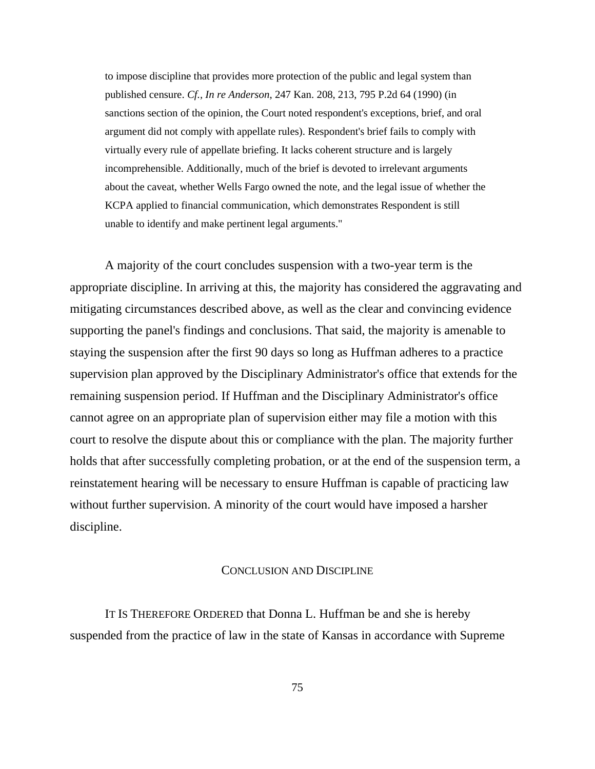to impose discipline that provides more protection of the public and legal system than published censure. *Cf., In re Anderson*, 247 Kan. 208, 213, 795 P.2d 64 (1990) (in sanctions section of the opinion, the Court noted respondent's exceptions, brief, and oral argument did not comply with appellate rules). Respondent's brief fails to comply with virtually every rule of appellate briefing. It lacks coherent structure and is largely incomprehensible. Additionally, much of the brief is devoted to irrelevant arguments about the caveat, whether Wells Fargo owned the note, and the legal issue of whether the KCPA applied to financial communication, which demonstrates Respondent is still unable to identify and make pertinent legal arguments."

A majority of the court concludes suspension with a two-year term is the appropriate discipline. In arriving at this, the majority has considered the aggravating and mitigating circumstances described above, as well as the clear and convincing evidence supporting the panel's findings and conclusions. That said, the majority is amenable to staying the suspension after the first 90 days so long as Huffman adheres to a practice supervision plan approved by the Disciplinary Administrator's office that extends for the remaining suspension period. If Huffman and the Disciplinary Administrator's office cannot agree on an appropriate plan of supervision either may file a motion with this court to resolve the dispute about this or compliance with the plan. The majority further holds that after successfully completing probation, or at the end of the suspension term, a reinstatement hearing will be necessary to ensure Huffman is capable of practicing law without further supervision. A minority of the court would have imposed a harsher discipline.

## CONCLUSION AND DISCIPLINE

IT IS THEREFORE ORDERED that Donna L. Huffman be and she is hereby suspended from the practice of law in the state of Kansas in accordance with Supreme